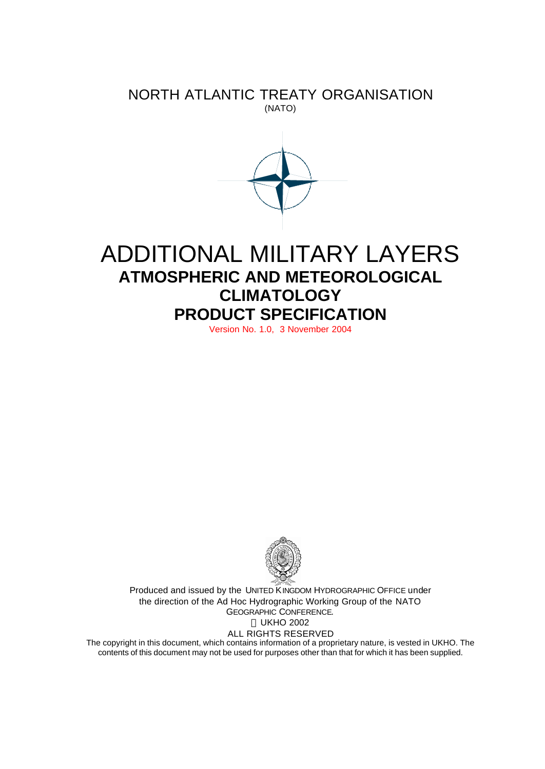## NORTH ATLANTIC TREATY ORGANISATION (NATO)



# ADDITIONAL MILITARY LAYERS **ATMOSPHERIC AND METEOROLOGICAL CLIMATOLOGY PRODUCT SPECIFICATION**

Version No. 1.0, 3 November 2004



Produced and issued by the UNITED KINGDOM HYDROGRAPHIC OFFICE under the direction of the Ad Hoc Hydrographic Working Group of the NATO GEOGRAPHIC CONFERENCE. UKHO 2002 ALL RIGHTS RESERVED

The copyright in this document, which contains information of a proprietary nature, is vested in UKHO. The contents of this document may not be used for purposes other than that for which it has been supplied.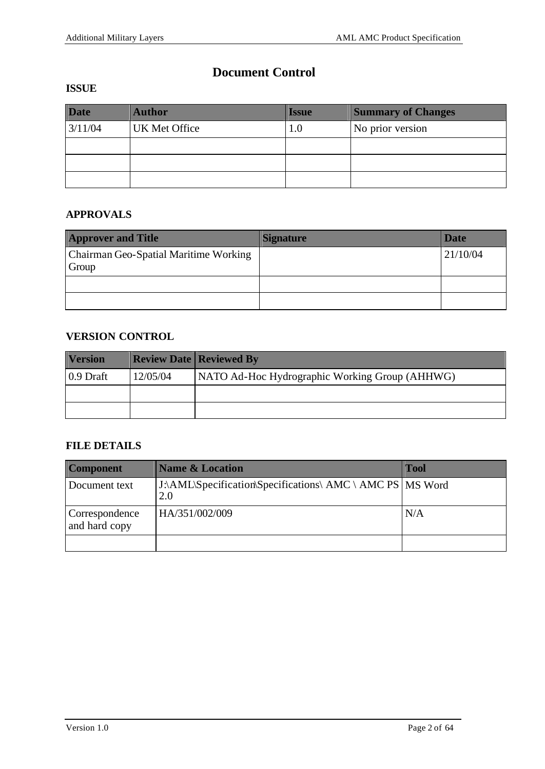## **Document Control**

#### **ISSUE**

| <b>Date</b> | <b>Author</b>        | <b>Issue</b> | <b>Summary of Changes</b> |
|-------------|----------------------|--------------|---------------------------|
| 3/11/04     | <b>UK Met Office</b> | 1.0          | No prior version          |
|             |                      |              |                           |
|             |                      |              |                           |
|             |                      |              |                           |

#### **APPROVALS**

| <b>Approver and Title</b>                      | <b>Signature</b> | <b>Date</b> |
|------------------------------------------------|------------------|-------------|
| Chairman Geo-Spatial Maritime Working<br>Group |                  | 21/10/04    |
|                                                |                  |             |
|                                                |                  |             |

### **VERSION CONTROL**

| <b>Version</b> |          | <b>Review Date   Reviewed By</b>               |
|----------------|----------|------------------------------------------------|
| $0.9$ Draft    | 12/05/04 | NATO Ad-Hoc Hydrographic Working Group (AHHWG) |
|                |          |                                                |
|                |          |                                                |

## **FILE DETAILS**

| <b>Component</b>                | <b>Name &amp; Location</b>                                         | <b>Tool</b> |
|---------------------------------|--------------------------------------------------------------------|-------------|
| Document text                   | J:\AML\Specification\Specifications\ AMC \ AMC PS   MS Word<br>2.0 |             |
| Correspondence<br>and hard copy | HA/351/002/009                                                     | N/A         |
|                                 |                                                                    |             |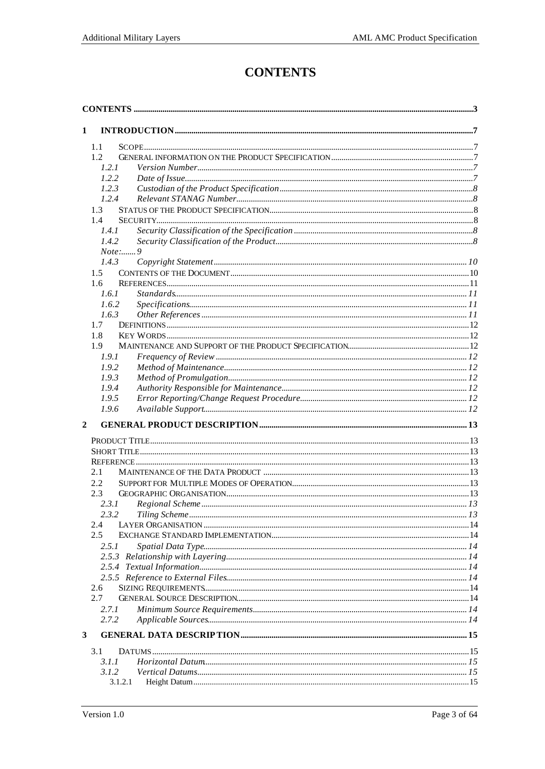## **CONTENTS**

| $\mathbf{1}$   |                 |  |
|----------------|-----------------|--|
|                | 1.1             |  |
|                | 1.2             |  |
|                | 1.2.1           |  |
|                | 1.2.2           |  |
|                | 1.2.3           |  |
|                | 1.2.4           |  |
|                | 1.3             |  |
|                | 1.4             |  |
|                | 1.4.1           |  |
|                | 1.4.2           |  |
|                | $Note: \dots 9$ |  |
|                | 1.4.3           |  |
|                | $1.5^{\circ}$   |  |
|                | 1.6             |  |
|                | 1.6.1           |  |
|                | 1.6.2           |  |
|                | 1.6.3           |  |
|                | 1.7             |  |
|                | 1.8             |  |
|                | 1.9             |  |
|                | 1.9.1           |  |
|                | 1.9.2           |  |
|                | 1.9.3           |  |
|                | 1.9.4           |  |
|                | 1.9.5           |  |
|                | 1.9.6           |  |
| $\overline{2}$ |                 |  |
|                |                 |  |
|                |                 |  |
|                |                 |  |
|                | 2.1             |  |
|                | 2.2.            |  |
|                | 2.3             |  |
|                | 2.3.1           |  |
|                | 2.3.2           |  |
|                | 2.4             |  |
|                | 2.5             |  |
|                | 2.5.1           |  |
|                |                 |  |
|                |                 |  |
|                |                 |  |
|                | 2.6             |  |
|                | 2.7             |  |
|                | 2.7.1           |  |
|                | 2.7.2           |  |
| 3              |                 |  |
|                | 3.1             |  |
|                | 3.1.1           |  |
|                | 3.1.2           |  |
|                | 3.1.2.1         |  |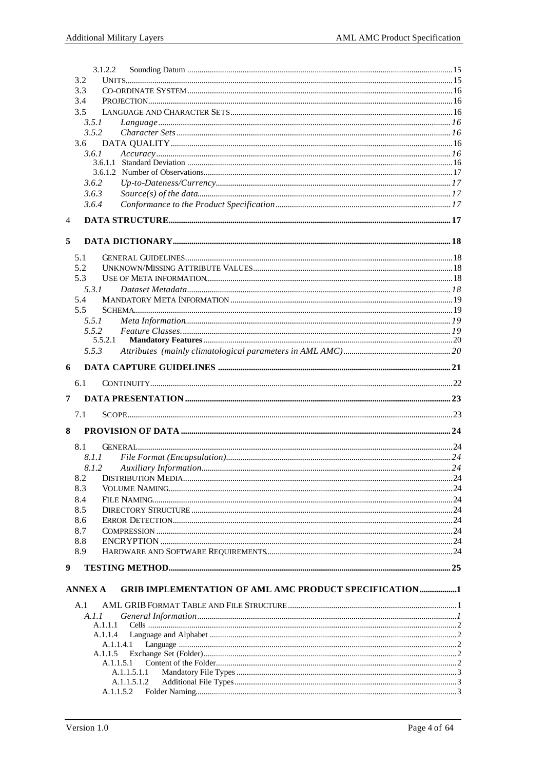|   | 3.1.2.2        |                                                              |  |
|---|----------------|--------------------------------------------------------------|--|
|   | 3.2            |                                                              |  |
|   | 3.3            |                                                              |  |
|   | 3.4            |                                                              |  |
|   | 3.5            |                                                              |  |
|   | 3.5.1          |                                                              |  |
|   | 3.5.2          |                                                              |  |
|   | 3.6            |                                                              |  |
|   | 3.6.1          |                                                              |  |
|   |                |                                                              |  |
|   | 3.6.2          |                                                              |  |
|   | 3.6.3          |                                                              |  |
|   | 3.6.4          |                                                              |  |
|   |                |                                                              |  |
| 4 |                |                                                              |  |
| 5 |                |                                                              |  |
|   | 5.1            |                                                              |  |
|   | 5.2            |                                                              |  |
|   | 5.3            |                                                              |  |
|   | 5.3.1          |                                                              |  |
|   | 5.4            |                                                              |  |
|   | 5.5            |                                                              |  |
|   | 5.5.1          |                                                              |  |
|   | 5.5.2          |                                                              |  |
|   | 5.5.2.1        |                                                              |  |
|   | 5.5.3          |                                                              |  |
| 6 |                |                                                              |  |
|   | 6.1            |                                                              |  |
|   |                |                                                              |  |
|   |                |                                                              |  |
| 7 |                |                                                              |  |
|   | 7.1            |                                                              |  |
| 8 |                |                                                              |  |
|   | 8.1            |                                                              |  |
|   | 8.1.1          |                                                              |  |
|   | 8.1.2          |                                                              |  |
|   | 8.2            |                                                              |  |
|   | 8.3            |                                                              |  |
|   | 8.4            |                                                              |  |
|   | 8.5            |                                                              |  |
|   | 8.6            |                                                              |  |
|   | 8.7            |                                                              |  |
|   | 8.8            |                                                              |  |
|   | 8.9            |                                                              |  |
| 9 |                |                                                              |  |
|   | <b>ANNEX A</b> | <b>GRIB IMPLEMENTATION OF AML AMC PRODUCT SPECIFICATION1</b> |  |
|   |                |                                                              |  |
|   | A.1<br>A. I. I |                                                              |  |
|   | A.1.1.1        |                                                              |  |
|   | A.1.1.4        |                                                              |  |
|   | A.1.1.4.1      |                                                              |  |
|   | A.1.1.5        |                                                              |  |
|   | A.1.1.5.1      |                                                              |  |
|   |                | A.1.1.5.1.1<br>A.1.1.5.1.2                                   |  |
|   | A.1.1.5.2      |                                                              |  |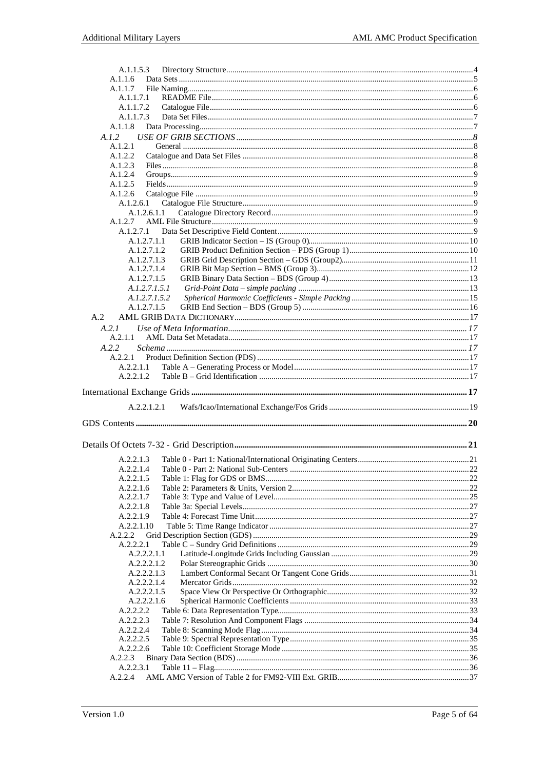| A.1.1.5.3     |  |
|---------------|--|
| A.1.1.6       |  |
| A.1.1.7       |  |
| A.1.1.7.1     |  |
| A.1.1.7.2     |  |
| A.1.1.7.3     |  |
| A.1.1.8       |  |
| A.I.2         |  |
| A.1.2.1       |  |
| A.1.2.2       |  |
| A.1.2.3       |  |
| A.1.2.4       |  |
| A.1.2.5       |  |
| A.1.2.6       |  |
| A.1.2.6.1     |  |
| A.1.2.6.1.1   |  |
| A.1.2.7       |  |
| A.1.2.7.1     |  |
| A.1.2.7.1.1   |  |
| A.1.2.7.1.2   |  |
| A.1.2.7.1.3   |  |
| A.1.2.7.1.4   |  |
| A.1.2.7.1.5   |  |
| A.1.2.7.1.5.1 |  |
| A.1.2.7.1.5.2 |  |
| A.1.2.7.1.5   |  |
| A.2           |  |
| A.2.1         |  |
| A.2.1.1       |  |
| A.2.2         |  |
| A.2.2.1       |  |
|               |  |
| A.2.2.1.1     |  |
| A.2.2.1.2     |  |
|               |  |
|               |  |
|               |  |
| A.2.2.1.2.1   |  |
|               |  |
|               |  |
|               |  |
|               |  |
| A.2.2.1.3     |  |
| A.2.2.1.4     |  |
| A.2.2.1.5     |  |
| A.2.2.1.6     |  |
| A.2.2.1.7     |  |
| A.2.2.1.8     |  |
| A.2.2.1.9     |  |
| A.2.2.1.10    |  |
| A.2.2.2       |  |
| A.2.2.2.1     |  |
| A.2.2.2.1.1   |  |
| A.2.2.2.1.2   |  |
| A.2.2.2.1.3   |  |
| A.2.2.2.1.4   |  |
| A.2.2.2.1.5   |  |
| A.2.2.2.1.6   |  |
| A.2.2.2.2     |  |
| A.2.2.2.3     |  |
| A.2.2.2.4     |  |
| A.2.2.2.5     |  |
| A.2.2.2.6     |  |
| A.2.2.3       |  |
| A.2.2.3.1     |  |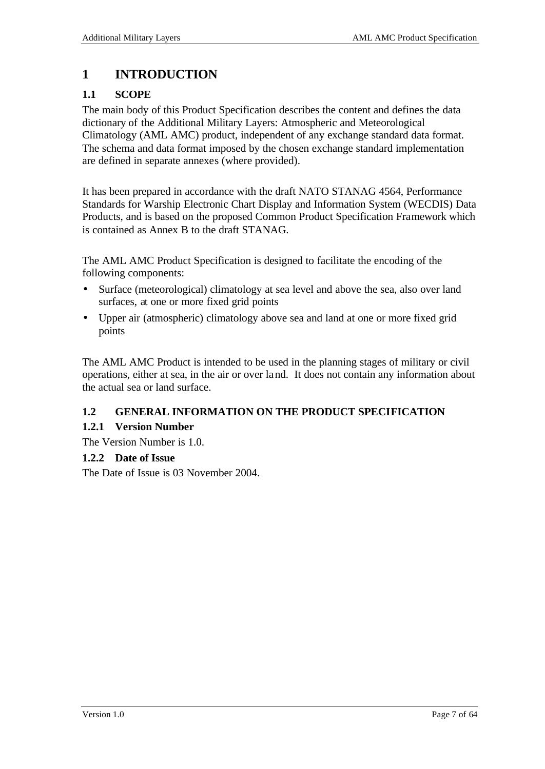## **1 INTRODUCTION**

## **1.1 SCOPE**

The main body of this Product Specification describes the content and defines the data dictionary of the Additional Military Layers: Atmospheric and Meteorological Climatology (AML AMC) product, independent of any exchange standard data format. The schema and data format imposed by the chosen exchange standard implementation are defined in separate annexes (where provided).

It has been prepared in accordance with the draft NATO STANAG 4564, Performance Standards for Warship Electronic Chart Display and Information System (WECDIS) Data Products, and is based on the proposed Common Product Specification Framework which is contained as Annex B to the draft STANAG.

The AML AMC Product Specification is designed to facilitate the encoding of the following components:

- Surface (meteorological) climatology at sea level and above the sea, also over land surfaces, at one or more fixed grid points
- Upper air (atmospheric) climatology above sea and land at one or more fixed grid points

The AML AMC Product is intended to be used in the planning stages of military or civil operations, either at sea, in the air or over land. It does not contain any information about the actual sea or land surface.

## **1.2 GENERAL INFORMATION ON THE PRODUCT SPECIFICATION**

## **1.2.1 Version Number**

The Version Number is 1.0.

### **1.2.2 Date of Issue**

The Date of Issue is 03 November 2004.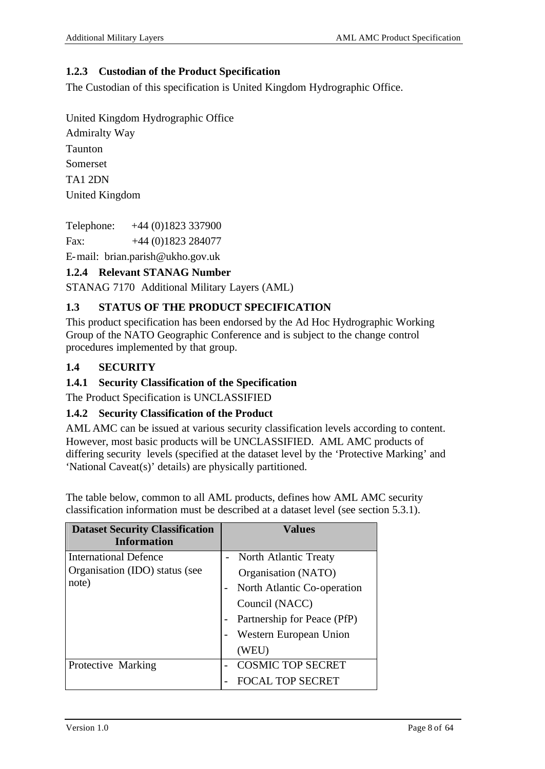### **1.2.3 Custodian of the Product Specification**

The Custodian of this specification is United Kingdom Hydrographic Office.

United Kingdom Hydrographic Office

Admiralty Way Taunton Somerset TA1 2DN United Kingdom

Telephone: +44 (0)1823 337900

Fax: +44 (0)1823 284077

E-mail: brian.parish@ukho.gov.uk

## **1.2.4 Relevant STANAG Number**

STANAG 7170 Additional Military Layers (AML)

## **1.3 STATUS OF THE PRODUCT SPECIFICATION**

This product specification has been endorsed by the Ad Hoc Hydrographic Working Group of the NATO Geographic Conference and is subject to the change control procedures implemented by that group.

## **1.4 SECURITY**

### **1.4.1 Security Classification of the Specification**

The Product Specification is UNCLASSIFIED

### **1.4.2 Security Classification of the Product**

AML AMC can be issued at various security classification levels according to content. However, most basic products will be UNCLASSIFIED. AML AMC products of differing security levels (specified at the dataset level by the 'Protective Marking' and 'National Caveat(s)' details) are physically partitioned.

The table below, common to all AML products, defines how AML AMC security classification information must be described at a dataset level (see section 5.3.1).

| <b>Dataset Security Classification</b><br><b>Information</b>     | <b>Values</b>                                                                      |
|------------------------------------------------------------------|------------------------------------------------------------------------------------|
| International Defence<br>Organisation (IDO) status (see<br>note) | <b>North Atlantic Treaty</b><br>Organisation (NATO)<br>North Atlantic Co-operation |
|                                                                  | Council (NACC)<br>Partnership for Peace (PfP)<br>Western European Union<br>(WEU)   |
| Protective Marking                                               | <b>COSMIC TOP SECRET</b><br><b>FOCAL TOP SECRET</b>                                |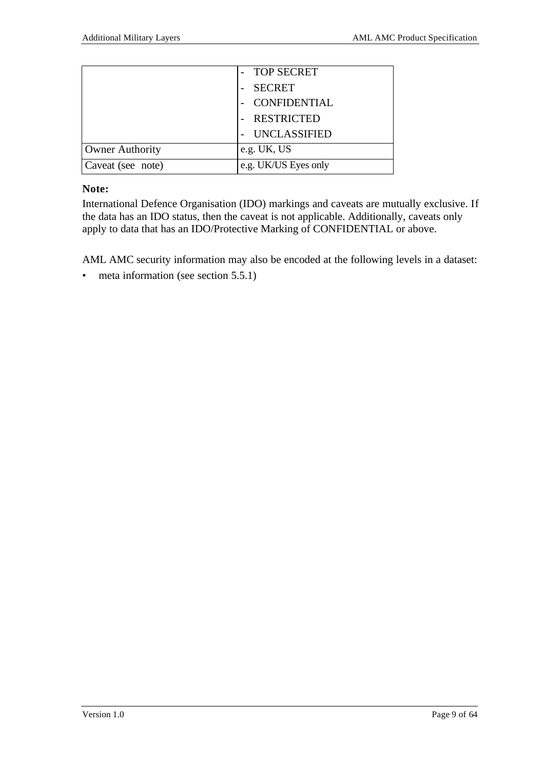|                        | <b>TOP SECRET</b>    |
|------------------------|----------------------|
|                        | <b>SECRET</b>        |
|                        | CONFIDENTIAL         |
|                        | <b>RESTRICTED</b>    |
|                        | UNCLASSIFIED         |
| <b>Owner Authority</b> | e.g. UK, US          |
| Caveat (see note)      | e.g. UK/US Eyes only |

### **Note:**

International Defence Organisation (IDO) markings and caveats are mutually exclusive. If the data has an IDO status, then the caveat is not applicable. Additionally, caveats only apply to data that has an IDO/Protective Marking of CONFIDENTIAL or above.

AML AMC security information may also be encoded at the following levels in a dataset:

• meta information (see section 5.5.1)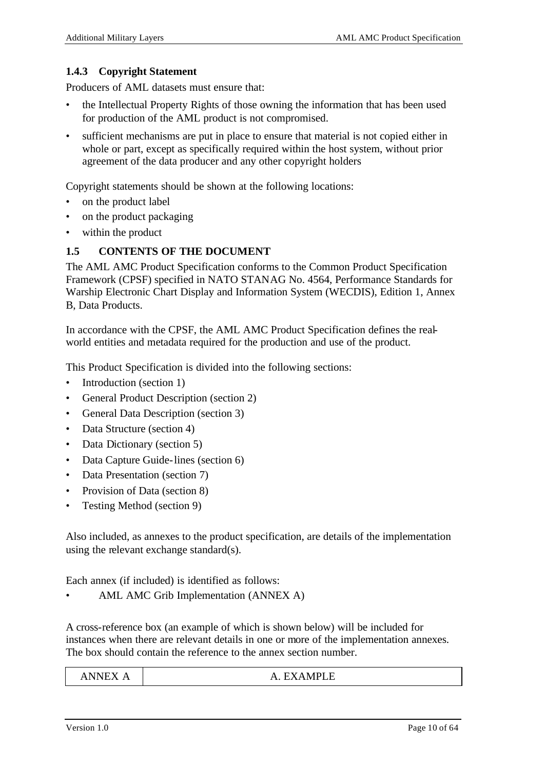### **1.4.3 Copyright Statement**

Producers of AML datasets must ensure that:

- the Intellectual Property Rights of those owning the information that has been used for production of the AML product is not compromised.
- sufficient mechanisms are put in place to ensure that material is not copied either in whole or part, except as specifically required within the host system, without prior agreement of the data producer and any other copyright holders

Copyright statements should be shown at the following locations:

- on the product label
- on the product packaging
- within the product

### **1.5 CONTENTS OF THE DOCUMENT**

The AML AMC Product Specification conforms to the Common Product Specification Framework (CPSF) specified in NATO STANAG No. 4564, Performance Standards for Warship Electronic Chart Display and Information System (WECDIS), Edition 1, Annex B, Data Products.

In accordance with the CPSF, the AML AMC Product Specification defines the realworld entities and metadata required for the production and use of the product.

This Product Specification is divided into the following sections:

- Introduction (section 1)
- General Product Description (section 2)
- General Data Description (section 3)
- Data Structure (section 4)
- Data Dictionary (section 5)
- Data Capture Guide-lines (section 6)
- Data Presentation (section 7)
- Provision of Data (section 8)
- Testing Method (section 9)

Also included, as annexes to the product specification, are details of the implementation using the relevant exchange standard(s).

Each annex (if included) is identified as follows:

• AML AMC Grib Implementation (ANNEX A)

A cross-reference box (an example of which is shown below) will be included for instances when there are relevant details in one or more of the implementation annexes. The box should contain the reference to the annex section number.

| <b>ANNEX</b> | <b>EXAMPLE</b><br>$\mathbf{A}$<br>ப⊏ |
|--------------|--------------------------------------|
|--------------|--------------------------------------|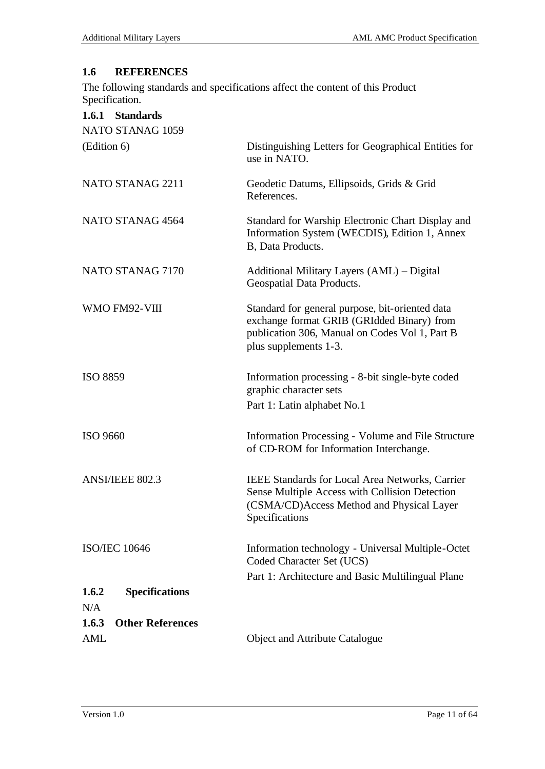## **1.6 REFERENCES**

The following standards and specifications affect the content of this Product Specification.

| 1.6.1 Standards                  |                                                                                                                                                                          |
|----------------------------------|--------------------------------------------------------------------------------------------------------------------------------------------------------------------------|
| NATO STANAG 1059                 |                                                                                                                                                                          |
| (Edition 6)                      | Distinguishing Letters for Geographical Entities for<br>use in NATO.                                                                                                     |
| NATO STANAG 2211                 | Geodetic Datums, Ellipsoids, Grids & Grid<br>References.                                                                                                                 |
| NATO STANAG 4564                 | Standard for Warship Electronic Chart Display and<br>Information System (WECDIS), Edition 1, Annex<br>B, Data Products.                                                  |
| NATO STANAG 7170                 | Additional Military Layers (AML) - Digital<br>Geospatial Data Products.                                                                                                  |
| WMO FM92-VIII                    | Standard for general purpose, bit-oriented data<br>exchange format GRIB (GRIdded Binary) from<br>publication 306, Manual on Codes Vol 1, Part B<br>plus supplements 1-3. |
| <b>ISO 8859</b>                  | Information processing - 8-bit single-byte coded<br>graphic character sets<br>Part 1: Latin alphabet No.1                                                                |
| ISO 9660                         | Information Processing - Volume and File Structure<br>of CD-ROM for Information Interchange.                                                                             |
| ANSI/IEEE 802.3                  | <b>IEEE Standards for Local Area Networks, Carrier</b><br>Sense Multiple Access with Collision Detection<br>(CSMA/CD)Access Method and Physical Layer<br>Specifications  |
| <b>ISO/IEC 10646</b>             | Information technology - Universal Multiple-Octet<br>Coded Character Set (UCS)                                                                                           |
|                                  | Part 1: Architecture and Basic Multilingual Plane                                                                                                                        |
| 1.6.2<br><b>Specifications</b>   |                                                                                                                                                                          |
| N/A                              |                                                                                                                                                                          |
| 1.6.3<br><b>Other References</b> |                                                                                                                                                                          |
| <b>AML</b>                       | Object and Attribute Catalogue                                                                                                                                           |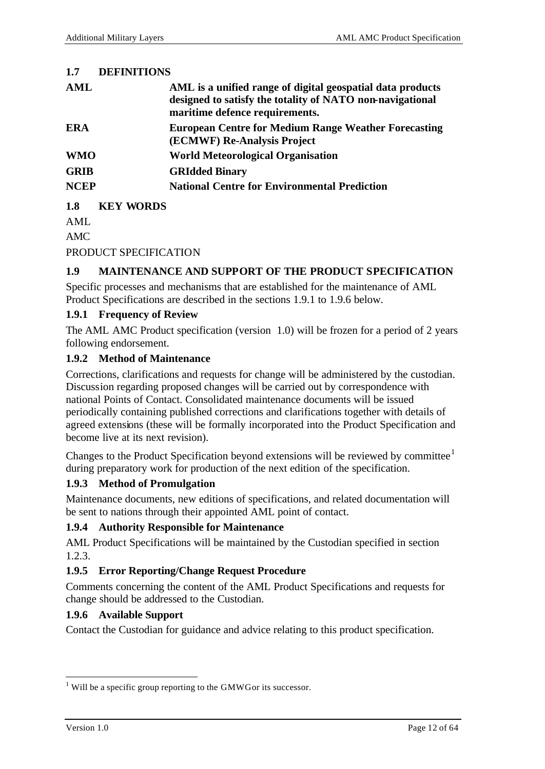### **1.7 DEFINITIONS**

| AML         | AML is a unified range of digital geospatial data products<br>designed to satisfy the totality of NATO non-navigational<br>maritime defence requirements. |
|-------------|-----------------------------------------------------------------------------------------------------------------------------------------------------------|
| <b>ERA</b>  | <b>European Centre for Medium Range Weather Forecasting</b><br>(ECMWF) Re-Analysis Project                                                                |
| <b>WMO</b>  | <b>World Meteorological Organisation</b>                                                                                                                  |
| <b>GRIB</b> | <b>GRIdded Binary</b>                                                                                                                                     |
| <b>NCEP</b> | <b>National Centre for Environmental Prediction</b>                                                                                                       |

**1.8 KEY WORDS**

AML

AMC

PRODUCT SPECIFICATION

### **1.9 MAINTENANCE AND SUPPORT OF THE PRODUCT SPECIFICATION**

Specific processes and mechanisms that are established for the maintenance of AML Product Specifications are described in the sections 1.9.1 to 1.9.6 below.

### **1.9.1 Frequency of Review**

The AML AMC Product specification (version 1.0) will be frozen for a period of 2 years following endorsement.

### **1.9.2 Method of Maintenance**

Corrections, clarifications and requests for change will be administered by the custodian. Discussion regarding proposed changes will be carried out by correspondence with national Points of Contact. Consolidated maintenance documents will be issued periodically containing published corrections and clarifications together with details of agreed extensions (these will be formally incorporated into the Product Specification and become live at its next revision).

Changes to the Product Specification beyond extensions will be reviewed by committee $<sup>1</sup>$ </sup> during preparatory work for production of the next edition of the specification.

## **1.9.3 Method of Promulgation**

Maintenance documents, new editions of specifications, and related documentation will be sent to nations through their appointed AML point of contact.

### **1.9.4 Authority Responsible for Maintenance**

AML Product Specifications will be maintained by the Custodian specified in section 1.2.3.

## **1.9.5 Error Reporting/Change Request Procedure**

Comments concerning the content of the AML Product Specifications and requests for change should be addressed to the Custodian.

### **1.9.6 Available Support**

Contact the Custodian for guidance and advice relating to this product specification.

l

 $1$  Will be a specific group reporting to the GMWG or its successor.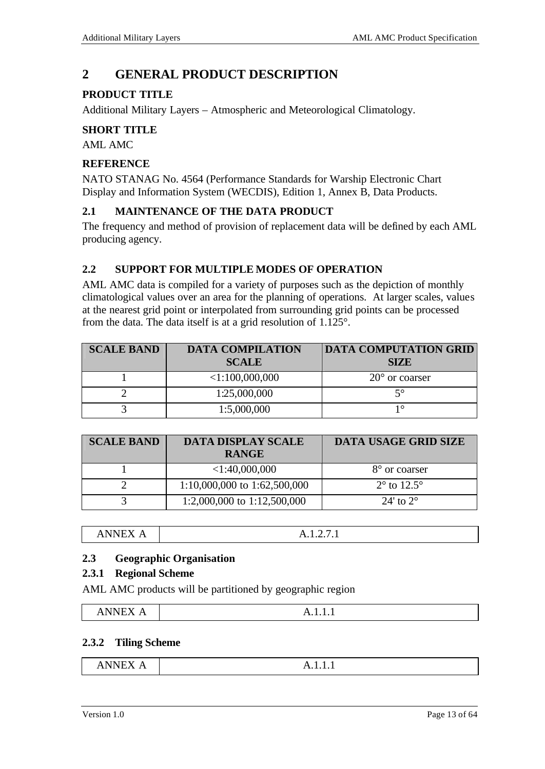## **2 GENERAL PRODUCT DESCRIPTION**

## **PRODUCT TITLE**

Additional Military Layers – Atmospheric and Meteorological Climatology.

### **SHORT TITLE**

AML AMC

### **REFERENCE**

NATO STANAG No. 4564 (Performance Standards for Warship Electronic Chart Display and Information System (WECDIS), Edition 1, Annex B, Data Products.

### **2.1 MAINTENANCE OF THE DATA PRODUCT**

The frequency and method of provision of replacement data will be defined by each AML producing agency.

### **2.2 SUPPORT FOR MULTIPLE MODES OF OPERATION**

AML AMC data is compiled for a variety of purposes such as the depiction of monthly climatological values over an area for the planning of operations. At larger scales, values at the nearest grid point or interpolated from surrounding grid points can be processed from the data. The data itself is at a grid resolution of 1.125°.

| <b>SCALE BAND</b> | <b>DATA COMPILATION</b><br><b>SCALE</b> | <b>DATA COMPUTATION GRID</b><br><b>SIZE</b> |
|-------------------|-----------------------------------------|---------------------------------------------|
|                   | < 1:100,000,000                         | $20^{\circ}$ or coarser                     |
|                   | 1:25,000,000                            | ៹∘                                          |
|                   | 1:5,000,000                             | 10                                          |

| <b>SCALE BAND</b> | <b>DATA DISPLAY SCALE</b><br><b>RANGE</b> | <b>DATA USAGE GRID SIZE</b>   |
|-------------------|-------------------------------------------|-------------------------------|
|                   | $<$ 1:40,000,000                          | 8° or coarser                 |
|                   | $1:10,000,000$ to $1:62,500,000$          | $2^{\circ}$ to $12.5^{\circ}$ |
|                   | 1:2,000,000 to 1:12,500,000               | 24' to $2^{\circ}$            |

### **2.3 Geographic Organisation**

### **2.3.1 Regional Scheme**

AML AMC products will be partitioned by geographic region

| _______<br>. н.<br><br>. .<br>.<br>-- | . |
|---------------------------------------|---|

### **2.3.2 Tiling Scheme**

| -------<br>n<br>$\overline{\phantom{a}}$<br>the contract of the contract of the contract of the contract of the contract of the contract of the contract of | <i>11.1.1.1</i> |
|-------------------------------------------------------------------------------------------------------------------------------------------------------------|-----------------|
|                                                                                                                                                             |                 |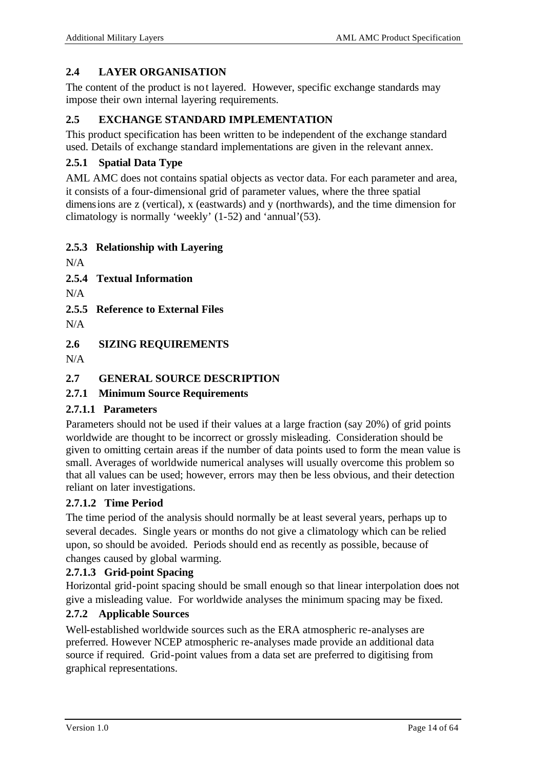## **2.4 LAYER ORGANISATION**

The content of the product is not layered. However, specific exchange standards may impose their own internal layering requirements.

### **2.5 EXCHANGE STANDARD IMPLEMENTATION**

This product specification has been written to be independent of the exchange standard used. Details of exchange standard implementations are given in the relevant annex.

### **2.5.1 Spatial Data Type**

AML AMC does not contains spatial objects as vector data. For each parameter and area, it consists of a four-dimensional grid of parameter values, where the three spatial dimensions are z (vertical), x (eastwards) and y (northwards), and the time dimension for climatology is normally 'weekly' (1-52) and 'annual'(53).

### **2.5.3 Relationship with Layering**

 $N/A$ 

**2.5.4 Textual Information**

 $N/A$ 

**2.5.5 Reference to External Files**

 $N/A$ 

**2.6 SIZING REQUIREMENTS**

 $N/A$ 

### **2.7 GENERAL SOURCE DESCRIPTION**

### **2.7.1 Minimum Source Requirements**

### **2.7.1.1 Parameters**

Parameters should not be used if their values at a large fraction (say 20%) of grid points worldwide are thought to be incorrect or grossly misleading. Consideration should be given to omitting certain areas if the number of data points used to form the mean value is small. Averages of worldwide numerical analyses will usually overcome this problem so that all values can be used; however, errors may then be less obvious, and their detection reliant on later investigations.

## **2.7.1.2 Time Period**

The time period of the analysis should normally be at least several years, perhaps up to several decades. Single years or months do not give a climatology which can be relied upon, so should be avoided. Periods should end as recently as possible, because of changes caused by global warming.

### **2.7.1.3 Grid-point Spacing**

Horizontal grid-point spacing should be small enough so that linear interpolation does not give a misleading value. For worldwide analyses the minimum spacing may be fixed.

### **2.7.2 Applicable Sources**

Well-established worldwide sources such as the ERA atmospheric re-analyses are preferred. However NCEP atmospheric re-analyses made provide an additional data source if required. Grid-point values from a data set are preferred to digitising from graphical representations.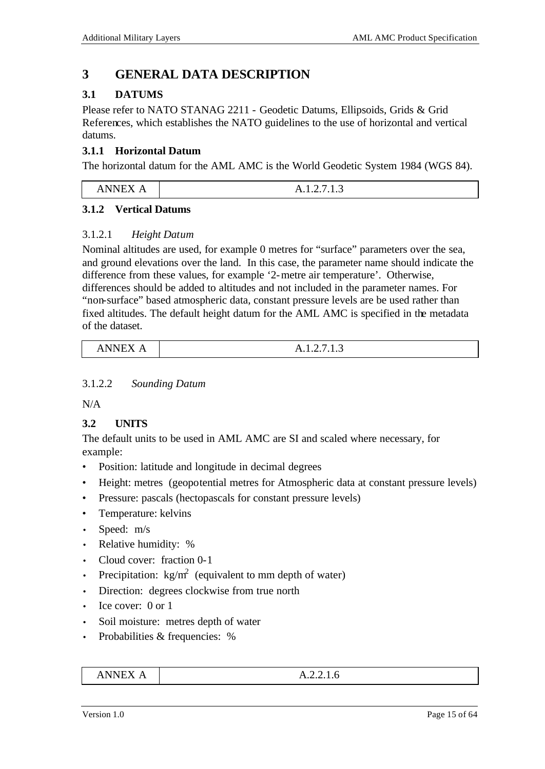## **3 GENERAL DATA DESCRIPTION**

## **3.1 DATUMS**

Please refer to NATO STANAG 2211 - Geodetic Datums, Ellipsoids, Grids & Grid References, which establishes the NATO guidelines to the use of horizontal and vertical datums.

## **3.1.1 Horizontal Datum**

The horizontal datum for the AML AMC is the World Geodetic System 1984 (WGS 84).

| -------                   | -                 |
|---------------------------|-------------------|
| .<br>.<br>$\cdot$ $\cdot$ | _<br>11.1.4.1.1.J |

### **3.1.2 Vertical Datums**

## 3.1.2.1 *Height Datum*

Nominal altitudes are used, for example 0 metres for "surface" parameters over the sea, and ground elevations over the land. In this case, the parameter name should indicate the difference from these values, for example '2-metre air temperature'. Otherwise, differences should be added to altitudes and not included in the parameter names. For "non-surface" based atmospheric data, constant pressure levels are be used rather than fixed altitudes. The default height datum for the AML AMC is specified in the metadata of the dataset.

| $\sim$ $\sim$ $\sim$ $\sim$ $\sim$ $\sim$<br>NIN<br>A1<br>* ** ** **** * * * | -<br>-<br>11.1.4.1.1.J |
|------------------------------------------------------------------------------|------------------------|
|------------------------------------------------------------------------------|------------------------|

### 3.1.2.2 *Sounding Datum*

N/A

## **3.2 UNITS**

The default units to be used in AML AMC are SI and scaled where necessary, for example:

- Position: latitude and longitude in decimal degrees
- Height: metres (geopotential metres for Atmospheric data at constant pressure levels)
- Pressure: pascals (hectopascals for constant pressure levels)
- Temperature: kelvins
- Speed: m/s
- Relative humidity: %
- Cloud cover: fraction 0-1
- Precipitation:  $\text{kg/m}^2$  (equivalent to mm depth of water)
- Direction: degrees clockwise from true north
- Ice cover: 0 or 1
- Soil moisture: metres depth of water
- Probabilities & frequencies: %

| ANNEX A | A.2.2.1.6 |
|---------|-----------|
|---------|-----------|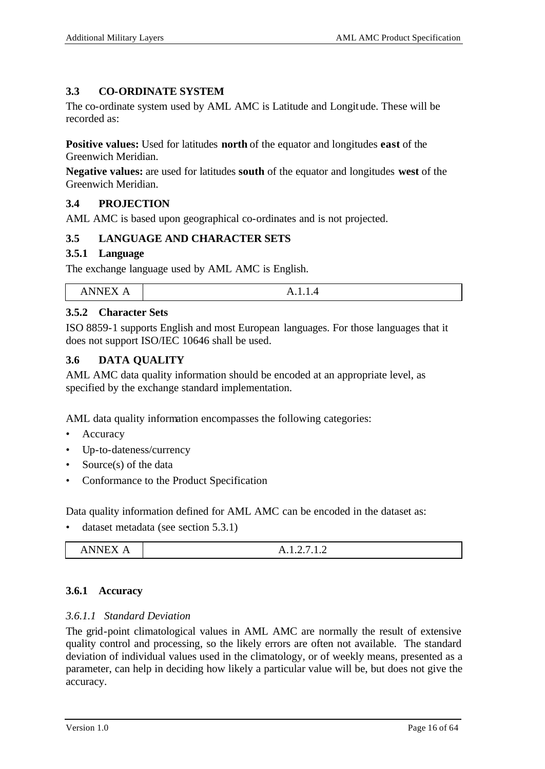### **3.3 CO-ORDINATE SYSTEM**

The co-ordinate system used by AML AMC is Latitude and Longitude. These will be recorded as:

**Positive values:** Used for latitudes **north** of the equator and longitudes **east** of the Greenwich Meridian.

**Negative values:** are used for latitudes **south** of the equator and longitudes **west** of the Greenwich Meridian.

### **3.4 PROJECTION**

AML AMC is based upon geographical co-ordinates and is not projected.

### **3.5 LANGUAGE AND CHARACTER SETS**

### **3.5.1 Language**

The exchange language used by AML AMC is English.

| _______<br>אי<br>n<br>N<br>. .<br><br>_<br>.<br>.<br>. .<br>-<br>the contract of the contract of the contract of the contract of the contract of the contract of the contract of |
|----------------------------------------------------------------------------------------------------------------------------------------------------------------------------------|
|----------------------------------------------------------------------------------------------------------------------------------------------------------------------------------|

### **3.5.2 Character Sets**

ISO 8859-1 supports English and most European languages. For those languages that it does not support ISO/IEC 10646 shall be used.

### **3.6 DATA QUALITY**

AML AMC data quality information should be encoded at an appropriate level, as specified by the exchange standard implementation.

AML data quality information encompasses the following categories:

- Accuracy
- Up-to-dateness/currency
- Source(s) of the data
- Conformance to the Product Specification

Data quality information defined for AML AMC can be encoded in the dataset as:

• dataset metadata (see section 5.3.1)

| <b>NIMITY</b><br>'N<br>$\overline{\phantom{a}}$<br><b>AAA 14 1</b><br>11 1 1 1 1 1 1 1 | $\overline{\phantom{a}}$<br>23<br>A.1.2.1.1.2 |
|----------------------------------------------------------------------------------------|-----------------------------------------------|
|----------------------------------------------------------------------------------------|-----------------------------------------------|

### **3.6.1 Accuracy**

### *3.6.1.1 Standard Deviation*

The grid-point climatological values in AML AMC are normally the result of extensive quality control and processing, so the likely errors are often not available. The standard deviation of individual values used in the climatology, or of weekly means, presented as a parameter, can help in deciding how likely a particular value will be, but does not give the accuracy.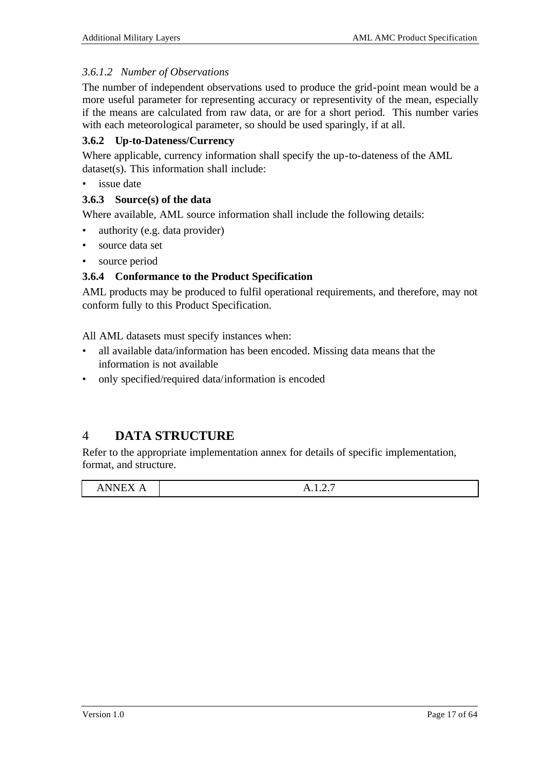### *3.6.1.2 Number of Observations*

The number of independent observations used to produce the grid-point mean would be a more useful parameter for representing accuracy or representivity of the mean, especially if the means are calculated from raw data, or are for a short period. This number varies with each meteorological parameter, so should be used sparingly, if at all.

### **3.6.2 Up-to-Dateness/Currency**

Where applicable, currency information shall specify the up-to-dateness of the AML dataset(s). This information shall include:

• issue date

### **3.6.3 Source(s) of the data**

Where available, AML source information shall include the following details:

- authority (e.g. data provider)
- source data set
- source period

### **3.6.4 Conformance to the Product Specification**

AML products may be produced to fulfil operational requirements, and therefore, may not conform fully to this Product Specification.

All AML datasets must specify instances when:

- all available data/information has been encoded. Missing data means that the information is not available
- only specified/required data/information is encoded

## 4 **DATA STRUCTURE**

Refer to the appropriate implementation annex for details of specific implementation, format, and structure.

| $\sim$ $\sim$ $\sim$ $\sim$ $\sim$ $\sim$ | . <i>.</i> |
|-------------------------------------------|------------|
|                                           | 1.1.1.4.1  |
|                                           |            |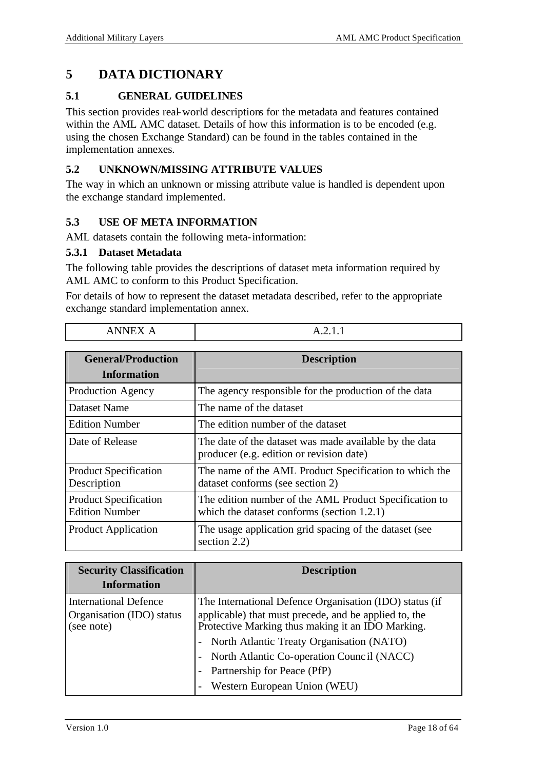## **5 DATA DICTIONARY**

### **5.1 GENERAL GUIDELINES**

This section provides real-world descriptions for the metadata and features contained within the AML AMC dataset. Details of how this information is to be encoded (e.g. using the chosen Exchange Standard) can be found in the tables contained in the implementation annexes.

### **5.2 UNKNOWN/MISSING ATTRIBUTE VALUES**

The way in which an unknown or missing attribute value is handled is dependent upon the exchange standard implemented.

### **5.3 USE OF META INFORMATION**

AML datasets contain the following meta-information:

#### **5.3.1 Dataset Metadata**

Ē

The following table provides the descriptions of dataset meta information required by AML AMC to conform to this Product Specification.

For details of how to represent the dataset metadata described, refer to the appropriate exchange standard implementation annex.

| ANNEX A                                               | $\Delta$ 2 1 1                                                                                       |
|-------------------------------------------------------|------------------------------------------------------------------------------------------------------|
| <b>General/Production</b><br><b>Information</b>       | <b>Description</b>                                                                                   |
| Production Agency                                     | The agency responsible for the production of the data                                                |
| Dataset Name                                          | The name of the dataset                                                                              |
| <b>Edition Number</b>                                 | The edition number of the dataset                                                                    |
| Date of Release                                       | The date of the dataset was made available by the data<br>producer (e.g. edition or revision date)   |
| <b>Product Specification</b><br>Description           | The name of the AML Product Specification to which the<br>dataset conforms (see section 2)           |
| <b>Product Specification</b><br><b>Edition Number</b> | The edition number of the AML Product Specification to<br>which the dataset conforms (section 1.2.1) |
| <b>Product Application</b>                            | The usage application grid spacing of the dataset (see<br>section 2.2)                               |

| <b>Security Classification</b><br><b>Information</b>                    | <b>Description</b>                                                                                                                                                    |
|-------------------------------------------------------------------------|-----------------------------------------------------------------------------------------------------------------------------------------------------------------------|
| <b>International Defence</b><br>Organisation (IDO) status<br>(see note) | The International Defence Organisation (IDO) status (if<br>applicable) that must precede, and be applied to, the<br>Protective Marking thus making it an IDO Marking. |
|                                                                         | North Atlantic Treaty Organisation (NATO)<br>$\overline{\phantom{a}}$<br>North Atlantic Co-operation Council (NACC)                                                   |
|                                                                         | Partnership for Peace (PfP)<br>Western European Union (WEU)                                                                                                           |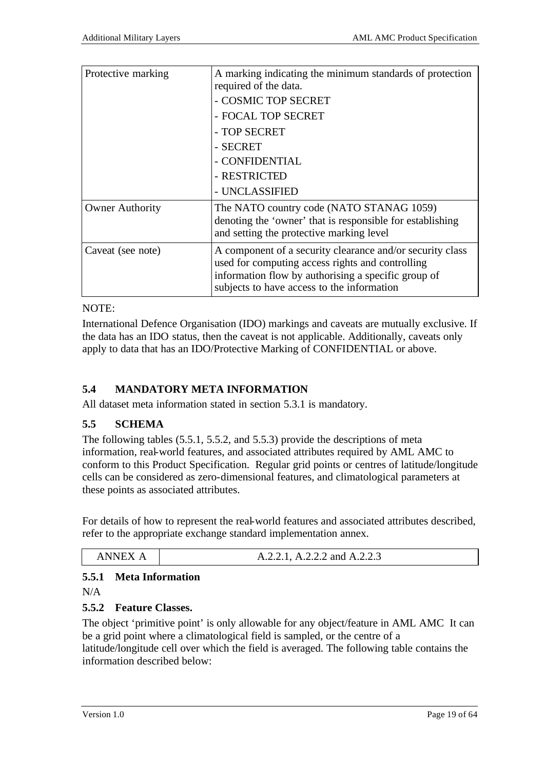| Protective marking     | A marking indicating the minimum standards of protection<br>required of the data.                                                                                                                                  |  |  |  |
|------------------------|--------------------------------------------------------------------------------------------------------------------------------------------------------------------------------------------------------------------|--|--|--|
|                        | - COSMIC TOP SECRET                                                                                                                                                                                                |  |  |  |
|                        | - FOCAL TOP SECRET                                                                                                                                                                                                 |  |  |  |
|                        | - TOP SECRET                                                                                                                                                                                                       |  |  |  |
|                        | - SECRET                                                                                                                                                                                                           |  |  |  |
|                        | - CONFIDENTIAL                                                                                                                                                                                                     |  |  |  |
|                        | - RESTRICTED                                                                                                                                                                                                       |  |  |  |
|                        | - UNCLASSIFIED                                                                                                                                                                                                     |  |  |  |
| <b>Owner Authority</b> | The NATO country code (NATO STANAG 1059)<br>denoting the 'owner' that is responsible for establishing<br>and setting the protective marking level                                                                  |  |  |  |
| Caveat (see note)      | A component of a security clearance and/or security class<br>used for computing access rights and controlling<br>information flow by authorising a specific group of<br>subjects to have access to the information |  |  |  |

#### NOTE:

International Defence Organisation (IDO) markings and caveats are mutually exclusive. If the data has an IDO status, then the caveat is not applicable. Additionally, caveats only apply to data that has an IDO/Protective Marking of CONFIDENTIAL or above.

## **5.4 MANDATORY META INFORMATION**

All dataset meta information stated in section 5.3.1 is mandatory.

## **5.5 SCHEMA**

The following tables (5.5.1, 5.5.2, and 5.5.3) provide the descriptions of meta information, real-world features, and associated attributes required by AML AMC to conform to this Product Specification. Regular grid points or centres of latitude/longitude cells can be considered as zero-dimensional features, and climatological parameters at these points as associated attributes.

For details of how to represent the real-world features and associated attributes described, refer to the appropriate exchange standard implementation annex.

| NNI | $\sim$<br>A.2.2.1, A.2.2.2 and A.2.2.3 |
|-----|----------------------------------------|
|-----|----------------------------------------|

## **5.5.1 Meta Information**

 $N/A$ 

## **5.5.2 Feature Classes.**

The object 'primitive point' is only allowable for any object/feature in AML AMC It can be a grid point where a climatological field is sampled, or the centre of a latitude/longitude cell over which the field is averaged. The following table contains the information described below: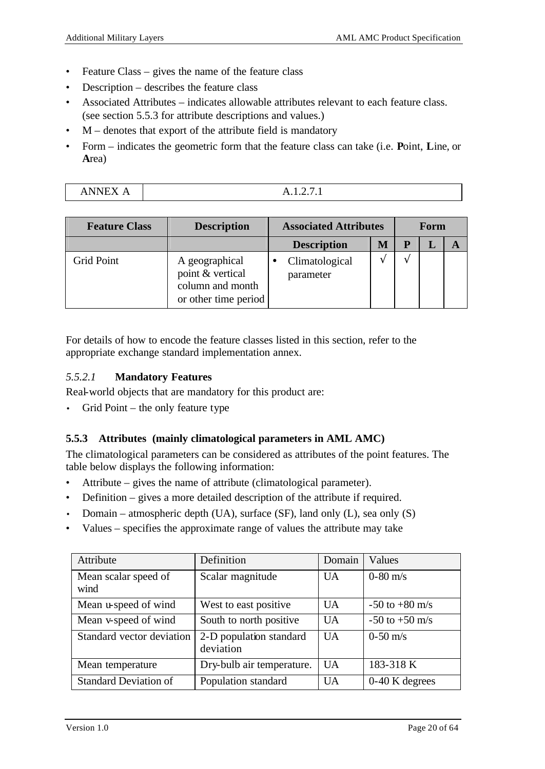- Feature Class gives the name of the feature class
- Description describes the feature class
- Associated Attributes indicates allowable attributes relevant to each feature class. (see section 5.5.3 for attribute descriptions and values.)
- M denotes that export of the attribute field is mandatory
- Form indicates the geometric form that the feature class can take (i.e. **P**oint, **L**ine, or **A**rea)

| <b>Feature Class</b> | <b>Description</b>                                                             | <b>Associated Attributes</b> |                             | Form     |  |  |  |
|----------------------|--------------------------------------------------------------------------------|------------------------------|-----------------------------|----------|--|--|--|
|                      |                                                                                |                              | <b>Description</b>          | <b>N</b> |  |  |  |
| <b>Grid Point</b>    | A geographical<br>point & vertical<br>column and month<br>or other time period |                              | Climatological<br>parameter |          |  |  |  |

For details of how to encode the feature classes listed in this section, refer to the appropriate exchange standard implementation annex.

### *5.5.2.1* **Mandatory Features**

Real-world objects that are mandatory for this product are:

• Grid Point – the only feature type

## **5.5.3 Attributes (mainly climatological parameters in AML AMC)**

The climatological parameters can be considered as attributes of the point features. The table below displays the following information:

- Attribute gives the name of attribute (climatological parameter).
- Definition gives a more detailed description of the attribute if required.
- Domain atmospheric depth (UA), surface (SF), land only  $(L)$ , sea only  $(S)$
- Values specifies the approximate range of values the attribute may take

| Attribute                    | Definition                           | Domain    | Values             |
|------------------------------|--------------------------------------|-----------|--------------------|
| Mean scalar speed of<br>wind | Scalar magnitude                     | <b>UA</b> | $0 - 80$ m/s       |
| Mean u-speed of wind         | West to east positive.               | <b>UA</b> | $-50$ to $+80$ m/s |
| Mean v-speed of wind         | South to north positive              | <b>UA</b> | $-50$ to $+50$ m/s |
| Standard vector deviation    | 2-D population standard<br>deviation | <b>UA</b> | $0-50 \text{ m/s}$ |
| Mean temperature             | Dry-bulb air temperature.            | <b>UA</b> | 183-318 K          |
| <b>Standard Deviation of</b> | Population standard                  | <b>UA</b> | $0-40$ K degrees   |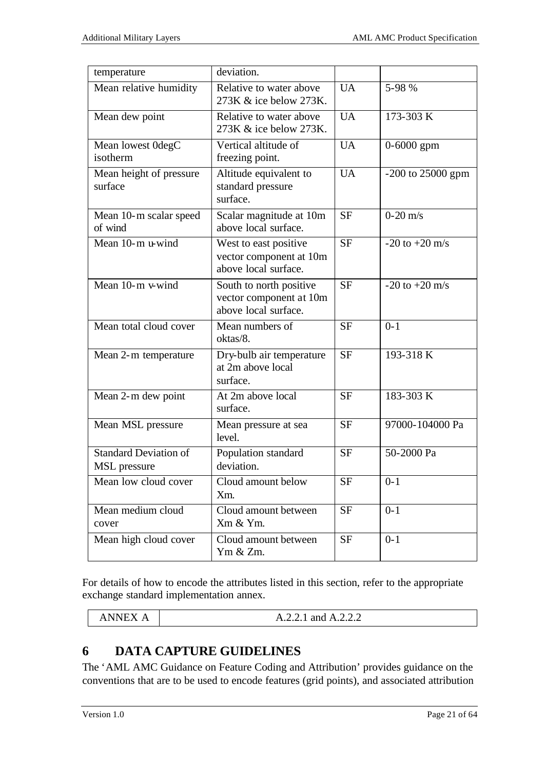| temperature                                  | deviation.                                                                 |           |                       |
|----------------------------------------------|----------------------------------------------------------------------------|-----------|-----------------------|
| Mean relative humidity                       | Relative to water above<br>273K & ice below 273K.                          | <b>UA</b> | 5-98 %                |
| Mean dew point                               | Relative to water above<br>273K & ice below 273K.                          | <b>UA</b> | 173-303 K             |
| Mean lowest 0degC<br>isotherm                | Vertical altitude of<br>freezing point.                                    | <b>UA</b> | $0 - 6000$ gpm        |
| Mean height of pressure<br>surface           | Altitude equivalent to<br>standard pressure<br>surface.                    | <b>UA</b> | $-200$ to $25000$ gpm |
| Mean 10-m scalar speed<br>of wind            | Scalar magnitude at 10m<br>above local surface.                            | <b>SF</b> | $0-20$ m/s            |
| Mean 10-m u-wind                             | West to east positive<br>vector component at 10m<br>above local surface.   | <b>SF</b> | $-20$ to $+20$ m/s    |
| Mean 10-m v-wind                             | South to north positive<br>vector component at 10m<br>above local surface. | <b>SF</b> | $-20$ to $+20$ m/s    |
| Mean total cloud cover                       | Mean numbers of<br>oktas/8.                                                | <b>SF</b> | $0 - 1$               |
| Mean 2-m temperature                         | Dry-bulb air temperature<br>at 2m above local<br>surface.                  | <b>SF</b> | 193-318 K             |
| Mean 2-m dew point                           | At 2m above local<br>surface.                                              | <b>SF</b> | 183-303 K             |
| Mean MSL pressure                            | Mean pressure at sea<br>level.                                             | <b>SF</b> | 97000-104000 Pa       |
| <b>Standard Deviation of</b><br>MSL pressure | Population standard<br>deviation.                                          | <b>SF</b> | 50-2000 Pa            |
| Mean low cloud cover                         | Cloud amount below<br>Xm.                                                  | <b>SF</b> | $0 - 1$               |
| Mean medium cloud<br>cover                   | Cloud amount between<br>Xm & Ym.                                           | <b>SF</b> | $0 - 1$               |
| Mean high cloud cover                        | Cloud amount between<br>Ym & Zm.                                           | <b>SF</b> | $0 - 1$               |

For details of how to encode the attributes listed in this section, refer to the appropriate exchange standard implementation annex.

| ANNEX<br>Δ<br>the contract of the contract of the contract of the contract of the contract of the contract of the contract of | A.2.2.1 and A.2.2.2 |
|-------------------------------------------------------------------------------------------------------------------------------|---------------------|
|-------------------------------------------------------------------------------------------------------------------------------|---------------------|

## **6 DATA CAPTURE GUIDELINES**

The 'AML AMC Guidance on Feature Coding and Attribution' provides guidance on the conventions that are to be used to encode features (grid points), and associated attribution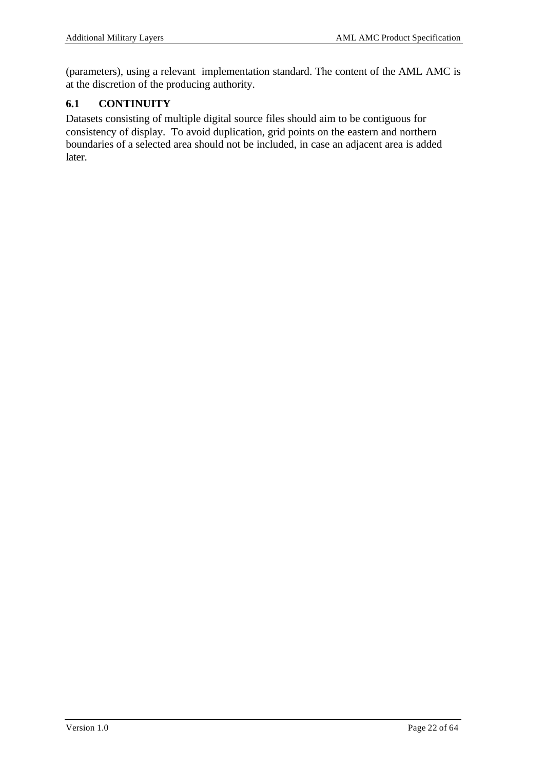(parameters), using a relevant implementation standard. The content of the AML AMC is at the discretion of the producing authority.

## **6.1 CONTINUITY**

Datasets consisting of multiple digital source files should aim to be contiguous for consistency of display. To avoid duplication, grid points on the eastern and northern boundaries of a selected area should not be included, in case an adjacent area is added later.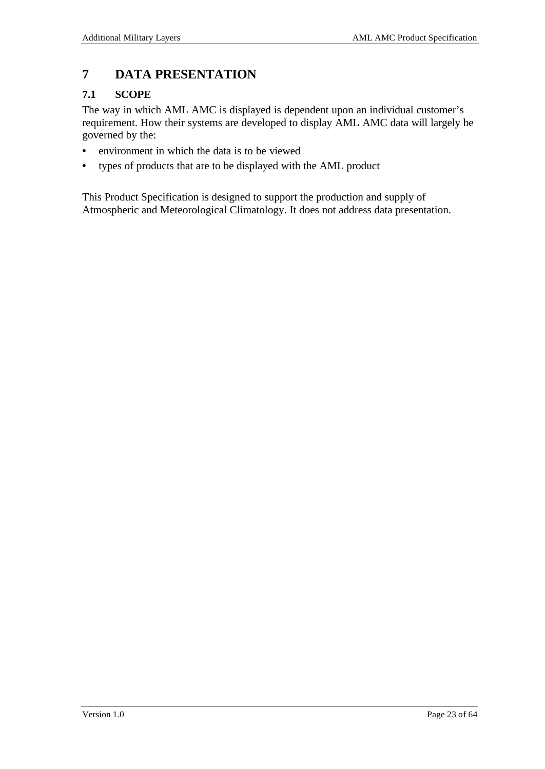## **7 DATA PRESENTATION**

## **7.1 SCOPE**

The way in which AML AMC is displayed is dependent upon an individual customer's requirement. How their systems are developed to display AML AMC data will largely be governed by the:

- environment in which the data is to be viewed
- types of products that are to be displayed with the AML product

This Product Specification is designed to support the production and supply of Atmospheric and Meteorological Climatology. It does not address data presentation.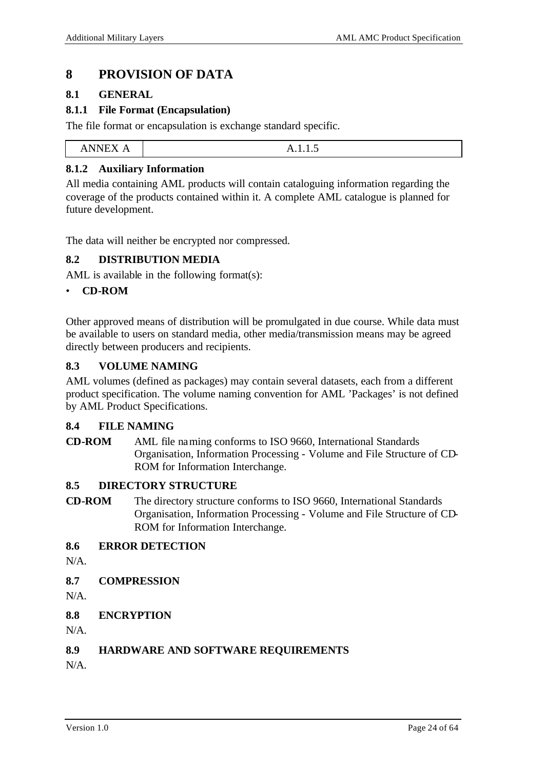## **8 PROVISION OF DATA**

#### **8.1 GENERAL**

#### **8.1.1 File Format (Encapsulation)**

The file format or encapsulation is exchange standard specific.

| <b>NIMITY</b><br>$\lambda$<br>*********** | 11.1.1.0 |
|-------------------------------------------|----------|
|                                           |          |

### **8.1.2 Auxiliary Information**

All media containing AML products will contain cataloguing information regarding the coverage of the products contained within it. A complete AML catalogue is planned for future development.

The data will neither be encrypted nor compressed.

#### **8.2 DISTRIBUTION MEDIA**

AML is available in the following format(s):

#### • **CD-ROM**

Other approved means of distribution will be promulgated in due course. While data must be available to users on standard media, other media/transmission means may be agreed directly between producers and recipients.

#### **8.3 VOLUME NAMING**

AML volumes (defined as packages) may contain several datasets, each from a different product specification. The volume naming convention for AML 'Packages' is not defined by AML Product Specifications.

#### **8.4 FILE NAMING**

**CD-ROM** AML file naming conforms to ISO 9660, International Standards Organisation, Information Processing - Volume and File Structure of CD-ROM for Information Interchange.

### **8.5 DIRECTORY STRUCTURE**

**CD-ROM** The directory structure conforms to ISO 9660, International Standards Organisation, Information Processing - Volume and File Structure of CD-ROM for Information Interchange.

#### **8.6 ERROR DETECTION**

N/A.

**8.7 COMPRESSION**

 $N/A$ 

**8.8 ENCRYPTION**

 $N/A$ .

#### **8.9 HARDWARE AND SOFTWARE REQUIREMENTS**

N/A.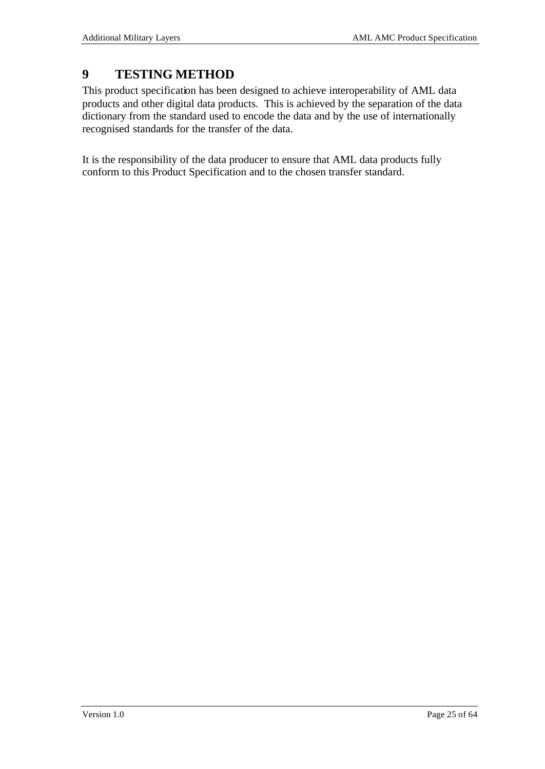## **9 TESTING METHOD**

This product specification has been designed to achieve interoperability of AML data products and other digital data products. This is achieved by the separation of the data dictionary from the standard used to encode the data and by the use of internationally recognised standards for the transfer of the data.

It is the responsibility of the data producer to ensure that AML data products fully conform to this Product Specification and to the chosen transfer standard.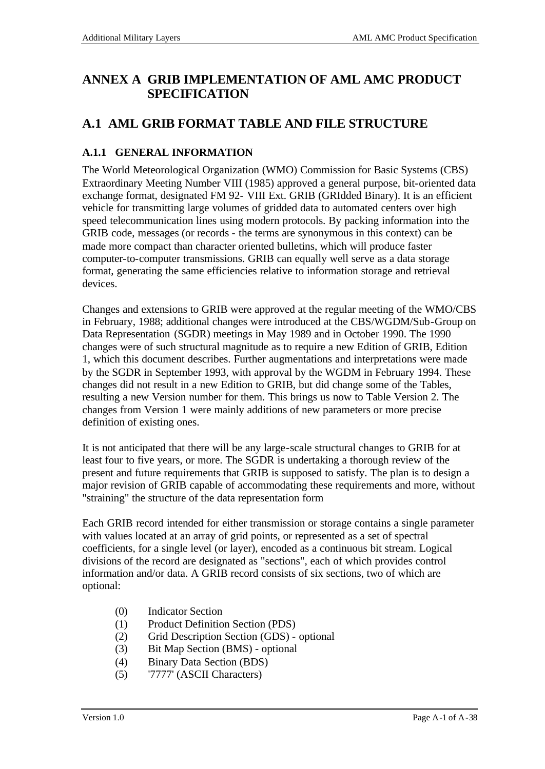## **ANNEX A GRIB IMPLEMENTATION OF AML AMC PRODUCT SPECIFICATION**

## **A.1 AML GRIB FORMAT TABLE AND FILE STRUCTURE**

## **A.1.1 GENERAL INFORMATION**

The World Meteorological Organization (WMO) Commission for Basic Systems (CBS) Extraordinary Meeting Number VIII (1985) approved a general purpose, bit-oriented data exchange format, designated FM 92- VIII Ext. GRIB (GRIdded Binary). It is an efficient vehicle for transmitting large volumes of gridded data to automated centers over high speed telecommunication lines using modern protocols. By packing information into the GRIB code, messages (or records - the terms are synonymous in this context) can be made more compact than character oriented bulletins, which will produce faster computer-to-computer transmissions. GRIB can equally well serve as a data storage format, generating the same efficiencies relative to information storage and retrieval devices.

Changes and extensions to GRIB were approved at the regular meeting of the WMO/CBS in February, 1988; additional changes were introduced at the CBS/WGDM/Sub-Group on Data Representation (SGDR) meetings in May 1989 and in October 1990. The 1990 changes were of such structural magnitude as to require a new Edition of GRIB, Edition 1, which this document describes. Further augmentations and interpretations were made by the SGDR in September 1993, with approval by the WGDM in February 1994. These changes did not result in a new Edition to GRIB, but did change some of the Tables, resulting a new Version number for them. This brings us now to Table Version 2. The changes from Version 1 were mainly additions of new parameters or more precise definition of existing ones.

It is not anticipated that there will be any large-scale structural changes to GRIB for at least four to five years, or more. The SGDR is undertaking a thorough review of the present and future requirements that GRIB is supposed to satisfy. The plan is to design a major revision of GRIB capable of accommodating these requirements and more, without "straining" the structure of the data representation form

Each GRIB record intended for either transmission or storage contains a single parameter with values located at an array of grid points, or represented as a set of spectral coefficients, for a single level (or layer), encoded as a continuous bit stream. Logical divisions of the record are designated as "sections", each of which provides control information and/or data. A GRIB record consists of six sections, two of which are optional:

- (0) Indicator Section
- (1) Product Definition Section (PDS)
- (2) Grid Description Section (GDS) optional
- (3) Bit Map Section (BMS) optional
- (4) Binary Data Section (BDS)
- (5) '7777' (ASCII Characters)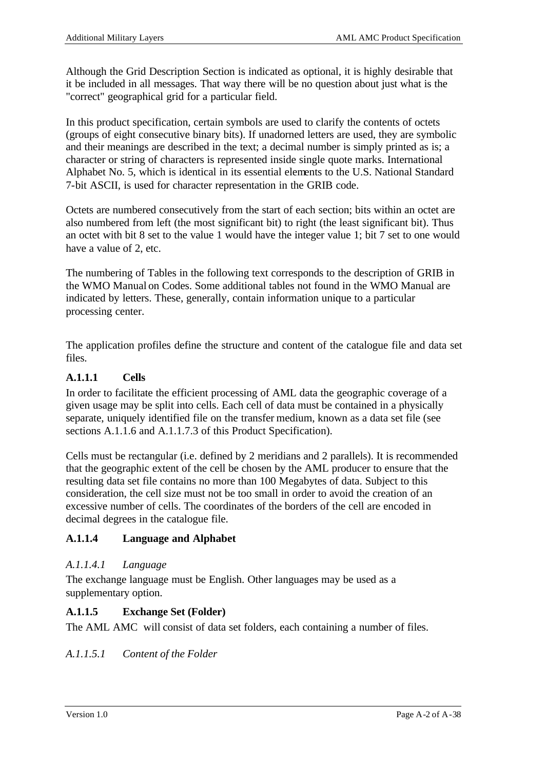Although the Grid Description Section is indicated as optional, it is highly desirable that it be included in all messages. That way there will be no question about just what is the "correct" geographical grid for a particular field.

In this product specification, certain symbols are used to clarify the contents of octets (groups of eight consecutive binary bits). If unadorned letters are used, they are symbolic and their meanings are described in the text; a decimal number is simply printed as is; a character or string of characters is represented inside single quote marks. International Alphabet No. 5, which is identical in its essential elements to the U.S. National Standard 7-bit ASCII, is used for character representation in the GRIB code.

Octets are numbered consecutively from the start of each section; bits within an octet are also numbered from left (the most significant bit) to right (the least significant bit). Thus an octet with bit 8 set to the value 1 would have the integer value 1; bit 7 set to one would have a value of 2, etc.

The numbering of Tables in the following text corresponds to the description of GRIB in the WMO Manual on Codes. Some additional tables not found in the WMO Manual are indicated by letters. These, generally, contain information unique to a particular processing center.

The application profiles define the structure and content of the catalogue file and data set files.

## **A.1.1.1 Cells**

In order to facilitate the efficient processing of AML data the geographic coverage of a given usage may be split into cells. Each cell of data must be contained in a physically separate, uniquely identified file on the transfer medium, known as a data set file (see sections A.1.1.6 and A.1.1.7.3 of this Product Specification).

Cells must be rectangular (i.e. defined by 2 meridians and 2 parallels). It is recommended that the geographic extent of the cell be chosen by the AML producer to ensure that the resulting data set file contains no more than 100 Megabytes of data. Subject to this consideration, the cell size must not be too small in order to avoid the creation of an excessive number of cells. The coordinates of the borders of the cell are encoded in decimal degrees in the catalogue file.

## **A.1.1.4 Language and Alphabet**

### *A.1.1.4.1 Language*

The exchange language must be English. Other languages may be used as a supplementary option.

## **A.1.1.5 Exchange Set (Folder)**

The AML AMC will consist of data set folders, each containing a number of files.

*A.1.1.5.1 Content of the Folder*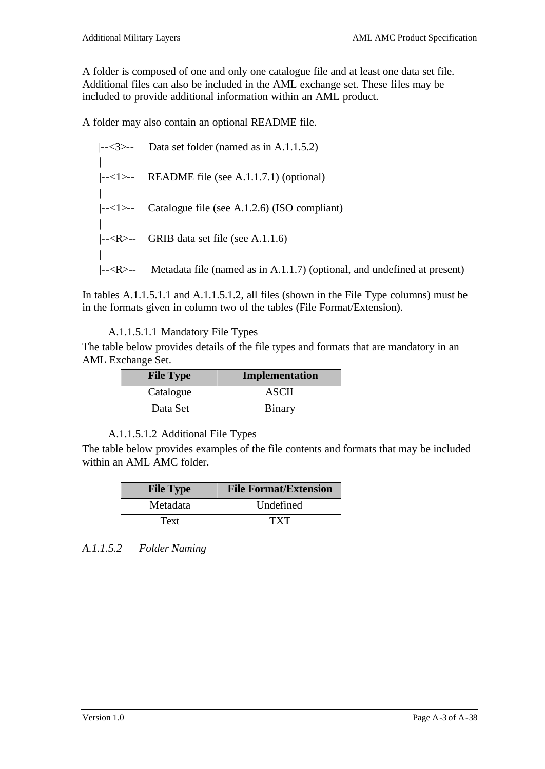A folder is composed of one and only one catalogue file and at least one data set file. Additional files can also be included in the AML exchange set. These files may be included to provide additional information within an AML product.

A folder may also contain an optional README file.

\n- $$
|--<3>--
$$
 Data set folder (named as in A.1.1.5.2)
\n- $|--<1>--$  README file (see A.1.1.7.1) (optional)
\n- $|--<1>--$  Catalogue file (see A.1.2.6) (ISO compliant)
\n- $|----$  GRIB data set file (see A.1.1.6)
\n- $|----$  Metadata file (named as in A.1.1.7) (optional, and undefined at present)
\n

In tables A.1.1.5.1.1 and A.1.1.5.1.2, all files (shown in the File Type columns) must be in the formats given in column two of the tables (File Format/Extension).

## A.1.1.5.1.1 Mandatory File Types

The table below provides details of the file types and formats that are mandatory in an AML Exchange Set.

| <b>File Type</b> | Implementation |
|------------------|----------------|
| Catalogue        | ASCII          |
| Data Set         | Binary         |

A.1.1.5.1.2 Additional File Types

The table below provides examples of the file contents and formats that may be included within an AML AMC folder.

| <b>File Type</b> | <b>File Format/Extension</b>       |  |  |
|------------------|------------------------------------|--|--|
| Metadata         | Undefined                          |  |  |
| Text             | $\mathbf{T} \mathbf{X} \mathbf{T}$ |  |  |

*A.1.1.5.2 Folder Naming*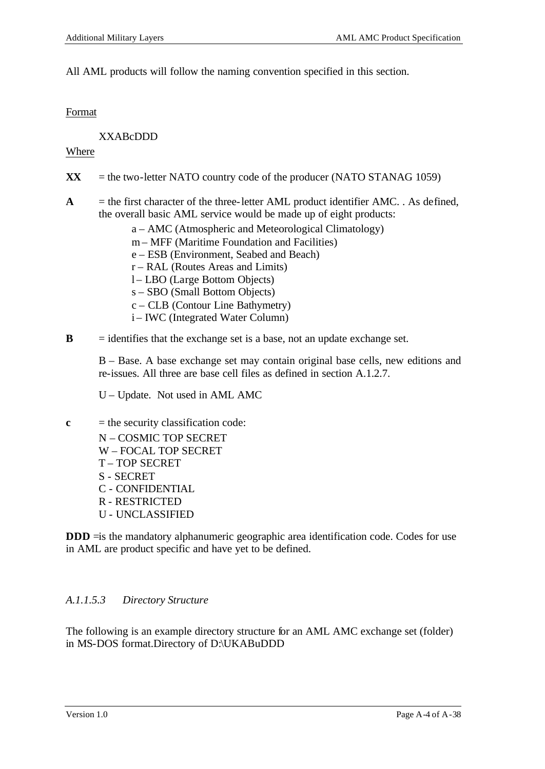All AML products will follow the naming convention specified in this section.

#### **Format**

XXABcDDD

#### Where

- $\bf{XX}$  = the two-letter NATO country code of the producer (NATO STANAG 1059)
- $A$  = the first character of the three-letter AML product identifier AMC. . As defined, the overall basic AML service would be made up of eight products:
	- a AMC (Atmospheric and Meteorological Climatology)
	- m MFF (Maritime Foundation and Facilities)
	- e ESB (Environment, Seabed and Beach)
	- r RAL (Routes Areas and Limits)
	- l LBO (Large Bottom Objects)
	- s SBO (Small Bottom Objects)
	- c CLB (Contour Line Bathymetry)
	- i IWC (Integrated Water Column)
- $\bf{B}$  = identifies that the exchange set is a base, not an update exchange set.

B – Base. A base exchange set may contain original base cells, new editions and re-issues. All three are base cell files as defined in section A.1.2.7.

U – Update. Not used in AML AMC

 $c =$  the security classification code:

N – COSMIC TOP SECRET W – FOCAL TOP SECRET T – TOP SECRET S - SECRET C - CONFIDENTIAL R - RESTRICTED U - UNCLASSIFIED

**DDD**  $\equiv$ is the mandatory alphanumeric geographic area identification code. Codes for use in AML are product specific and have yet to be defined.

### *A.1.1.5.3 Directory Structure*

The following is an example directory structure for an AML AMC exchange set (folder) in MS-DOS format.Directory of D:\UKABuDDD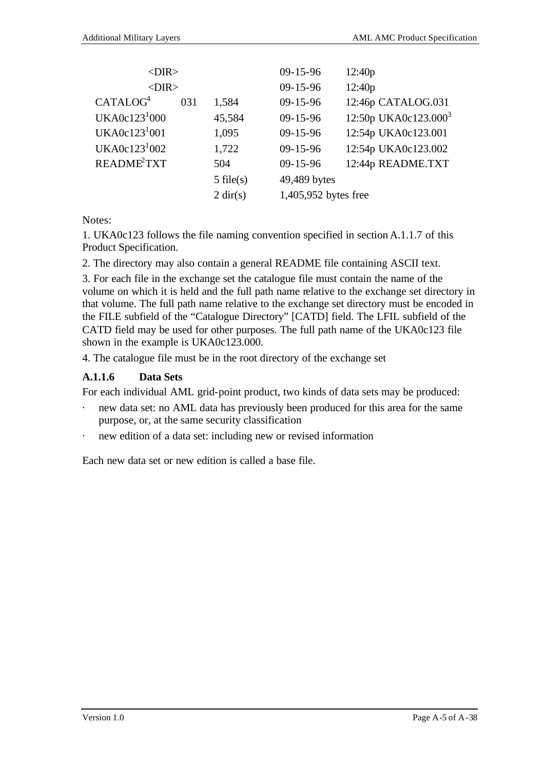| $<$ DIR $>$             |     |                    | $09 - 15 - 96$       | 12:40p                           |
|-------------------------|-----|--------------------|----------------------|----------------------------------|
| $<$ DIR $>$             |     |                    | $09 - 15 - 96$       | 12:40p                           |
| CATALOG <sup>4</sup>    | 031 | 1,584              | $09 - 15 - 96$       | 12:46p CATALOG.031               |
| UKA0c $123^1000$        |     | 45,584             | $09 - 15 - 96$       | 12:50p UKA0c123.000 <sup>3</sup> |
| UKA0c $123^1001$        |     | 1,095              | $09 - 15 - 96$       | 12:54p UKA0c123.001              |
| UKA0c $123^1002$        |     | 1,722              | $09 - 15 - 96$       | 12:54p UKA0c123.002              |
| README <sup>2</sup> TXT |     | 504                | $09 - 15 - 96$       | 12:44p README.TXT                |
|                         |     | $5$ file(s)        | 49,489 bytes         |                                  |
|                         |     | $2 \text{ dir}(s)$ | 1,405,952 bytes free |                                  |
|                         |     |                    |                      |                                  |

Notes:

1. UKA0c123 follows the file naming convention specified in section A.1.1.7 of this Product Specification.

2. The directory may also contain a general README file containing ASCII text.

3. For each file in the exchange set the catalogue file must contain the name of the volume on which it is held and the full path name relative to the exchange set directory in that volume. The full path name relative to the exchange set directory must be encoded in the FILE subfield of the "Catalogue Directory" [CATD] field. The LFIL subfield of the CATD field may be used for other purposes. The full path name of the UKA0c123 file shown in the example is UKA0c123.000.

4. The catalogue file must be in the root directory of the exchange set

## **A.1.1.6 Data Sets**

For each individual AML grid-point product, two kinds of data sets may be produced:

- new data set: no AML data has previously been produced for this area for the same purpose, or, at the same security classification
- new edition of a data set: including new or revised information

Each new data set or new edition is called a base file.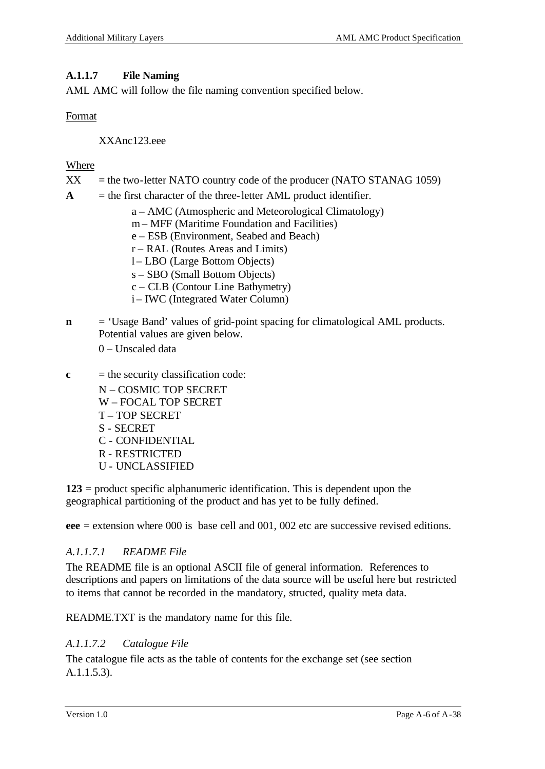### **A.1.1.7 File Naming**

AML AMC will follow the file naming convention specified below.

### Format

XXAnc123.eee

### Where

- $XX =$  the two-letter NATO country code of the producer (NATO STANAG 1059)
- $\bf{A}$  = the first character of the three-letter  $\bf{AML}$  product identifier.
	- a AMC (Atmospheric and Meteorological Climatology)
	- m MFF (Maritime Foundation and Facilities)
	- e ESB (Environment, Seabed and Beach)
	- r RAL (Routes Areas and Limits)
	- l LBO (Large Bottom Objects)
	- s SBO (Small Bottom Objects)
	- c CLB (Contour Line Bathymetry)
	- i IWC (Integrated Water Column)
- **n** = 'Usage Band' values of grid-point spacing for climatological AML products. Potential values are given below.
	- 0 Unscaled data
- $c =$  the security classification code:
	- N COSMIC TOP SECRET
	- W FOCAL TOP SECRET
	- T TOP SECRET
	- S SECRET
	- C CONFIDENTIAL
	- R RESTRICTED
	- U UNCLASSIFIED

**123** = product specific alphanumeric identification. This is dependent upon the geographical partitioning of the product and has yet to be fully defined.

**eee** = extension where 000 is base cell and 001, 002 etc are successive revised editions.

## *A.1.1.7.1 README File*

The README file is an optional ASCII file of general information. References to descriptions and papers on limitations of the data source will be useful here but restricted to items that cannot be recorded in the mandatory, structed, quality meta data.

README.TXT is the mandatory name for this file.

## *A.1.1.7.2 Catalogue File*

The catalogue file acts as the table of contents for the exchange set (see section A.1.1.5.3).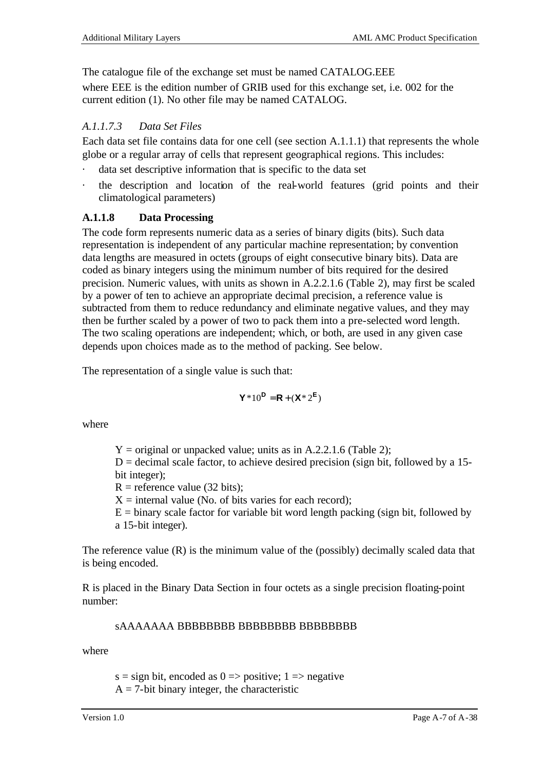The catalogue file of the exchange set must be named CATALOG.EEE

where EEE is the edition number of GRIB used for this exchange set, i.e. 002 for the current edition (1). No other file may be named CATALOG.

## *A.1.1.7.3 Data Set Files*

Each data set file contains data for one cell (see section A.1.1.1) that represents the whole globe or a regular array of cells that represent geographical regions. This includes:

- data set descriptive information that is specific to the data set
- the description and location of the real-world features (grid points and their climatological parameters)

## **A.1.1.8 Data Processing**

The code form represents numeric data as a series of binary digits (bits). Such data representation is independent of any particular machine representation; by convention data lengths are measured in octets (groups of eight consecutive binary bits). Data are coded as binary integers using the minimum number of bits required for the desired precision. Numeric values, with units as shown in A.2.2.1.6 (Table 2), may first be scaled by a power of ten to achieve an appropriate decimal precision, a reference value is subtracted from them to reduce redundancy and eliminate negative values, and they may then be further scaled by a power of two to pack them into a pre-selected word length. The two scaling operations are independent; which, or both, are used in any given case depends upon choices made as to the method of packing. See below.

The representation of a single value is such that:

$$
\mathbf{Y} * 10^{\mathsf{D}} = \mathbf{R} + (\mathbf{X} * 2^{\mathsf{E}})
$$

where

 $Y =$  original or unpacked value; units as in A.2.2.1.6 (Table 2);

 $D =$  decimal scale factor, to achieve desired precision (sign bit, followed by a 15bit integer);

 $R$  = reference value (32 bits):

 $X =$  internal value (No. of bits varies for each record);

 $E = \text{binary scale factor}$  for variable bit word length packing (sign bit, followed by a 15-bit integer).

The reference value (R) is the minimum value of the (possibly) decimally scaled data that is being encoded.

R is placed in the Binary Data Section in four octets as a single precision floating-point number:

## sAAAAAAA BBBBBBBB BBBBBBBB BBBBBBBB

where

s = sign bit, encoded as  $0 \Rightarrow$  positive; 1  $\Rightarrow$  negative  $A = 7$ -bit binary integer, the characteristic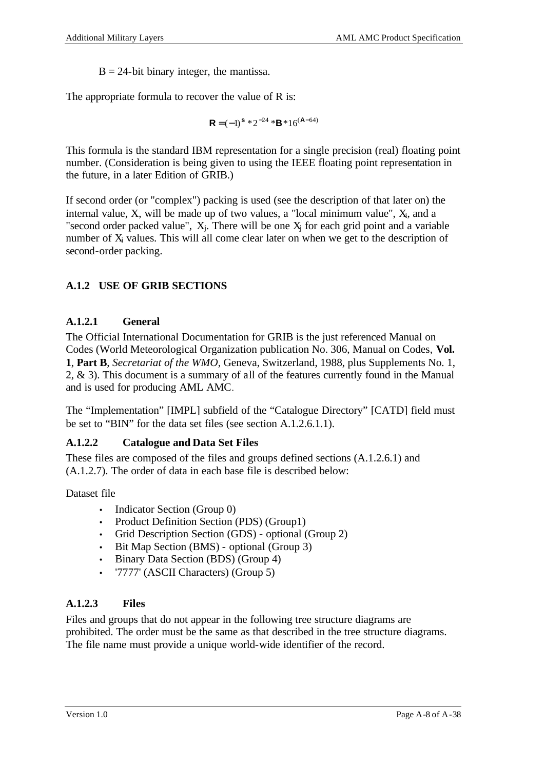$B = 24$ -bit binary integer, the mantissa.

The appropriate formula to recover the value of R is:

$$
\mathbf{R} = (-1)^{\mathbf{s}} * 2^{-24} * \mathbf{B} * 16^{(\mathbf{A} - 64)}
$$

This formula is the standard IBM representation for a single precision (real) floating point number. (Consideration is being given to using the IEEE floating point representation in the future, in a later Edition of GRIB.)

If second order (or "complex") packing is used (see the description of that later on) the internal value,  $X$ , will be made up of two values, a "local minimum value",  $X_i$ , and a "second order packed value",  $X_j$ . There will be one  $X_j$  for each grid point and a variable number of X<sub>i</sub> values. This will all come clear later on when we get to the description of second-order packing.

## **A.1.2 USE OF GRIB SECTIONS**

### **A.1.2.1 General**

The Official International Documentation for GRIB is the just referenced Manual on Codes (World Meteorological Organization publication No. 306, Manual on Codes, **Vol. 1**, **Part B**, *Secretariat of the WMO*, Geneva, Switzerland, 1988, plus Supplements No. 1, 2, & 3). This document is a summary of all of the features currently found in the Manual and is used for producing AML AMC.

The "Implementation" [IMPL] subfield of the "Catalogue Directory" [CATD] field must be set to "BIN" for the data set files (see section A.1.2.6.1.1).

### **A.1.2.2 Catalogue and Data Set Files**

These files are composed of the files and groups defined sections (A.1.2.6.1) and (A.1.2.7). The order of data in each base file is described below:

Dataset file

- Indicator Section (Group 0)
- Product Definition Section (PDS) (Group1)
- Grid Description Section (GDS) optional (Group 2)
- Bit Map Section (BMS) optional (Group 3)
- Binary Data Section (BDS) (Group 4)
- '7777' (ASCII Characters) (Group 5)

## **A.1.2.3 Files**

Files and groups that do not appear in the following tree structure diagrams are prohibited. The order must be the same as that described in the tree structure diagrams. The file name must provide a unique world-wide identifier of the record.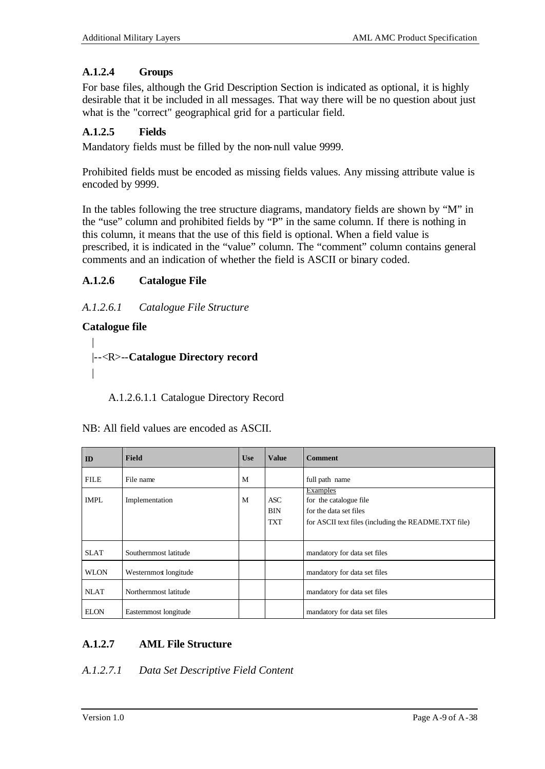## **A.1.2.4 Groups**

For base files, although the Grid Description Section is indicated as optional, it is highly desirable that it be included in all messages. That way there will be no question about just what is the "correct" geographical grid for a particular field.

### **A.1.2.5 Fields**

Mandatory fields must be filled by the non-null value 9999.

Prohibited fields must be encoded as missing fields values. Any missing attribute value is encoded by 9999.

In the tables following the tree structure diagrams, mandatory fields are shown by "M" in the "use" column and prohibited fields by "P" in the same column. If there is nothing in this column, it means that the use of this field is optional. When a field value is prescribed, it is indicated in the "value" column. The "comment" column contains general comments and an indication of whether the field is ASCII or binary coded.

## **A.1.2.6 Catalogue File**

### *A.1.2.6.1 Catalogue File Structure*

### **Catalogue file**

```
|
|--<R>--Catalogue Directory record
|
```
A.1.2.6.1.1 Catalogue Directory Record

| ID          | <b>Field</b>          | <b>Use</b> | <b>Value</b>                           | <b>Comment</b>                                                                                                       |
|-------------|-----------------------|------------|----------------------------------------|----------------------------------------------------------------------------------------------------------------------|
| <b>FILE</b> | File name             | M          |                                        | full path name                                                                                                       |
| <b>IMPL</b> | Implementation        | M          | <b>ASC</b><br><b>BIN</b><br><b>TXT</b> | Examples<br>for the catalogue file<br>for the data set files<br>for ASCII text files (including the README.TXT file) |
| <b>SLAT</b> | Southernmost latitude |            |                                        | mandatory for data set files                                                                                         |
| <b>WLON</b> | Westernmost longitude |            |                                        | mandatory for data set files                                                                                         |
| <b>NLAT</b> | Northernmost latitude |            |                                        | mandatory for data set files                                                                                         |
| <b>ELON</b> | Easternmost longitude |            |                                        | mandatory for data set files                                                                                         |

| NB: All field values are encoded as ASCII. |
|--------------------------------------------|
|--------------------------------------------|

## **A.1.2.7 AML File Structure**

### *A.1.2.7.1 Data Set Descriptive Field Content*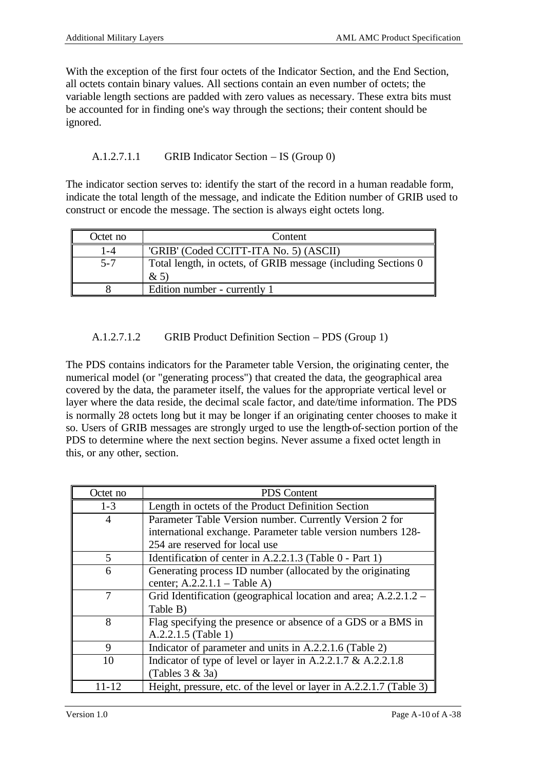With the exception of the first four octets of the Indicator Section, and the End Section, all octets contain binary values. All sections contain an even number of octets; the variable length sections are padded with zero values as necessary. These extra bits must be accounted for in finding one's way through the sections; their content should be ignored.

A.1.2.7.1.1 GRIB Indicator Section – IS (Group 0)

The indicator section serves to: identify the start of the record in a human readable form, indicate the total length of the message, and indicate the Edition number of GRIB used to construct or encode the message. The section is always eight octets long.

| Octet no | Content                                                                 |
|----------|-------------------------------------------------------------------------|
| $-4$     | 'GRIB' (Coded CCITT-ITA No. 5) (ASCII)                                  |
| $5 - 7$  | Total length, in octets, of GRIB message (including Sections 0)<br>& 5) |
|          | Edition number - currently 1                                            |

A.1.2.7.1.2 GRIB Product Definition Section – PDS (Group 1)

The PDS contains indicators for the Parameter table Version, the originating center, the numerical model (or "generating process") that created the data, the geographical area covered by the data, the parameter itself, the values for the appropriate vertical level or layer where the data reside, the decimal scale factor, and date/time information. The PDS is normally 28 octets long but it may be longer if an originating center chooses to make it so. Users of GRIB messages are strongly urged to use the length-of-section portion of the PDS to determine where the next section begins. Never assume a fixed octet length in this, or any other, section.

| Octet no       | <b>PDS</b> Content                                                  |
|----------------|---------------------------------------------------------------------|
| $1 - 3$        | Length in octets of the Product Definition Section                  |
| $\overline{4}$ | Parameter Table Version number. Currently Version 2 for             |
|                | international exchange. Parameter table version numbers 128-        |
|                | 254 are reserved for local use                                      |
| 5              | Identification of center in A.2.2.1.3 (Table 0 - Part 1)            |
| 6              | Generating process ID number (allocated by the originating          |
|                | center; $A.2.2.1.1 - Table A$                                       |
|                | Grid Identification (geographical location and area; $A.2.2.1.2 -$  |
|                | Table B)                                                            |
| 8              | Flag specifying the presence or absence of a GDS or a BMS in        |
|                | A.2.2.1.5 (Table 1)                                                 |
| 9              | Indicator of parameter and units in A.2.2.1.6 (Table 2)             |
| 10             | Indicator of type of level or layer in A.2.2.1.7 & A.2.2.1.8        |
|                | (Tables $3 & 3a$ )                                                  |
| 11-12          | Height, pressure, etc. of the level or layer in A.2.2.1.7 (Table 3) |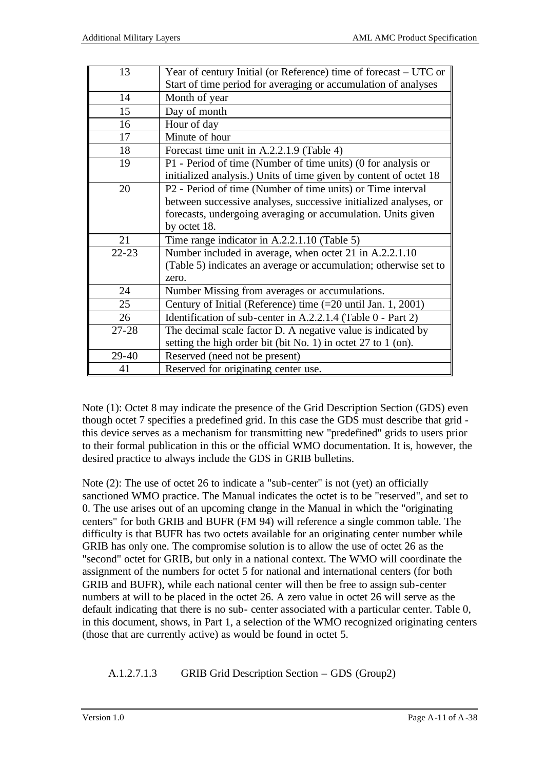| 13        | Year of century Initial (or Reference) time of forecast – UTC or  |
|-----------|-------------------------------------------------------------------|
|           | Start of time period for averaging or accumulation of analyses    |
| 14        | Month of year                                                     |
| 15        | Day of month                                                      |
| 16        | Hour of day                                                       |
| 17        | Minute of hour                                                    |
| 18        | Forecast time unit in A.2.2.1.9 (Table 4)                         |
| 19        | P1 - Period of time (Number of time units) (0 for analysis or     |
|           | initialized analysis.) Units of time given by content of octet 18 |
| 20        | P2 - Period of time (Number of time units) or Time interval       |
|           | between successive analyses, successive initialized analyses, or  |
|           | forecasts, undergoing averaging or accumulation. Units given      |
|           | by octet 18.                                                      |
| 21        | Time range indicator in A.2.2.1.10 (Table 5)                      |
| $22 - 23$ | Number included in average, when octet 21 in A.2.2.1.10           |
|           | (Table 5) indicates an average or accumulation; otherwise set to  |
|           | zero.                                                             |
| 24        | Number Missing from averages or accumulations.                    |
| 25        | Century of Initial (Reference) time (=20 until Jan. 1, 2001)      |
| 26        | Identification of sub-center in A.2.2.1.4 (Table 0 - Part 2)      |
| $27 - 28$ | The decimal scale factor D. A negative value is indicated by      |
|           | setting the high order bit (bit No. 1) in octet 27 to 1 (on).     |
| 29-40     | Reserved (need not be present)                                    |
| 41        | Reserved for originating center use.                              |

Note (1): Octet 8 may indicate the presence of the Grid Description Section (GDS) even though octet 7 specifies a predefined grid. In this case the GDS must describe that grid this device serves as a mechanism for transmitting new "predefined" grids to users prior to their formal publication in this or the official WMO documentation. It is, however, the desired practice to always include the GDS in GRIB bulletins.

Note (2): The use of octet 26 to indicate a "sub-center" is not (yet) an officially sanctioned WMO practice. The Manual indicates the octet is to be "reserved", and set to 0. The use arises out of an upcoming change in the Manual in which the "originating centers" for both GRIB and BUFR (FM 94) will reference a single common table. The difficulty is that BUFR has two octets available for an originating center number while GRIB has only one. The compromise solution is to allow the use of octet 26 as the "second" octet for GRIB, but only in a national context. The WMO will coordinate the assignment of the numbers for octet 5 for national and international centers (for both GRIB and BUFR), while each national center will then be free to assign sub-center numbers at will to be placed in the octet 26. A zero value in octet 26 will serve as the default indicating that there is no sub- center associated with a particular center. Table 0, in this document, shows, in Part 1, a selection of the WMO recognized originating centers (those that are currently active) as would be found in octet 5.

A.1.2.7.1.3 GRIB Grid Description Section – GDS (Group2)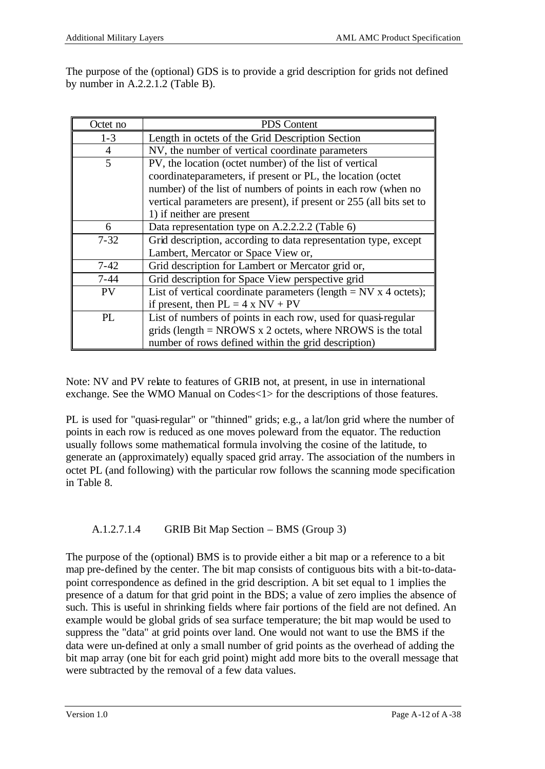The purpose of the (optional) GDS is to provide a grid description for grids not defined by number in A.2.2.1.2 (Table B).

| Octet no       | <b>PDS</b> Content                                                                                                           |
|----------------|------------------------------------------------------------------------------------------------------------------------------|
| $1 - 3$        | Length in octets of the Grid Description Section                                                                             |
| $\overline{4}$ | NV, the number of vertical coordinate parameters                                                                             |
| 5              | PV, the location (octet number) of the list of vertical                                                                      |
|                | coordinateparameters, if present or PL, the location (octet<br>number) of the list of numbers of points in each row (when no |
|                | vertical parameters are present), if present or 255 (all bits set to                                                         |
|                | 1) if neither are present                                                                                                    |
| 6              | Data representation type on A.2.2.2.2 (Table 6)                                                                              |
| $7 - 32$       | Grid description, according to data representation type, except                                                              |
|                | Lambert, Mercator or Space View or,                                                                                          |
| $7 - 42$       | Grid description for Lambert or Mercator grid or,                                                                            |
| $7 - 44$       | Grid description for Space View perspective grid                                                                             |
| <b>PV</b>      | List of vertical coordinate parameters (length $=$ NV x 4 octets);                                                           |
|                | if present, then $PL = 4 \times NV + PV$                                                                                     |
| PL             | List of numbers of points in each row, used for quasi-regular                                                                |
|                | grids (length $=$ NROWS x 2 octets, where NROWS is the total                                                                 |
|                | number of rows defined within the grid description)                                                                          |

Note: NV and PV relate to features of GRIB not, at present, in use in international exchange. See the WMO Manual on Codes<1> for the descriptions of those features.

PL is used for "quasi-regular" or "thinned" grids; e.g., a lat/lon grid where the number of points in each row is reduced as one moves poleward from the equator. The reduction usually follows some mathematical formula involving the cosine of the latitude, to generate an (approximately) equally spaced grid array. The association of the numbers in octet PL (and following) with the particular row follows the scanning mode specification in Table 8.

## A.1.2.7.1.4 GRIB Bit Map Section – BMS (Group 3)

The purpose of the (optional) BMS is to provide either a bit map or a reference to a bit map pre-defined by the center. The bit map consists of contiguous bits with a bit-to-datapoint correspondence as defined in the grid description. A bit set equal to 1 implies the presence of a datum for that grid point in the BDS; a value of zero implies the absence of such. This is useful in shrinking fields where fair portions of the field are not defined. An example would be global grids of sea surface temperature; the bit map would be used to suppress the "data" at grid points over land. One would not want to use the BMS if the data were un-defined at only a small number of grid points as the overhead of adding the bit map array (one bit for each grid point) might add more bits to the overall message that were subtracted by the removal of a few data values.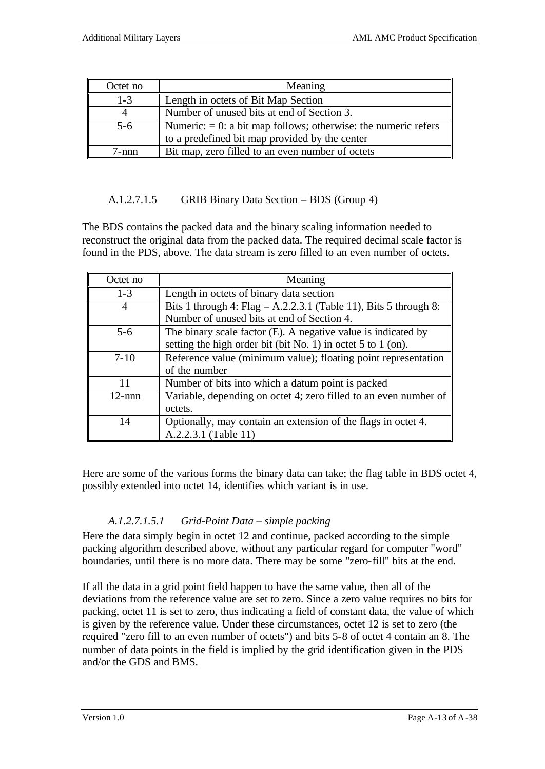| Octet no | Meaning                                                           |
|----------|-------------------------------------------------------------------|
| $1 - 3$  | Length in octets of Bit Map Section                               |
|          | Number of unused bits at end of Section 3.                        |
| $5-6$    | Numeric: $= 0$ : a bit map follows; otherwise: the numeric refers |
|          | to a predefined bit map provided by the center                    |
| -nnn     | Bit map, zero filled to an even number of octets                  |

## A.1.2.7.1.5 GRIB Binary Data Section – BDS (Group 4)

The BDS contains the packed data and the binary scaling information needed to reconstruct the original data from the packed data. The required decimal scale factor is found in the PDS, above. The data stream is zero filled to an even number of octets.

| Octet no  | Meaning                                                            |
|-----------|--------------------------------------------------------------------|
| $1 - 3$   | Length in octets of binary data section                            |
|           | Bits 1 through 4: Flag $- A.2.2.3.1$ (Table 11), Bits 5 through 8: |
|           | Number of unused bits at end of Section 4.                         |
| $5-6$     | The binary scale factor $(E)$ . A negative value is indicated by   |
|           | setting the high order bit (bit No. 1) in octet 5 to 1 (on).       |
| $7 - 10$  | Reference value (minimum value); floating point representation     |
|           | of the number                                                      |
| 11        | Number of bits into which a datum point is packed                  |
| $12$ -nnn | Variable, depending on octet 4; zero filled to an even number of   |
|           | octets.                                                            |
| 14        | Optionally, may contain an extension of the flags in octet 4.      |
|           | A.2.2.3.1 (Table 11)                                               |

Here are some of the various forms the binary data can take; the flag table in BDS octet 4, possibly extended into octet 14, identifies which variant is in use.

## *A.1.2.7.1.5.1 Grid-Point Data – simple packing*

Here the data simply begin in octet 12 and continue, packed according to the simple packing algorithm described above, without any particular regard for computer "word" boundaries, until there is no more data. There may be some "zero-fill" bits at the end.

If all the data in a grid point field happen to have the same value, then all of the deviations from the reference value are set to zero. Since a zero value requires no bits for packing, octet 11 is set to zero, thus indicating a field of constant data, the value of which is given by the reference value. Under these circumstances, octet 12 is set to zero (the required "zero fill to an even number of octets") and bits 5-8 of octet 4 contain an 8. The number of data points in the field is implied by the grid identification given in the PDS and/or the GDS and BMS.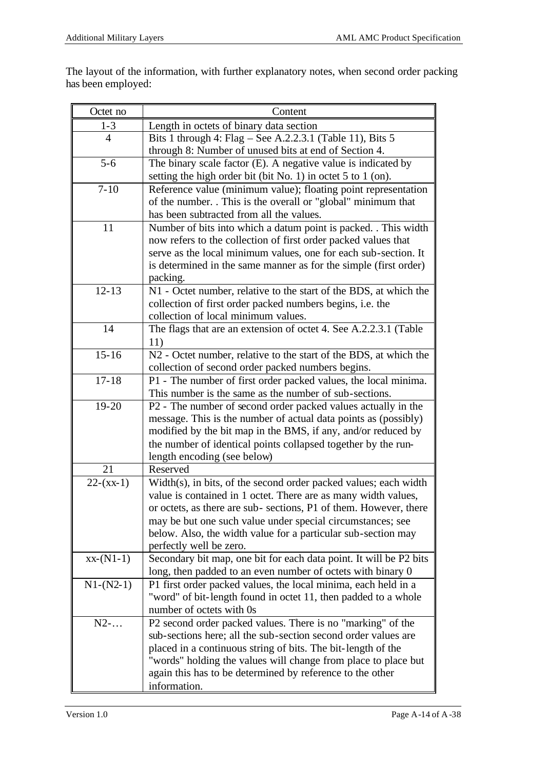The layout of the information, with further explanatory notes, when second order packing has been employed:

| Octet no    | Content                                                                                                                        |
|-------------|--------------------------------------------------------------------------------------------------------------------------------|
| $1 - 3$     | Length in octets of binary data section                                                                                        |
| 4           | Bits 1 through 4: Flag – See A.2.2.3.1 (Table 11), Bits 5                                                                      |
|             | through 8: Number of unused bits at end of Section 4.                                                                          |
| $5 - 6$     | The binary scale factor $(E)$ . A negative value is indicated by                                                               |
|             | setting the high order bit (bit No. 1) in octet $5$ to $1$ (on).                                                               |
| $7 - 10$    | Reference value (minimum value); floating point representation                                                                 |
|             | of the number. This is the overall or "global" minimum that                                                                    |
|             | has been subtracted from all the values.                                                                                       |
| 11          | Number of bits into which a datum point is packed. . This width                                                                |
|             | now refers to the collection of first order packed values that                                                                 |
|             | serve as the local minimum values, one for each sub-section. It                                                                |
|             | is determined in the same manner as for the simple (first order)                                                               |
|             | packing.                                                                                                                       |
| $12 - 13$   | N1 - Octet number, relative to the start of the BDS, at which the                                                              |
|             | collection of first order packed numbers begins, i.e. the                                                                      |
|             | collection of local minimum values.                                                                                            |
| 14          | The flags that are an extension of octet 4. See A.2.2.3.1 (Table                                                               |
|             | 11)                                                                                                                            |
| $15 - 16$   | N2 - Octet number, relative to the start of the BDS, at which the                                                              |
|             | collection of second order packed numbers begins.                                                                              |
| $17 - 18$   | P1 - The number of first order packed values, the local minima.                                                                |
|             | This number is the same as the number of sub-sections.                                                                         |
| 19-20       | P2 - The number of second order packed values actually in the                                                                  |
|             | message. This is the number of actual data points as (possibly)                                                                |
|             | modified by the bit map in the BMS, if any, and/or reduced by<br>the number of identical points collapsed together by the run- |
|             | length encoding (see below)                                                                                                    |
| 21          | Reserved                                                                                                                       |
| $22-(xx-1)$ | Width(s), in bits, of the second order packed values; each width                                                               |
|             | value is contained in 1 octet. There are as many width values,                                                                 |
|             | or octets, as there are sub-sections, P1 of them. However, there                                                               |
|             | may be but one such value under special circumstances; see                                                                     |
|             | below. Also, the width value for a particular sub-section may                                                                  |
|             | perfectly well be zero.                                                                                                        |
| $xx-(N1-1)$ | Secondary bit map, one bit for each data point. It will be P2 bits                                                             |
|             | long, then padded to an even number of octets with binary 0                                                                    |
| $N1-(N2-1)$ | P1 first order packed values, the local minima, each held in a                                                                 |
|             | "word" of bit-length found in octet 11, then padded to a whole                                                                 |
|             | number of octets with 0s                                                                                                       |
| $N2$ -      | P2 second order packed values. There is no "marking" of the                                                                    |
|             | sub-sections here; all the sub-section second order values are                                                                 |
|             | placed in a continuous string of bits. The bit-length of the                                                                   |
|             | "words" holding the values will change from place to place but                                                                 |
|             | again this has to be determined by reference to the other                                                                      |
|             | information.                                                                                                                   |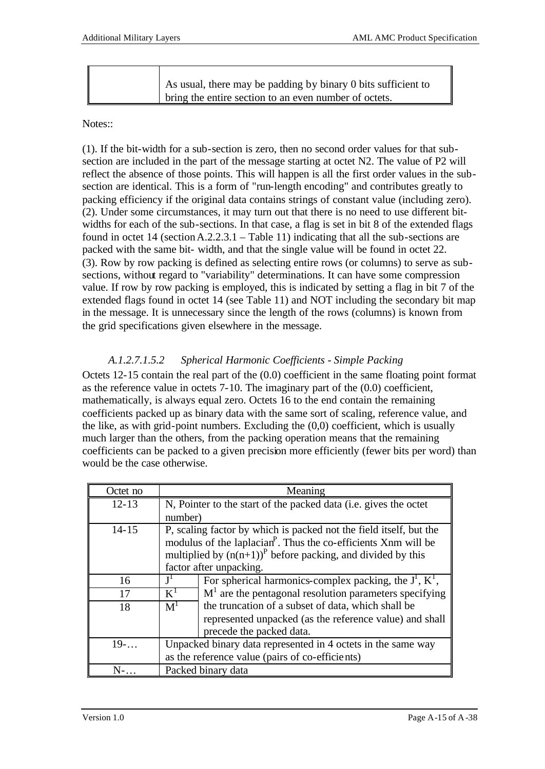| As usual, there may be padding by binary 0 bits sufficient to |                                                       |
|---------------------------------------------------------------|-------------------------------------------------------|
|                                                               |                                                       |
|                                                               | bring the entire section to an even number of octets. |

#### Notes::

(1). If the bit-width for a sub-section is zero, then no second order values for that subsection are included in the part of the message starting at octet N2. The value of P2 will reflect the absence of those points. This will happen is all the first order values in the subsection are identical. This is a form of "run-length encoding" and contributes greatly to packing efficiency if the original data contains strings of constant value (including zero). (2). Under some circumstances, it may turn out that there is no need to use different bitwidths for each of the sub-sections. In that case, a flag is set in bit 8 of the extended flags found in octet 14 (section A.2.2.3.1 – Table 11) indicating that all the sub-sections are packed with the same bit- width, and that the single value will be found in octet 22. (3). Row by row packing is defined as selecting entire rows (or columns) to serve as subsections, without regard to "variability" determinations. It can have some compression value. If row by row packing is employed, this is indicated by setting a flag in bit 7 of the extended flags found in octet 14 (see Table 11) and NOT including the secondary bit map in the message. It is unnecessary since the length of the rows (columns) is known from the grid specifications given elsewhere in the message.

## *A.1.2.7.1.5.2 Spherical Harmonic Coefficients - Simple Packing*

Octets 12-15 contain the real part of the (0.0) coefficient in the same floating point format as the reference value in octets 7-10. The imaginary part of the (0.0) coefficient, mathematically, is always equal zero. Octets 16 to the end contain the remaining coefficients packed up as binary data with the same sort of scaling, reference value, and the like, as with grid-point numbers. Excluding the  $(0,0)$  coefficient, which is usually much larger than the others, from the packing operation means that the remaining coefficients can be packed to a given precision more efficiently (fewer bits per word) than would be the case otherwise.

| Octet no  |                                                                            | Meaning                                                          |  |
|-----------|----------------------------------------------------------------------------|------------------------------------------------------------------|--|
| $12 - 13$ |                                                                            | N, Pointer to the start of the packed data (i.e. gives the octet |  |
|           | number)                                                                    |                                                                  |  |
| $14 - 15$ | P, scaling factor by which is packed not the field itself, but the         |                                                                  |  |
|           | modulus of the laplacian <sup>P</sup> . Thus the co-efficients Xnm will be |                                                                  |  |
|           | multiplied by $(n(n+1))$ <sup>P</sup> before packing, and divided by this  |                                                                  |  |
|           |                                                                            | factor after unpacking.                                          |  |
| 16        | ${\bf I}^1$                                                                | For spherical harmonics-complex packing, the $J^1$ , $K^1$ ,     |  |
| 17        | $K^1$                                                                      | $M1$ are the pentagonal resolution parameters specifying         |  |
| 18        | M <sup>1</sup>                                                             | the truncation of a subset of data, which shall be               |  |
|           |                                                                            | represented unpacked (as the reference value) and shall          |  |
|           |                                                                            | precede the packed data.                                         |  |
| $19-.$    |                                                                            | Unpacked binary data represented in 4 octets in the same way     |  |
|           | as the reference value (pairs of co-efficients)                            |                                                                  |  |
| $N$ -     |                                                                            | Packed binary data                                               |  |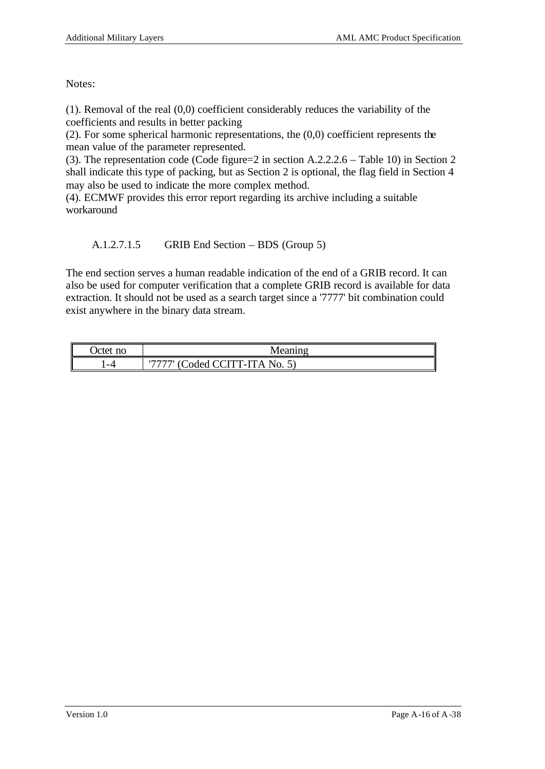Notes:

(1). Removal of the real (0,0) coefficient considerably reduces the variability of the coefficients and results in better packing

(2). For some spherical harmonic representations, the (0,0) coefficient represents the mean value of the parameter represented.

(3). The representation code (Code figure=2 in section A.2.2.2.6 – Table 10) in Section 2 shall indicate this type of packing, but as Section 2 is optional, the flag field in Section 4 may also be used to indicate the more complex method.

(4). ECMWF provides this error report regarding its archive including a suitable workaround

A.1.2.7.1.5 GRIB End Section – BDS (Group 5)

The end section serves a human readable indication of the end of a GRIB record. It can also be used for computer verification that a complete GRIB record is available for data extraction. It should not be used as a search target since a '7777' bit combination could exist anywhere in the binary data stream.

| Octet no | Meanino                            |
|----------|------------------------------------|
| -4       | ' (Coded CCITT-ITA No. 5<br>リワワワワリ |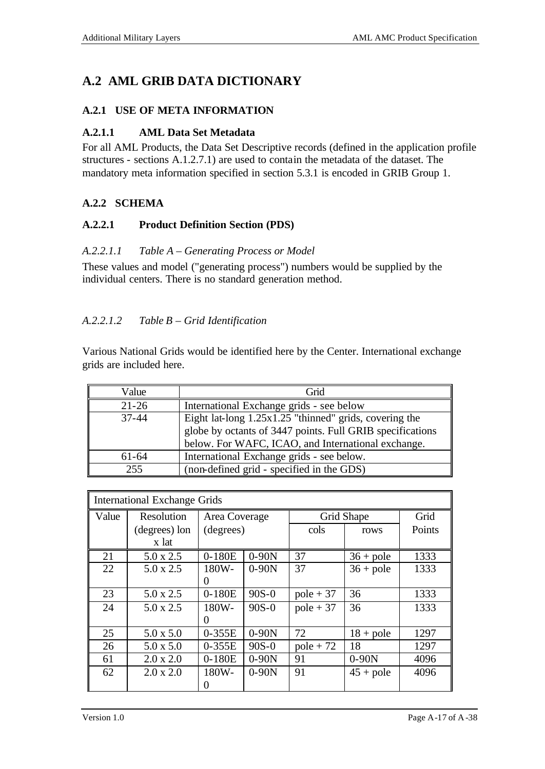## **A.2 AML GRIB DATA DICTIONARY**

### **A.2.1 USE OF META INFORMATION**

### **A.2.1.1 AML Data Set Metadata**

For all AML Products, the Data Set Descriptive records (defined in the application profile structures - sections A.1.2.7.1) are used to contain the metadata of the dataset. The mandatory meta information specified in section 5.3.1 is encoded in GRIB Group 1.

## **A.2.2 SCHEMA**

### **A.2.2.1 Product Definition Section (PDS)**

### *A.2.2.1.1 Table A – Generating Process or Model*

These values and model ("generating process") numbers would be supplied by the individual centers. There is no standard generation method.

### *A.2.2.1.2 Table B – Grid Identification*

Various National Grids would be identified here by the Center. International exchange grids are included here.

| Value     | Grid                                                                                                                                                                      |
|-----------|---------------------------------------------------------------------------------------------------------------------------------------------------------------------------|
| $21 - 26$ | International Exchange grids - see below                                                                                                                                  |
| $37 - 44$ | Eight lat-long 1.25x1.25 "thinned" grids, covering the<br>globe by octants of 3447 points. Full GRIB specifications<br>below. For WAFC, ICAO, and International exchange. |
| $61 - 64$ | International Exchange grids - see below.                                                                                                                                 |
| 255       | (non-defined grid - specified in the GDS)                                                                                                                                 |

| <b>International Exchange Grids</b> |                  |               |         |             |             |        |
|-------------------------------------|------------------|---------------|---------|-------------|-------------|--------|
| Value                               | Resolution       | Area Coverage |         | Grid Shape  |             | Grid   |
|                                     | (degrees) lon    | (degrees)     |         | cols        | rows        | Points |
|                                     | x lat            |               |         |             |             |        |
| 21                                  | $5.0 \times 2.5$ | $0-180E$      | $0-90N$ | 37          | $36 + pole$ | 1333   |
| 22                                  | $5.0 \times 2.5$ | 180W-         | $0-90N$ | 37          | $36 + pole$ | 1333   |
|                                     |                  | $\theta$      |         |             |             |        |
| 23                                  | $5.0 \times 2.5$ | 0-180E        | $90S-0$ | $pole + 37$ | 36          | 1333   |
| 24                                  | $5.0 \times 2.5$ | 180W-         | $90S-0$ |             | 36          | 1333   |
|                                     |                  | $\Omega$      |         |             |             |        |
| 25                                  | $5.0 \times 5.0$ | 0-355E        | $0-90N$ | 72          | $18 + pole$ | 1297   |
| 26                                  | $5.0 \times 5.0$ | $0-355E$      | $90S-0$ | $pole + 72$ | 18          | 1297   |
| 61                                  | $2.0 \times 2.0$ | $0-180E$      | $0-90N$ | 91          | $0-90N$     | 4096   |
| 62                                  | $2.0 \times 2.0$ | 180W-         | $0-90N$ | 91          | $45 + pole$ | 4096   |
|                                     |                  | 0             |         |             |             |        |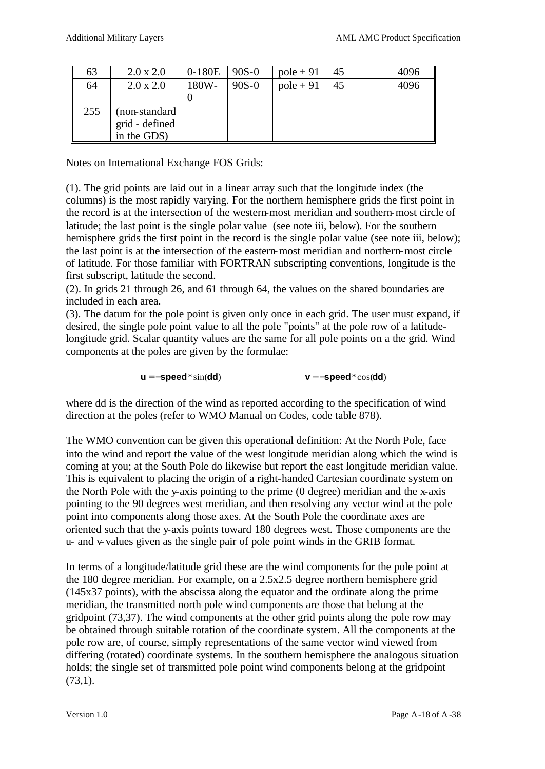| 63  | $2.0 \times 2.0$ | $0-180E$ | $90S-0$ | $pole + 91$ | 45 | 4096 |
|-----|------------------|----------|---------|-------------|----|------|
| 64  | $2.0 \times 2.0$ | 180W-    | $90S-0$ | $pole + 91$ | 45 | 4096 |
|     |                  |          |         |             |    |      |
| 255 | (non-standard)   |          |         |             |    |      |
|     | grid - defined   |          |         |             |    |      |
|     | in the GDS)      |          |         |             |    |      |

Notes on International Exchange FOS Grids:

(1). The grid points are laid out in a linear array such that the longitude index (the columns) is the most rapidly varying. For the northern hemisphere grids the first point in the record is at the intersection of the western-most meridian and southern-most circle of latitude; the last point is the single polar value (see note iii, below). For the southern hemisphere grids the first point in the record is the single polar value (see note iii, below); the last point is at the intersection of the eastern-most meridian and northern-most circle of latitude. For those familiar with FORTRAN subscripting conventions, longitude is the first subscript, latitude the second.

(2). In grids 21 through 26, and 61 through 64, the values on the shared boundaries are included in each area.

(3). The datum for the pole point is given only once in each grid. The user must expand, if desired, the single pole point value to all the pole "points" at the pole row of a latitudelongitude grid. Scalar quantity values are the same for all pole points on a the grid. Wind components at the poles are given by the formulae:

**u** = −**speed**\*sin(**dd**) **v**− −**speed**\*cos(**dd**)

where dd is the direction of the wind as reported according to the specification of wind direction at the poles (refer to WMO Manual on Codes, code table 878).

The WMO convention can be given this operational definition: At the North Pole, face into the wind and report the value of the west longitude meridian along which the wind is coming at you; at the South Pole do likewise but report the east longitude meridian value. This is equivalent to placing the origin of a right-handed Cartesian coordinate system on the North Pole with the y-axis pointing to the prime (0 degree) meridian and the x-axis pointing to the 90 degrees west meridian, and then resolving any vector wind at the pole point into components along those axes. At the South Pole the coordinate axes are oriented such that the y-axis points toward 180 degrees west. Those components are the u- and v-values given as the single pair of pole point winds in the GRIB format.

In terms of a longitude/latitude grid these are the wind components for the pole point at the 180 degree meridian. For example, on a 2.5x2.5 degree northern hemisphere grid (145x37 points), with the abscissa along the equator and the ordinate along the prime meridian, the transmitted north pole wind components are those that belong at the gridpoint (73,37). The wind components at the other grid points along the pole row may be obtained through suitable rotation of the coordinate system. All the components at the pole row are, of course, simply representations of the same vector wind viewed from differing (rotated) coordinate systems. In the southern hemisphere the analogous situation holds; the single set of transmitted pole point wind components belong at the gridpoint  $(73,1)$ .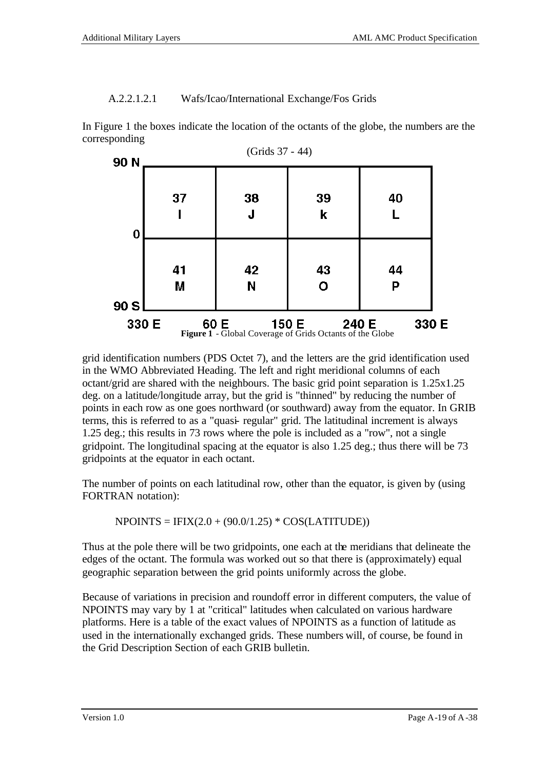#### A.2.2.1.2.1 Wafs/Icao/International Exchange/Fos Grids

In Figure 1 the boxes indicate the location of the octants of the globe, the numbers are the corresponding



grid identification numbers (PDS Octet 7), and the letters are the grid identification used in the WMO Abbreviated Heading. The left and right meridional columns of each octant/grid are shared with the neighbours. The basic grid point separation is 1.25x1.25 deg. on a latitude/longitude array, but the grid is "thinned" by reducing the number of points in each row as one goes northward (or southward) away from the equator. In GRIB terms, this is referred to as a "quasi- regular" grid. The latitudinal increment is always 1.25 deg.; this results in 73 rows where the pole is included as a "row", not a single gridpoint. The longitudinal spacing at the equator is also 1.25 deg.; thus there will be 73 gridpoints at the equator in each octant.

The number of points on each latitudinal row, other than the equator, is given by (using FORTRAN notation):

 $NPOINTS = IFIX(2.0 + (90.0/1.25) * COS(LATTUDE))$ 

Thus at the pole there will be two gridpoints, one each at the meridians that delineate the edges of the octant. The formula was worked out so that there is (approximately) equal geographic separation between the grid points uniformly across the globe.

Because of variations in precision and roundoff error in different computers, the value of NPOINTS may vary by 1 at "critical" latitudes when calculated on various hardware platforms. Here is a table of the exact values of NPOINTS as a function of latitude as used in the internationally exchanged grids. These numbers will, of course, be found in the Grid Description Section of each GRIB bulletin.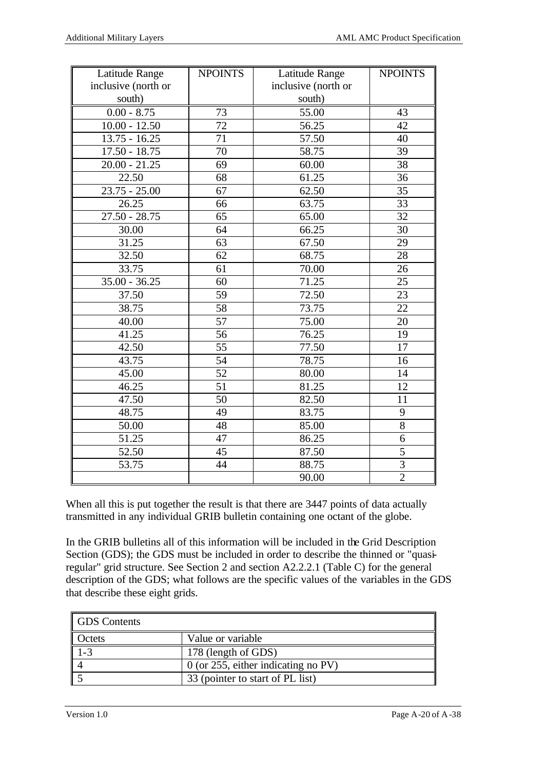| Latitude Range      | <b>NPOINTS</b> | Latitude Range      | <b>NPOINTS</b>  |
|---------------------|----------------|---------------------|-----------------|
| inclusive (north or |                | inclusive (north or |                 |
| south)              |                | south)              |                 |
| $0.00 - 8.75$       | 73             | 55.00               | 43              |
| $10.00 - 12.50$     | 72             | 56.25               | 42              |
| $13.75 - 16.25$     | 71             | 57.50               | 40              |
| $17.50 - 18.75$     | 70             | 58.75               | 39              |
| $20.00 - 21.25$     | 69             | 60.00               | $\overline{38}$ |
| 22.50               | 68             | 61.25               | 36              |
| $23.75 - 25.00$     | 67             | 62.50               | 35              |
| 26.25               | 66             | 63.75               | 33              |
| $27.50 - 28.75$     | 65             | 65.00               | 32              |
| 30.00               | 64             | 66.25               | 30              |
| 31.25               | 63             | 67.50               | 29              |
| 32.50               | 62             | 68.75               | 28              |
| 33.75               | 61             | 70.00               | 26              |
| $35.00 - 36.25$     | 60             | 71.25               | 25              |
| 37.50               | 59             | 72.50               | 23              |
| 38.75               | 58             | 73.75               | 22              |
| 40.00               | 57             | 75.00               | 20              |
| 41.25               | 56             | 76.25               | 19              |
| 42.50               | 55             | 77.50               | 17              |
| 43.75               | 54             | 78.75               | 16              |
| 45.00               | 52             | 80.00               | 14              |
| 46.25               | 51             | 81.25               | 12              |
| 47.50               | 50             | 82.50               | 11              |
| 48.75               | 49             | 83.75               | 9               |
| 50.00               | 48             | 85.00               | $\overline{8}$  |
| 51.25               | 47             | 86.25               | 6               |
| 52.50               | 45             | 87.50               | $\overline{5}$  |
| 53.75               | 44             | 88.75               | $\overline{3}$  |
|                     |                | 90.00               | $\overline{2}$  |

When all this is put together the result is that there are 3447 points of data actually transmitted in any individual GRIB bulletin containing one octant of the globe.

In the GRIB bulletins all of this information will be included in the Grid Description Section (GDS); the GDS must be included in order to describe the thinned or "quasiregular" grid structure. See Section 2 and section A2.2.2.1 (Table C) for the general description of the GDS; what follows are the specific values of the variables in the GDS that describe these eight grids.

| <b>GDS</b> Contents |                                       |
|---------------------|---------------------------------------|
| Octets              | Value or variable                     |
|                     | 178 (length of GDS)                   |
|                     | $0$ (or 255, either indicating no PV) |
|                     | 33 (pointer to start of PL list)      |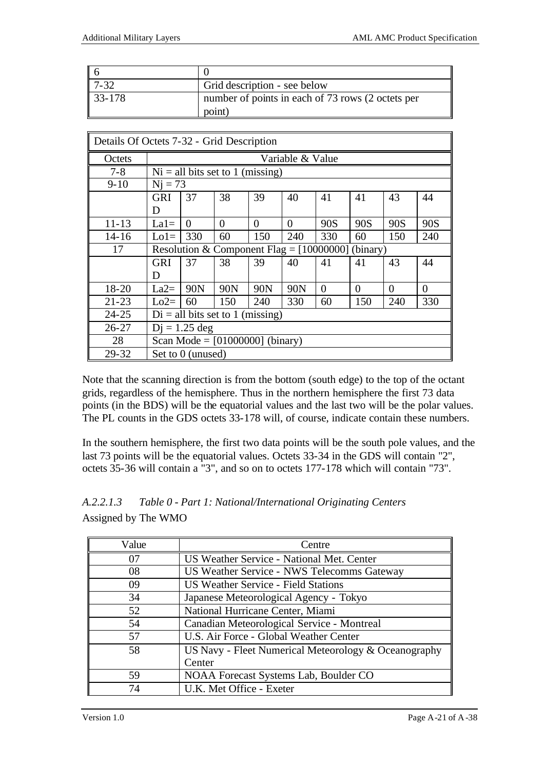| $\parallel$ 6 |                                                   |
|---------------|---------------------------------------------------|
| $17 - 32$     | Grid description - see below                      |
| $33 - 178$    | number of points in each of 73 rows (2 octets per |
|               | point                                             |

| Details Of Octets 7-32 - Grid Description |                                                        |                   |                                    |          |          |          |          |          |          |
|-------------------------------------------|--------------------------------------------------------|-------------------|------------------------------------|----------|----------|----------|----------|----------|----------|
| Octets                                    | Variable & Value                                       |                   |                                    |          |          |          |          |          |          |
| $7 - 8$                                   |                                                        |                   | $Ni = all bits set to 1 (missing)$ |          |          |          |          |          |          |
| $9 - 10$                                  | $Ni = 73$                                              |                   |                                    |          |          |          |          |          |          |
|                                           | <b>GRI</b>                                             | 37                | 38                                 | 39       | 40       | 41       | 41       | 43       | 44       |
|                                           | D                                                      |                   |                                    |          |          |          |          |          |          |
| $11 - 13$                                 | $La1=$                                                 | $\Omega$          | $\Omega$                           | $\Omega$ | $\Omega$ | 90S      | 90S      | 90S      | 90S      |
| $14 - 16$                                 | $Lo1=$                                                 | 330               | 60                                 | 150      | 240      | 330      | 60       | 150      | 240      |
| 17                                        | Resolution & Component Flag = $[10000000]$<br>(binary) |                   |                                    |          |          |          |          |          |          |
|                                           | <b>GRI</b>                                             | 37                | 38                                 | 39       | 40       | 41       | 41       | 43       | 44       |
|                                           | D                                                      |                   |                                    |          |          |          |          |          |          |
| 18-20                                     | $La2=$                                                 | 90N               | 90N                                | 90N      | 90N      | $\theta$ | $\Omega$ | $\Omega$ | $\Omega$ |
| $21 - 23$                                 | $Lo2=$                                                 | 60                | 150                                | 240      | 330      | 60       | 150      | 240      | 330      |
| $24 - 25$                                 | $Di = all bits set to 1 (missing)$                     |                   |                                    |          |          |          |          |          |          |
| $26 - 27$                                 | $Di = 1.25$ deg                                        |                   |                                    |          |          |          |          |          |          |
| 28                                        | Scan Mode = $[01000000]$ (binary)                      |                   |                                    |          |          |          |          |          |          |
| 29-32                                     |                                                        | Set to 0 (unused) |                                    |          |          |          |          |          |          |

Note that the scanning direction is from the bottom (south edge) to the top of the octant grids, regardless of the hemisphere. Thus in the northern hemisphere the first 73 data points (in the BDS) will be the equatorial values and the last two will be the polar values. The PL counts in the GDS octets 33-178 will, of course, indicate contain these numbers.

In the southern hemisphere, the first two data points will be the south pole values, and the last 73 points will be the equatorial values. Octets 33-34 in the GDS will contain "2", octets 35-36 will contain a "3", and so on to octets 177-178 which will contain "73".

| Value | Centre                                                 |  |
|-------|--------------------------------------------------------|--|
| 07    | US Weather Service - National Met. Center              |  |
| 08    | US Weather Service - NWS Telecomms Gateway             |  |
| 09    | <b>US Weather Service - Field Stations</b>             |  |
| 34    | Japanese Meteorological Agency - Tokyo                 |  |
| 52    | National Hurricane Center, Miami                       |  |
| 54    | Canadian Meteorological Service - Montreal             |  |
| 57    | U.S. Air Force - Global Weather Center                 |  |
| 58    | US Navy - Fleet Numerical Meteorology $&$ Oceanography |  |
|       | Center                                                 |  |
| 59    | NOAA Forecast Systems Lab, Boulder CO                  |  |
| 74    | U.K. Met Office - Exeter                               |  |

*A.2.2.1.3 Table 0 - Part 1: National/International Originating Centers* Assigned by The WMO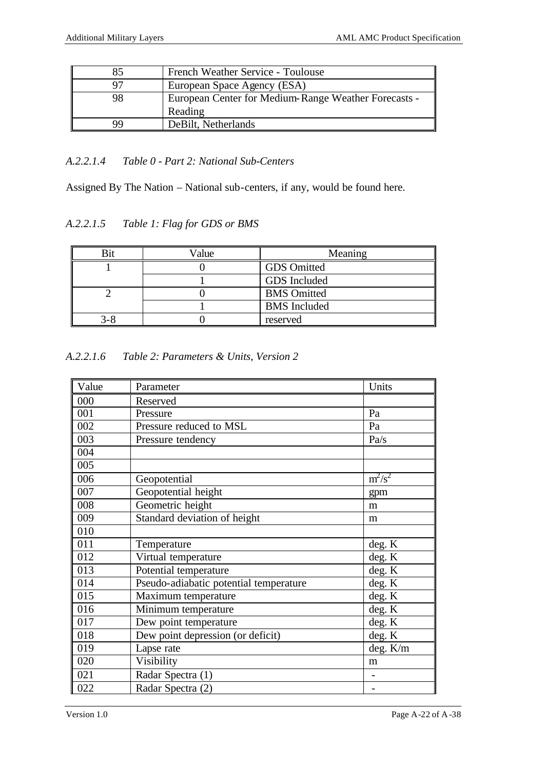| 85        | French Weather Service - Toulouse                    |
|-----------|------------------------------------------------------|
|           | European Space Agency (ESA)                          |
| 98        | European Center for Medium-Range Weather Forecasts - |
|           | Reading                                              |
| <b>QQ</b> | DeBilt, Netherlands                                  |

## *A.2.2.1.4 Table 0 - Part 2: National Sub-Centers*

Assigned By The Nation – National sub-centers, if any, would be found here.

*A.2.2.1.5 Table 1: Flag for GDS or BMS*

| $7$ alue | Meaning             |
|----------|---------------------|
|          | <b>GDS</b> Omitted  |
|          | GDS Included        |
|          | <b>BMS</b> Omitted  |
|          | <b>BMS</b> Included |
|          | reserved            |

*A.2.2.1.6 Table 2: Parameters & Units, Version 2*

| Value | Parameter                              | Units     |
|-------|----------------------------------------|-----------|
| 000   | Reserved                               |           |
| 001   | Pressure                               | Pa        |
| 002   | Pressure reduced to MSL                | Pa        |
| 003   | Pressure tendency                      | Pa/s      |
| 004   |                                        |           |
| 005   |                                        |           |
| 006   | Geopotential                           | $m^2/s^2$ |
| 007   | Geopotential height                    | gpm       |
| 008   | Geometric height                       | m         |
| 009   | Standard deviation of height           | m         |
| 010   |                                        |           |
| 011   | Temperature                            | deg. K    |
| 012   | Virtual temperature                    | deg. K    |
| 013   | Potential temperature                  | deg. K    |
| 014   | Pseudo-adiabatic potential temperature | deg. K    |
| 015   | Maximum temperature                    | deg. K    |
| 016   | Minimum temperature                    | deg. K    |
| 017   | Dew point temperature                  | deg. K    |
| 018   | Dew point depression (or deficit)      | deg. K    |
| 019   | Lapse rate                             | deg. K/m  |
| 020   | Visibility                             | m         |
| 021   | Radar Spectra (1)                      |           |
| 022   | Radar Spectra (2)                      |           |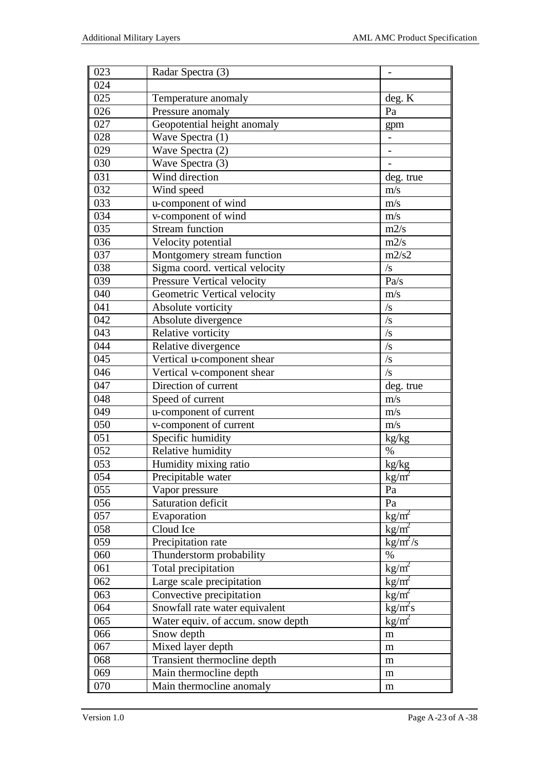| 023 | Radar Spectra (3)                 |                                |
|-----|-----------------------------------|--------------------------------|
| 024 |                                   |                                |
| 025 | Temperature anomaly               | deg. K                         |
| 026 | Pressure anomaly                  | Pa                             |
| 027 | Geopotential height anomaly       | gpm                            |
| 028 | Wave Spectra $(1)$                |                                |
| 029 | Wave Spectra (2)                  |                                |
| 030 | Wave Spectra $(3)$                |                                |
| 031 | Wind direction                    | deg. true                      |
| 032 | Wind speed                        | m/s                            |
| 033 | u-component of wind               | m/s                            |
| 034 | v-component of wind               | m/s                            |
| 035 | <b>Stream</b> function            | m2/s                           |
| 036 | Velocity potential                | m2/s                           |
| 037 | Montgomery stream function        | m2/s2                          |
| 038 | Sigma coord. vertical velocity    | $\sqrt{s}$                     |
| 039 | Pressure Vertical velocity        | Pa/s                           |
| 040 | Geometric Vertical velocity       | m/s                            |
| 041 | Absolute vorticity                | $\sqrt{s}$                     |
| 042 | Absolute divergence               | $\sqrt{s}$                     |
| 043 | Relative vorticity                | $\sqrt{s}$                     |
| 044 | Relative divergence               | $\sqrt{s}$                     |
| 045 | Vertical u-component shear        | $\sqrt{s}$                     |
| 046 | Vertical v-component shear        | $\sqrt{s}$                     |
| 047 | Direction of current              | deg. true                      |
| 048 | Speed of current                  | m/s                            |
| 049 | u-component of current            | m/s                            |
| 050 | v-component of current            | m/s                            |
| 051 | Specific humidity                 | kg/kg                          |
| 052 | Relative humidity                 | $\%$                           |
| 053 | Humidity mixing ratio             | kg/kg                          |
| 054 | Precipitable water                | $kg/m^2$                       |
| 055 | Vapor pressure                    | Pa                             |
| 056 | Saturation deficit                | Pa                             |
| 057 | Evaporation                       | $\text{kg/m}^2$                |
| 058 | Cloud Ice                         | $\text{kg/m}^2$                |
| 059 | Precipitation rate                | $\text{kg/m}^2/\text{s}$       |
| 060 | Thunderstorm probability          | $\%$                           |
| 061 | Total precipitation               | $\text{kg/m}^2$                |
| 062 | Large scale precipitation         | $\text{kg/m}^2$                |
| 063 | Convective precipitation          | $\frac{\text{kg}}{\text{m}^2}$ |
| 064 | Snowfall rate water equivalent    | kg/m <sup>2</sup> s            |
| 065 | Water equiv. of accum. snow depth | $kg/m^2$                       |
| 066 | Snow depth                        | m                              |
| 067 | Mixed layer depth                 | m                              |
| 068 | Transient thermocline depth       | m                              |
| 069 | Main thermocline depth            | m                              |
| 070 | Main thermocline anomaly          | m                              |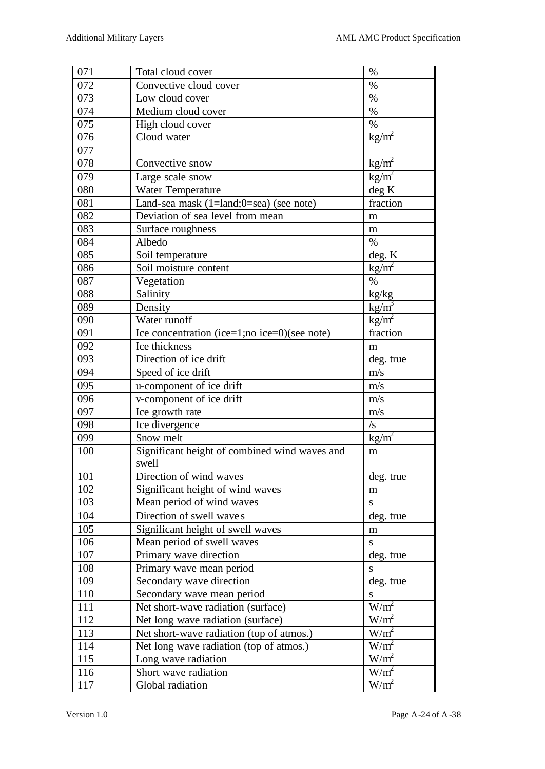| $\overline{071}$ | Total cloud cover                             | $\%$                           |
|------------------|-----------------------------------------------|--------------------------------|
| 072              | Convective cloud cover                        | $\%$                           |
| $\overline{073}$ | Low cloud cover                               | $\%$                           |
| 074              | Medium cloud cover                            | $\%$                           |
| 075              | High cloud cover                              | $\%$                           |
| 076              | Cloud water                                   | $\text{kg/m}^2$                |
| 077              |                                               |                                |
| 078              | Convective snow                               | $kg/m^2$                       |
| 079              | Large scale snow                              | $\text{kg/m}^2$                |
| 080              | <b>Water Temperature</b>                      | deg K                          |
| 081              | Land-sea mask (1=land;0=sea) (see note)       | fraction                       |
| 082              | Deviation of sea level from mean              | m                              |
| 083              | Surface roughness                             | m                              |
| 084              | Albedo                                        | $\%$                           |
| 085              | Soil temperature                              | deg. K                         |
| 086              | Soil moisture content                         | $\text{kg/m}^2$                |
| 087              | Vegetation                                    | $\%$                           |
| 088              | Salinity                                      | kg/kg                          |
| 089              | Density                                       | $\frac{\text{kg}}{\text{m}^3}$ |
| 090              | Water runoff                                  | $\frac{\text{kg}}{\text{m}^2}$ |
| 091              | Ice concentration (ice=1;no ice=0)(see note)  | fraction                       |
| 092              | Ice thickness                                 | m                              |
| 093              | Direction of ice drift                        | deg. true                      |
| 094              | Speed of ice drift                            | m/s                            |
| 095              | u-component of ice drift                      | m/s                            |
| 096              | v-component of ice drift                      | m/s                            |
| 097              | Ice growth rate                               | m/s                            |
| 098              | Ice divergence                                | $\sqrt{s}$                     |
| 099              | Snow melt                                     | $\text{kg/m}^2$                |
| 100              | Significant height of combined wind waves and | m                              |
|                  | swell                                         |                                |
| 101              | Direction of wind waves                       | deg. true                      |
| 102              | Significant height of wind waves              | m                              |
| 103              | Mean period of wind waves                     | ${\bf S}$                      |
| 104              | Direction of swell waves                      | deg. true                      |
| 105              | Significant height of swell waves             | m                              |
| 106              | Mean period of swell waves                    | ${\bf S}$                      |
| 107              | Primary wave direction                        | deg. true                      |
| 108              | Primary wave mean period                      | S                              |
| 109              | Secondary wave direction                      | deg. true                      |
| 110              | Secondary wave mean period                    | S                              |
| 111              | Net short-wave radiation (surface)            | $W/m^2$                        |
| 112              | Net long wave radiation (surface)             | $W/m^2$                        |
| 113              | Net short-wave radiation (top of atmos.)      | $W/m^2$                        |
| 114              | Net long wave radiation (top of atmos.)       | $W/m^2$                        |
| 115              | Long wave radiation                           | $W/m^2$                        |
| 116              | Short wave radiation                          | $W/m^2$                        |
| 117              | Global radiation                              | $W/m^2$                        |
|                  |                                               |                                |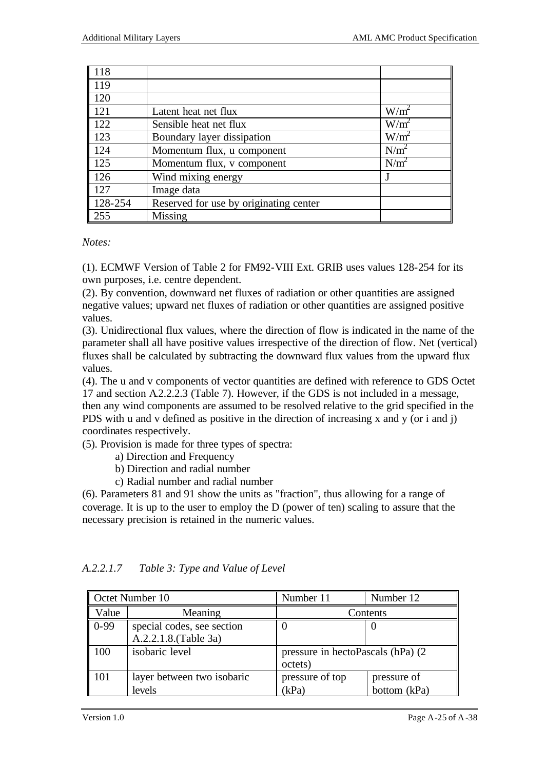| 118     |                                        |                  |
|---------|----------------------------------------|------------------|
| 119     |                                        |                  |
| 120     |                                        |                  |
| 121     | Latent heat net flux                   | $W/m^2$          |
| 122     | Sensible heat net flux                 | $W/m^2$          |
| 123     | Boundary layer dissipation             | $W/m^2$          |
| 124     | Momentum flux, u component             | N/m <sup>2</sup> |
| 125     | Momentum flux, v component             | N/m <sup>2</sup> |
| 126     | Wind mixing energy                     |                  |
| 127     | Image data                             |                  |
| 128-254 | Reserved for use by originating center |                  |
| 255     | Missing                                |                  |

#### *Notes:*

(1). ECMWF Version of Table 2 for FM92-VIII Ext. GRIB uses values 128-254 for its own purposes, i.e. centre dependent.

(2). By convention, downward net fluxes of radiation or other quantities are assigned negative values; upward net fluxes of radiation or other quantities are assigned positive values.

(3). Unidirectional flux values, where the direction of flow is indicated in the name of the parameter shall all have positive values irrespective of the direction of flow. Net (vertical) fluxes shall be calculated by subtracting the downward flux values from the upward flux values.

(4). The u and v components of vector quantities are defined with reference to GDS Octet 17 and section A.2.2.2.3 (Table 7). However, if the GDS is not included in a message, then any wind components are assumed to be resolved relative to the grid specified in the PDS with u and v defined as positive in the direction of increasing x and y (or i and j) coordinates respectively.

(5). Provision is made for three types of spectra:

- a) Direction and Frequency
- b) Direction and radial number
- c) Radial number and radial number

(6). Parameters 81 and 91 show the units as "fraction", thus allowing for a range of coverage. It is up to the user to employ the D (power of ten) scaling to assure that the necessary precision is retained in the numeric values.

| Octet Number 10 |                                                     | Number 11                                     | Number 12                   |
|-----------------|-----------------------------------------------------|-----------------------------------------------|-----------------------------|
| Value           | Meaning                                             | Contents                                      |                             |
| $0-99$          | special codes, see section<br>A.2.2.1.8. (Table 3a) |                                               |                             |
| 100             | isobaric level                                      | pressure in hectoPascals (hPa) (2)<br>octets) |                             |
| 101             | layer between two isobaric<br>levels                | pressure of top<br>(kPa)                      | pressure of<br>bottom (kPa) |

### *A.2.2.1.7 Table 3: Type and Value of Level*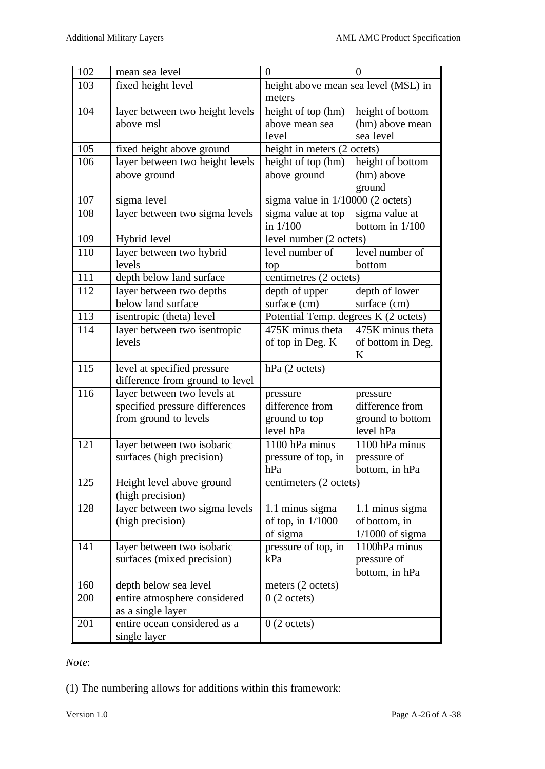| 102 | mean sea level                                          | $\theta$                             | $\overline{0}$                |
|-----|---------------------------------------------------------|--------------------------------------|-------------------------------|
| 103 | fixed height level                                      | height above mean sea level (MSL) in |                               |
|     |                                                         | meters                               |                               |
| 104 | layer between two height levels                         | height of top (hm)                   | height of bottom              |
|     | above msl                                               | above mean sea                       | (hm) above mean               |
|     |                                                         | level                                | sea level                     |
| 105 | fixed height above ground                               | height in meters (2 octets)          |                               |
| 106 | layer between two height levels                         | height of top (hm)                   | height of bottom              |
|     | above ground                                            | above ground                         | (hm) above                    |
|     |                                                         |                                      | ground                        |
| 107 | sigma level                                             | sigma value in $1/10000$ (2 octets)  |                               |
| 108 | layer between two sigma levels                          | sigma value at top                   | sigma value at                |
|     |                                                         | in 1/100                             | bottom in 1/100               |
| 109 | Hybrid level                                            | level number (2 octets)              |                               |
| 110 | layer between two hybrid                                | level number of                      | level number of               |
|     | levels                                                  | top                                  | bottom                        |
| 111 | depth below land surface                                | centimetres (2 octets)               |                               |
| 112 | layer between two depths                                | depth of upper                       | depth of lower                |
|     | below land surface                                      | surface (cm)                         | surface (cm)                  |
| 113 | isentropic (theta) level                                | Potential Temp. degrees K (2 octets) |                               |
| 114 | layer between two isentropic                            | $\overline{475}K$ minus theta        | 475K minus theta              |
|     | levels                                                  | of top in Deg. K                     | of bottom in Deg.             |
|     |                                                         |                                      | K                             |
| 115 | level at specified pressure                             | hPa (2 octets)                       |                               |
|     | difference from ground to level                         |                                      |                               |
| 116 | layer between two levels at                             | pressure                             | pressure                      |
|     | specified pressure differences                          | difference from                      | difference from               |
|     | from ground to levels                                   | ground to top<br>level hPa           | ground to bottom<br>level hPa |
| 121 |                                                         | 1100 hPa minus                       | 1100 hPa minus                |
|     | layer between two isobaric<br>surfaces (high precision) | pressure of top, in                  | pressure of                   |
|     |                                                         | hPa                                  | bottom, in hPa                |
| 125 | Height level above ground                               | centimeters (2 octets)               |                               |
|     | (high precision)                                        |                                      |                               |
| 128 | layer between two sigma levels                          | 1.1 minus sigma                      | 1.1 minus sigma               |
|     | (high precision)                                        | of top, in $1/1000$                  | of bottom, in                 |
|     |                                                         | of sigma                             | $1/1000$ of sigma             |
| 141 | layer between two isobaric                              | pressure of top, in                  | 1100hPa minus                 |
|     | surfaces (mixed precision)                              | kPa                                  | pressure of                   |
|     |                                                         |                                      | bottom, in hPa                |
| 160 | depth below sea level                                   | meters (2 octets)                    |                               |
| 200 | entire atmosphere considered                            | $0(2 \text{ octets})$                |                               |
|     | as a single layer                                       |                                      |                               |
| 201 | entire ocean considered as a                            | $0(2 \text{ octets})$                |                               |
|     | single layer                                            |                                      |                               |

*Note*:

(1) The numbering allows for additions within this framework: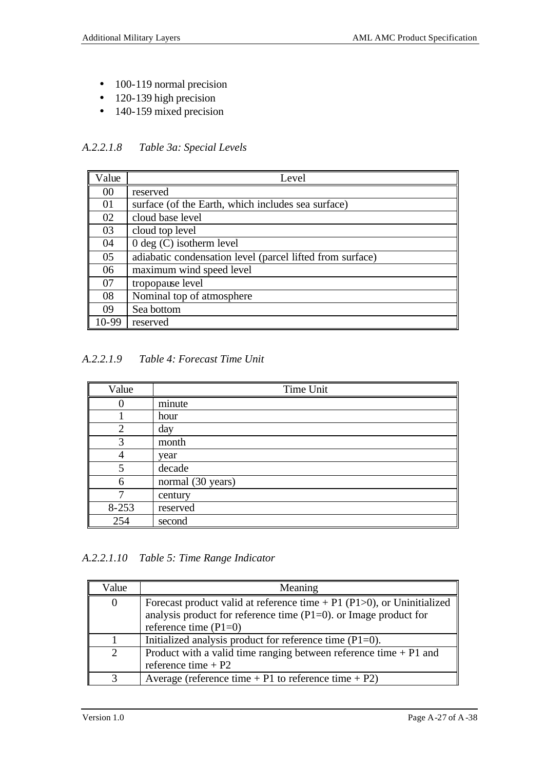- 100-119 normal precision
- 120-139 high precision
- 140-159 mixed precision

*A.2.2.1.8 Table 3a: Special Levels*

| Value  | Level                                                     |
|--------|-----------------------------------------------------------|
| 00     | reserved                                                  |
| 01     | surface (of the Earth, which includes sea surface)        |
| 02     | cloud base level                                          |
| 03     | cloud top level                                           |
| 04     | $0 \text{ deg } (C)$ isotherm level                       |
| 05     | adiabatic condensation level (parcel lifted from surface) |
| 06     | maximum wind speed level                                  |
| 07     | tropopause level                                          |
| 08     | Nominal top of atmosphere                                 |
| 09     | Sea bottom                                                |
| $0-99$ | reserved                                                  |

*A.2.2.1.9 Table 4: Forecast Time Unit*

| Value     | Time Unit         |
|-----------|-------------------|
|           | minute            |
|           | hour              |
| 2         | day               |
| 3         | month             |
|           | year              |
| 5         | decade            |
| 6         | normal (30 years) |
|           | century           |
| $8 - 253$ | reserved          |
| 254       | second            |

*A.2.2.1.10 Table 5: Time Range Indicator*

| Value          | Meaning                                                                                                                                                                        |
|----------------|--------------------------------------------------------------------------------------------------------------------------------------------------------------------------------|
| $\overline{0}$ | Forecast product valid at reference time $+$ P1 (P1 $>$ 0), or Uninitialized<br>analysis product for reference time $(P1=0)$ . or Image product for<br>reference time $(Pl=0)$ |
|                | Initialized analysis product for reference time $(P1=0)$ .                                                                                                                     |
| 2              | Product with a valid time ranging between reference time $+P1$ and<br>reference time $+$ P2                                                                                    |
|                | Average (reference time $+$ P1 to reference time $+$ P2)                                                                                                                       |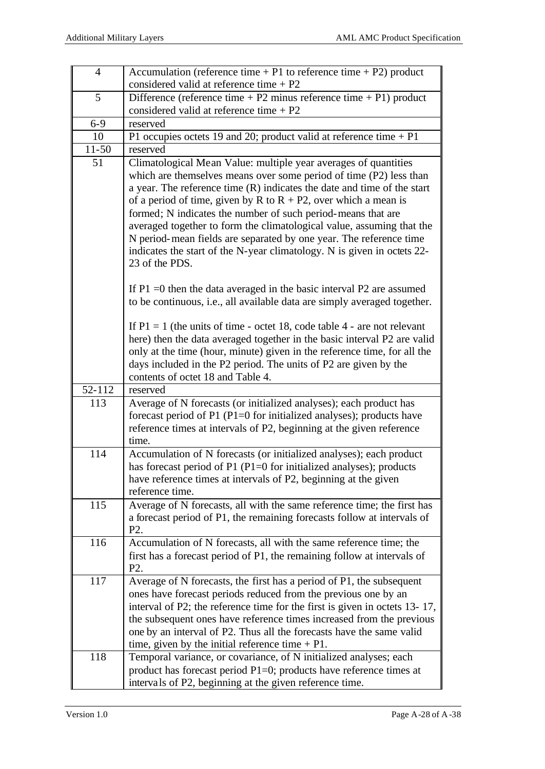| $\overline{4}$      | Accumulation (reference time $+P1$ to reference time $+P2$ ) product                                                                                                                                                                                                                                                                                                                                                                                                                                                                                                                                 |
|---------------------|------------------------------------------------------------------------------------------------------------------------------------------------------------------------------------------------------------------------------------------------------------------------------------------------------------------------------------------------------------------------------------------------------------------------------------------------------------------------------------------------------------------------------------------------------------------------------------------------------|
|                     | considered valid at reference time $+$ P2                                                                                                                                                                                                                                                                                                                                                                                                                                                                                                                                                            |
| 5                   | Difference (reference time $+ P2$ minus reference time $+ P1$ ) product                                                                                                                                                                                                                                                                                                                                                                                                                                                                                                                              |
|                     | considered valid at reference time $+ P2$                                                                                                                                                                                                                                                                                                                                                                                                                                                                                                                                                            |
| $6 - 9$             | reserved                                                                                                                                                                                                                                                                                                                                                                                                                                                                                                                                                                                             |
| 10                  | P1 occupies octets 19 and 20; product valid at reference time $+$ P1                                                                                                                                                                                                                                                                                                                                                                                                                                                                                                                                 |
| $11 - 50$           | reserved                                                                                                                                                                                                                                                                                                                                                                                                                                                                                                                                                                                             |
| 51                  | Climatological Mean Value: multiple year averages of quantities<br>which are themselves means over some period of time (P2) less than<br>a year. The reference time $(R)$ indicates the date and time of the start<br>of a period of time, given by R to $R + P2$ , over which a mean is<br>formed; N indicates the number of such period-means that are<br>averaged together to form the climatological value, assuming that the<br>N period-mean fields are separated by one year. The reference time<br>indicates the start of the N-year climatology. N is given in octets 22-<br>23 of the PDS. |
|                     | If $P1 = 0$ then the data averaged in the basic interval $P2$ are assumed<br>to be continuous, i.e., all available data are simply averaged together.                                                                                                                                                                                                                                                                                                                                                                                                                                                |
|                     | If $P1 = 1$ (the units of time - octet 18, code table 4 - are not relevant<br>here) then the data averaged together in the basic interval P2 are valid<br>only at the time (hour, minute) given in the reference time, for all the<br>days included in the P2 period. The units of P2 are given by the<br>contents of octet 18 and Table 4.                                                                                                                                                                                                                                                          |
| $\overline{52-112}$ | reserved                                                                                                                                                                                                                                                                                                                                                                                                                                                                                                                                                                                             |
| 113                 | Average of N forecasts (or initialized analyses); each product has<br>forecast period of P1 (P1=0 for initialized analyses); products have<br>reference times at intervals of P2, beginning at the given reference<br>time.                                                                                                                                                                                                                                                                                                                                                                          |
| 114                 | Accumulation of N forecasts (or initialized analyses); each product<br>has forecast period of P1 (P1=0 for initialized analyses); products<br>have reference times at intervals of P2, beginning at the given<br>reference time.                                                                                                                                                                                                                                                                                                                                                                     |
| 115                 | Average of N forecasts, all with the same reference time; the first has<br>a forecast period of P1, the remaining forecasts follow at intervals of<br>P <sub>2</sub> .                                                                                                                                                                                                                                                                                                                                                                                                                               |
| 116                 | Accumulation of N forecasts, all with the same reference time; the<br>first has a forecast period of P1, the remaining follow at intervals of<br>P <sub>2</sub> .                                                                                                                                                                                                                                                                                                                                                                                                                                    |
| 117                 | Average of N forecasts, the first has a period of P1, the subsequent<br>ones have forecast periods reduced from the previous one by an<br>interval of P2; the reference time for the first is given in octets 13-17,<br>the subsequent ones have reference times increased from the previous                                                                                                                                                                                                                                                                                                         |
| 118                 | one by an interval of P2. Thus all the forecasts have the same valid<br>time, given by the initial reference time $+$ P1.<br>Temporal variance, or covariance, of N initialized analyses; each                                                                                                                                                                                                                                                                                                                                                                                                       |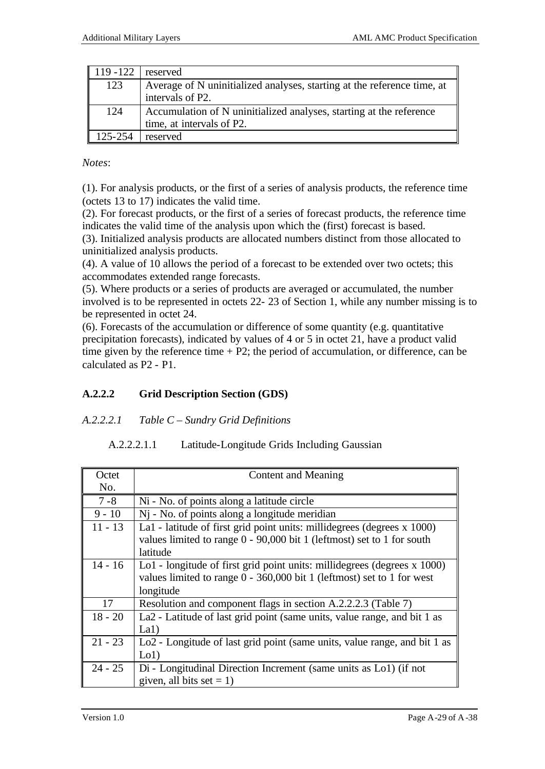| 119 - 122 | reserved                                                                |
|-----------|-------------------------------------------------------------------------|
| 123       | Average of N uninitialized analyses, starting at the reference time, at |
|           | intervals of P2.                                                        |
| 124       | Accumulation of N uninitialized analyses, starting at the reference     |
|           | time, at intervals of P2.                                               |
| 125-254   | reserved                                                                |

*Notes*:

(1). For analysis products, or the first of a series of analysis products, the reference time (octets 13 to 17) indicates the valid time.

(2). For forecast products, or the first of a series of forecast products, the reference time indicates the valid time of the analysis upon which the (first) forecast is based.

(3). Initialized analysis products are allocated numbers distinct from those allocated to uninitialized analysis products.

(4). A value of 10 allows the period of a forecast to be extended over two octets; this accommodates extended range forecasts.

(5). Where products or a series of products are averaged or accumulated, the number involved is to be represented in octets 22- 23 of Section 1, while any number missing is to be represented in octet 24.

(6). Forecasts of the accumulation or difference of some quantity (e.g. quantitative precipitation forecasts), indicated by values of 4 or 5 in octet 21, have a product valid time given by the reference time  $+ P2$ ; the period of accumulation, or difference, can be calculated as P2 - P1.

## **A.2.2.2 Grid Description Section (GDS)**

### *A.2.2.2.1 Table C – Sundry Grid Definitions*

### A.2.2.2.1.1 Latitude-Longitude Grids Including Gaussian

| Octet     | Content and Meaning                                                                                                                                  |
|-----------|------------------------------------------------------------------------------------------------------------------------------------------------------|
| No.       |                                                                                                                                                      |
| $7 - 8$   | Ni - No. of points along a latitude circle                                                                                                           |
| $9 - 10$  | Nj - No. of points along a longitude meridian                                                                                                        |
| $11 - 13$ | La1 - latitude of first grid point units: millidegrees (degrees x 1000)<br>values limited to range $0 - 90,000$ bit 1 (leftmost) set to 1 for south  |
|           | latitude                                                                                                                                             |
| $14 - 16$ | Lo1 - longitude of first grid point units: millidegrees (degrees x 1000)<br>values limited to range $0 - 360,000$ bit 1 (leftmost) set to 1 for west |
|           | longitude                                                                                                                                            |
| 17        | Resolution and component flags in section A.2.2.2.3 (Table 7)                                                                                        |
| $18 - 20$ | La2 - Latitude of last grid point (same units, value range, and bit 1 as                                                                             |
|           | La1)                                                                                                                                                 |
| $21 - 23$ | Lo2 - Longitude of last grid point (same units, value range, and bit 1 as                                                                            |
|           | Lo1)                                                                                                                                                 |
| $24 - 25$ | Di - Longitudinal Direction Increment (same units as Lo1) (if not                                                                                    |
|           | given, all bits set = 1)                                                                                                                             |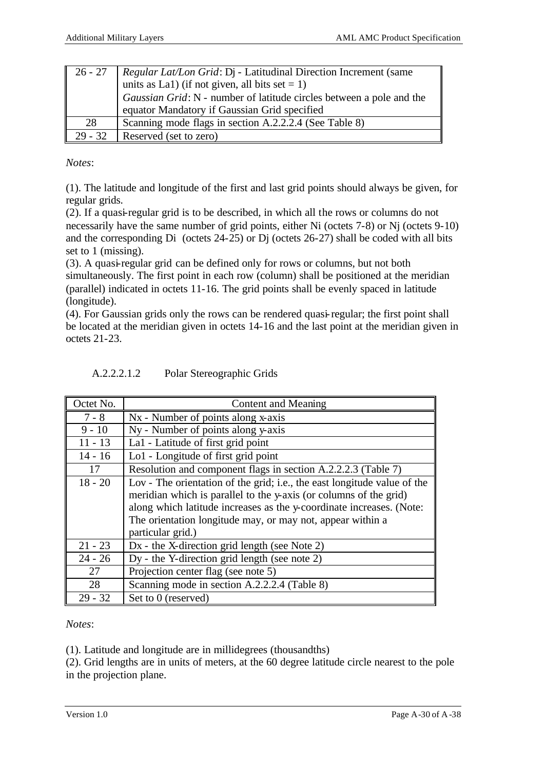| $\vert 26 - 27 \vert$ | <i>Regular Lat/Lon Grid: Di - Latitudinal Direction Increment (same</i><br>units as La1) (if not given, all bits set = 1)<br>Gaussian Grid: N - number of latitude circles between a pole and the<br>equator Mandatory if Gaussian Grid specified |
|-----------------------|---------------------------------------------------------------------------------------------------------------------------------------------------------------------------------------------------------------------------------------------------|
|                       |                                                                                                                                                                                                                                                   |
| 28                    | Scanning mode flags in section A.2.2.2.4 (See Table 8)                                                                                                                                                                                            |
| 29 - 32               | Reserved (set to zero)                                                                                                                                                                                                                            |

*Notes*:

(1). The latitude and longitude of the first and last grid points should always be given, for regular grids.

(2). If a quasi-regular grid is to be described, in which all the rows or columns do not necessarily have the same number of grid points, either Ni (octets 7-8) or Nj (octets 9-10) and the corresponding Di (octets 24-25) or Dj (octets 26-27) shall be coded with all bits set to 1 (missing).

(3). A quasi-regular grid can be defined only for rows or columns, but not both simultaneously. The first point in each row (column) shall be positioned at the meridian (parallel) indicated in octets 11-16. The grid points shall be evenly spaced in latitude (longitude).

(4). For Gaussian grids only the rows can be rendered quasi-regular; the first point shall be located at the meridian given in octets 14-16 and the last point at the meridian given in octets 21-23.

| Octet No. | Content and Meaning                                                      |
|-----------|--------------------------------------------------------------------------|
| $7 - 8$   | Nx - Number of points along x-axis                                       |
| $9 - 10$  | Ny - Number of points along y-axis                                       |
| $11 - 13$ | La1 - Latitude of first grid point                                       |
| $14 - 16$ | Lo1 - Longitude of first grid point                                      |
| 17        | Resolution and component flags in section A.2.2.2.3 (Table 7)            |
| $18 - 20$ | Lov - The orientation of the grid; i.e., the east longitude value of the |
|           | meridian which is parallel to the y-axis (or columns of the grid)        |
|           | along which latitude increases as the y-coordinate increases. (Note:     |
|           | The orientation longitude may, or may not, appear within a               |
|           | particular grid.)                                                        |
| $21 - 23$ | Dx - the X-direction grid length (see Note 2)                            |
| $24 - 26$ | Dy - the Y-direction grid length (see note 2)                            |
| 27        | Projection center flag (see note 5)                                      |
| 28        | Scanning mode in section A.2.2.2.4 (Table 8)                             |
| $29 - 32$ | Set to 0 (reserved)                                                      |

| A.2.2.2.1.2 | Polar Stereographic Grids |
|-------------|---------------------------|
|-------------|---------------------------|

*Notes*:

(1). Latitude and longitude are in millidegrees (thousandths)

(2). Grid lengths are in units of meters, at the 60 degree latitude circle nearest to the pole in the projection plane.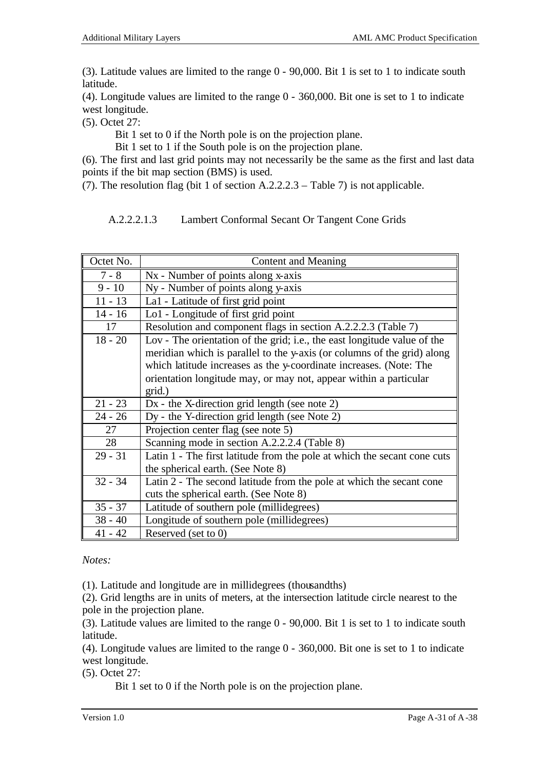(3). Latitude values are limited to the range 0 - 90,000. Bit 1 is set to 1 to indicate south latitude.

(4). Longitude values are limited to the range 0 - 360,000. Bit one is set to 1 to indicate west longitude.

(5). Octet 27:

Bit 1 set to 0 if the North pole is on the projection plane.

Bit 1 set to 1 if the South pole is on the projection plane.

(6). The first and last grid points may not necessarily be the same as the first and last data points if the bit map section (BMS) is used.

(7). The resolution flag (bit 1 of section A.2.2.2.3 – Table 7) is not applicable.

A.2.2.2.1.3 Lambert Conformal Secant Or Tangent Cone Grids

| Octet No. | <b>Content and Meaning</b>                                               |  |
|-----------|--------------------------------------------------------------------------|--|
| $7 - 8$   | Nx - Number of points along x-axis                                       |  |
| $9 - 10$  | Ny - Number of points along y-axis                                       |  |
| $11 - 13$ | La1 - Latitude of first grid point                                       |  |
| $14 - 16$ | Lo1 - Longitude of first grid point                                      |  |
| 17        | Resolution and component flags in section A.2.2.2.3 (Table 7)            |  |
| $18 - 20$ | Lov - The orientation of the grid; i.e., the east longitude value of the |  |
|           | meridian which is parallel to the y-axis (or columns of the grid) along  |  |
|           | which latitude increases as the y-coordinate increases. (Note: The       |  |
|           | orientation longitude may, or may not, appear within a particular        |  |
|           | grid.)                                                                   |  |
| $21 - 23$ | $Dx$ - the X-direction grid length (see note 2)                          |  |
| $24 - 26$ | Dy - the Y-direction grid length (see Note 2)                            |  |
| 27        | Projection center flag (see note 5)                                      |  |
| 28        | Scanning mode in section A.2.2.2.4 (Table 8)                             |  |
| $29 - 31$ | Latin 1 - The first latitude from the pole at which the secant cone cuts |  |
|           | the spherical earth. (See Note 8)                                        |  |
| $32 - 34$ | Latin 2 - The second latitude from the pole at which the secant cone     |  |
|           | cuts the spherical earth. (See Note 8)                                   |  |
| $35 - 37$ | Latitude of southern pole (millidegrees)                                 |  |
| $38 - 40$ | Longitude of southern pole (millidegrees)                                |  |
| $41 - 42$ | Reserved (set to 0)                                                      |  |

*Notes:*

(1). Latitude and longitude are in millidegrees (thousandths)

(2). Grid lengths are in units of meters, at the intersection latitude circle nearest to the pole in the projection plane.

(3). Latitude values are limited to the range 0 - 90,000. Bit 1 is set to 1 to indicate south latitude.

(4). Longitude values are limited to the range 0 - 360,000. Bit one is set to 1 to indicate west longitude.

(5). Octet 27:

Bit 1 set to 0 if the North pole is on the projection plane.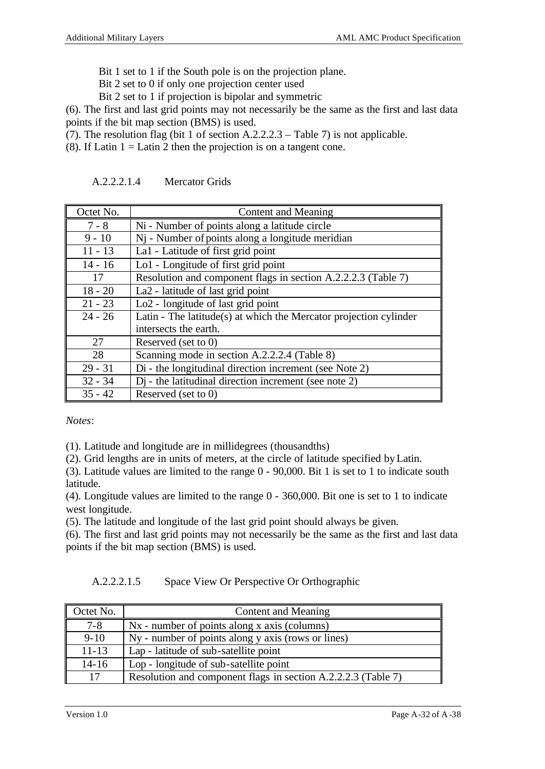- Bit 1 set to 1 if the South pole is on the projection plane.
- Bit 2 set to 0 if only one projection center used
- Bit 2 set to 1 if projection is bipolar and symmetric

(6). The first and last grid points may not necessarily be the same as the first and last data points if the bit map section (BMS) is used.

(7). The resolution flag (bit 1 of section A.2.2.2.3 – Table 7) is not applicable.

(8). If Latin  $1 =$  Latin 2 then the projection is on a tangent cone.

| Octet No. | Content and Meaning                                               |
|-----------|-------------------------------------------------------------------|
| $7 - 8$   | Ni - Number of points along a latitude circle                     |
| $9 - 10$  | Nj - Number of points along a longitude meridian                  |
| $11 - 13$ | La1 - Latitude of first grid point                                |
| $14 - 16$ | Lo1 - Longitude of first grid point                               |
| 17        | Resolution and component flags in section A.2.2.2.3 (Table 7)     |
| $18 - 20$ | La <sub>2</sub> - latitude of last grid point                     |
| $21 - 23$ | Lo <sub>2</sub> - longitude of last grid point                    |
| $24 - 26$ | Latin - The latitude(s) at which the Mercator projection cylinder |
|           | intersects the earth.                                             |
| 27        | Reserved (set to $0$ )                                            |
| 28        | Scanning mode in section A.2.2.2.4 (Table 8)                      |
| $29 - 31$ | Di - the longitudinal direction increment (see Note 2)            |
| $32 - 34$ | $Dj$ - the latitudinal direction increment (see note 2)           |
| $35 - 42$ | Reserved (set to 0)                                               |

A.2.2.2.1.4 Mercator Grids

*Notes*:

(1). Latitude and longitude are in millidegrees (thousandths)

(2). Grid lengths are in units of meters, at the circle of latitude specified by Latin.

(3). Latitude values are limited to the range 0 - 90,000. Bit 1 is set to 1 to indicate south latitude.

(4). Longitude values are limited to the range 0 - 360,000. Bit one is set to 1 to indicate west longitude.

(5). The latitude and longitude of the last grid point should always be given.

(6). The first and last grid points may not necessarily be the same as the first and last data points if the bit map section (BMS) is used.

A.2.2.2.1.5 Space View Or Perspective Or Orthographic

| Octet No. | Content and Meaning                                           |
|-----------|---------------------------------------------------------------|
| $7 - 8$   | $Nx$ - number of points along x axis (columns)                |
| $9 - 10$  | Ny - number of points along y axis (rows or lines)            |
| $11 - 13$ | Lap - latitude of sub-satellite point                         |
| $14 - 16$ | Lop - longitude of sub-satellite point                        |
| 17        | Resolution and component flags in section A.2.2.2.3 (Table 7) |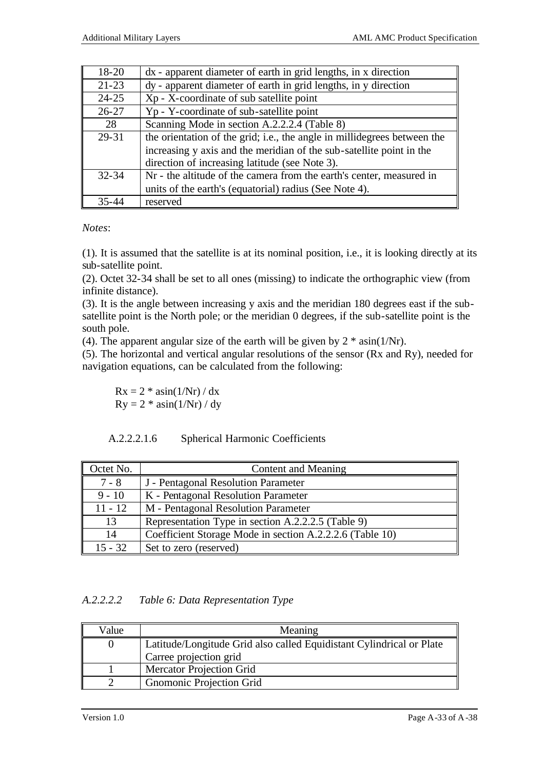| 18-20     | dx - apparent diameter of earth in grid lengths, in x direction          |  |
|-----------|--------------------------------------------------------------------------|--|
| $21 - 23$ | dy - apparent diameter of earth in grid lengths, in y direction          |  |
| $24 - 25$ | Xp - X-coordinate of sub satellite point                                 |  |
| $26 - 27$ | Yp - Y-coordinate of sub-satellite point                                 |  |
| 28        | Scanning Mode in section A.2.2.2.4 (Table 8)                             |  |
| 29-31     | the orientation of the grid; i.e., the angle in millidegrees between the |  |
|           | increasing y axis and the meridian of the sub-satellite point in the     |  |
|           | direction of increasing latitude (see Note 3).                           |  |
| $32 - 34$ | Nr - the altitude of the camera from the earth's center, measured in     |  |
|           | units of the earth's (equatorial) radius (See Note 4).                   |  |
| $35 - 4$  | reserved                                                                 |  |

*Notes*:

(1). It is assumed that the satellite is at its nominal position, i.e., it is looking directly at its sub-satellite point.

(2). Octet 32-34 shall be set to all ones (missing) to indicate the orthographic view (from infinite distance).

(3). It is the angle between increasing y axis and the meridian 180 degrees east if the subsatellite point is the North pole; or the meridian 0 degrees, if the sub-satellite point is the south pole.

(4). The apparent angular size of the earth will be given by  $2 * \text{asin}(1/\text{Nr})$ .

(5). The horizontal and vertical angular resolutions of the sensor (Rx and Ry), needed for navigation equations, can be calculated from the following:

 $Rx = 2 * \text{asin}(1/Nr) / dx$  $Ry = 2 * a\sin(1/Nr) / dy$ 

| A.2.2.2.1.6 |  |  | <b>Spherical Harmonic Coefficients</b> |
|-------------|--|--|----------------------------------------|
|-------------|--|--|----------------------------------------|

| Octet No. | Content and Meaning                                      |  |
|-----------|----------------------------------------------------------|--|
| $7 - 8$   | J - Pentagonal Resolution Parameter                      |  |
| $9 - 10$  | K - Pentagonal Resolution Parameter                      |  |
| $11 - 12$ | M - Pentagonal Resolution Parameter                      |  |
| 13        | Representation Type in section A.2.2.2.5 (Table 9)       |  |
| 14        | Coefficient Storage Mode in section A.2.2.2.6 (Table 10) |  |
| 15 - 32   | Set to zero (reserved)                                   |  |

*A.2.2.2.2 Table 6: Data Representation Type*

| Value | Meaning                                                              |  |
|-------|----------------------------------------------------------------------|--|
|       | Latitude/Longitude Grid also called Equidistant Cylindrical or Plate |  |
|       | Carree projection grid                                               |  |
|       | <b>Mercator Projection Grid</b>                                      |  |
|       | <b>Gnomonic Projection Grid</b>                                      |  |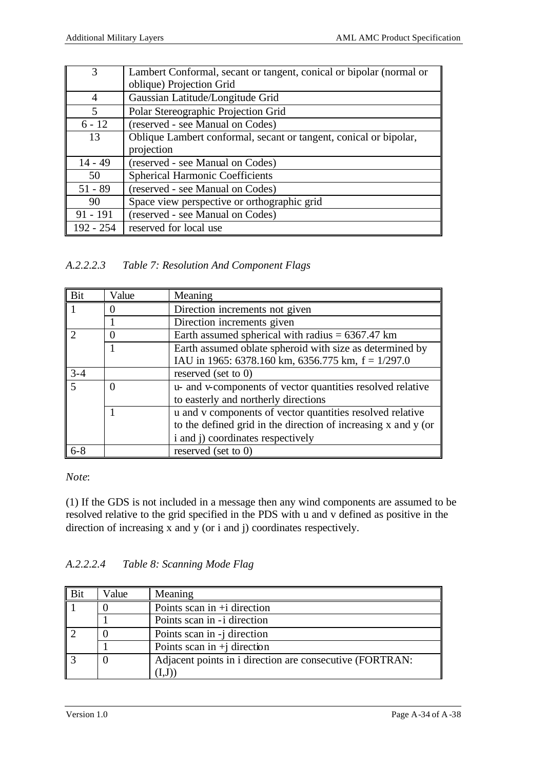|             | Lambert Conformal, secant or tangent, conical or bipolar (normal or |
|-------------|---------------------------------------------------------------------|
|             | oblique) Projection Grid                                            |
| 4           | Gaussian Latitude/Longitude Grid                                    |
| 5           | Polar Stereographic Projection Grid                                 |
| $6 - 12$    | (reserved - see Manual on Codes)                                    |
| 13          | Oblique Lambert conformal, secant or tangent, conical or bipolar,   |
|             | projection                                                          |
| $14 - 49$   | (reserved - see Manual on Codes)                                    |
| 50          | <b>Spherical Harmonic Coefficients</b>                              |
| $51 - 89$   | (reserved - see Manual on Codes)                                    |
| 90          | Space view perspective or orthographic grid                         |
| $91 - 191$  | (reserved - see Manual on Codes)                                    |
| $192 - 254$ | reserved for local use                                              |

*A.2.2.2.3 Table 7: Resolution And Component Flags*

| Bit     | Value         | Meaning                                                        |  |
|---------|---------------|----------------------------------------------------------------|--|
|         |               | Direction increments not given                                 |  |
|         |               | Direction increments given                                     |  |
| C       |               | Earth assumed spherical with radius $= 6367.47$ km             |  |
|         |               | Earth assumed oblate spheroid with size as determined by       |  |
|         |               | IAU in 1965: 6378.160 km, 6356.775 km, $f = 1/297.0$           |  |
| $3 - 4$ |               | reserved (set to $0$ )                                         |  |
|         | $\mathcal{L}$ | u- and v-components of vector quantities resolved relative     |  |
|         |               | to easterly and northerly directions                           |  |
|         |               | u and v components of vector quantities resolved relative      |  |
|         |               | to the defined grid in the direction of increasing x and y (or |  |
|         |               | i and j) coordinates respectively                              |  |
| $6 - 8$ |               | reserved (set to 0)                                            |  |

### *Note*:

(1) If the GDS is not included in a message then any wind components are assumed to be resolved relative to the grid specified in the PDS with u and v defined as positive in the direction of increasing x and y (or i and j) coordinates respectively.

## *A.2.2.2.4 Table 8: Scanning Mode Flag*

| Bit | Value | Meaning                                                  |
|-----|-------|----------------------------------------------------------|
|     |       | Points scan in $+i$ direction                            |
|     |       | Points scan in -i direction                              |
|     |       | Points scan in -j direction                              |
|     |       | Points scan in $+i$ direction                            |
|     |       | Adjacent points in i direction are consecutive (FORTRAN: |
|     |       |                                                          |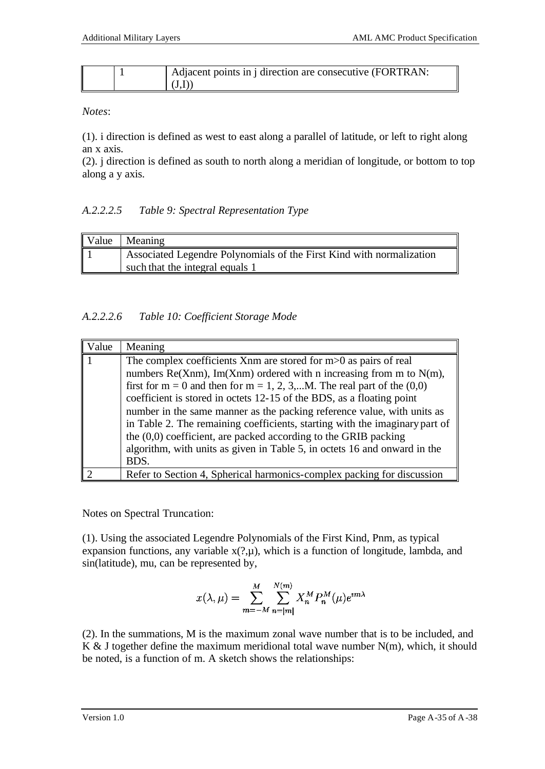|  | Adjacent points in j direction are consecutive (FORTRAN: |
|--|----------------------------------------------------------|
|  | (1.1)                                                    |

*Notes*:

(1). i direction is defined as west to east along a parallel of latitude, or left to right along an x axis.

(2). j direction is defined as south to north along a meridian of longitude, or bottom to top along a y axis.

## *A.2.2.2.5 Table 9: Spectral Representation Type*

| Value | Meaning                                                              |
|-------|----------------------------------------------------------------------|
| I     | Associated Legendre Polynomials of the First Kind with normalization |
|       | such that the integral equals 1                                      |

## *A.2.2.2.6 Table 10: Coefficient Storage Mode*

| 'alue | Meaning                                                                                                                                                                                                                                                                                                                                                                          |
|-------|----------------------------------------------------------------------------------------------------------------------------------------------------------------------------------------------------------------------------------------------------------------------------------------------------------------------------------------------------------------------------------|
|       | The complex coefficients Xnm are stored for $m>0$ as pairs of real<br>numbers Re(Xnm), Im(Xnm) ordered with n increasing from m to $N(m)$ ,<br>first for $m = 0$ and then for $m = 1, 2, 3,M$ . The real part of the $(0,0)$<br>coefficient is stored in octets 12-15 of the BDS, as a floating point<br>number in the same manner as the packing reference value, with units as |
|       | in Table 2. The remaining coefficients, starting with the imaginary part of<br>the $(0,0)$ coefficient, are packed according to the GRIB packing<br>algorithm, with units as given in Table 5, in octets 16 and onward in the<br>BDS.                                                                                                                                            |
|       | Refer to Section 4, Spherical harmonics-complex packing for discussion                                                                                                                                                                                                                                                                                                           |

Notes on Spectral Truncation:

(1). Using the associated Legendre Polynomials of the First Kind, Pnm, as typical expansion functions, any variable  $x(?,\mu)$ , which is a function of longitude, lambda, and sin(latitude), mu, can be represented by,

$$
x(\lambda,\mu)=\sum_{m=-M}^M\sum_{n=|m|}^{N(m)}X_n^MP_n^M(\mu)e^{\imath m\lambda}
$$

(2). In the summations, M is the maximum zonal wave number that is to be included, and K & J together define the maximum meridional total wave number  $N(m)$ , which, it should be noted, is a function of m. A sketch shows the relationships: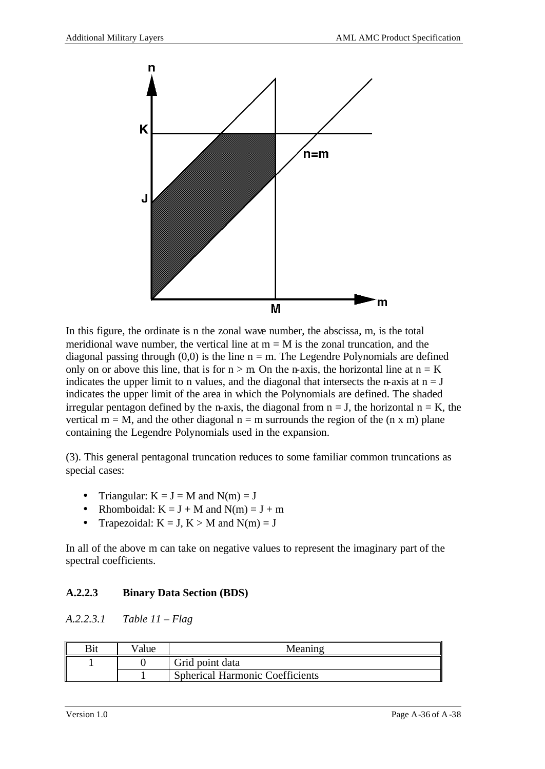

In this figure, the ordinate is n the zonal wave number, the abscissa, m, is the total meridional wave number, the vertical line at  $m = M$  is the zonal truncation, and the diagonal passing through  $(0,0)$  is the line  $n = m$ . The Legendre Polynomials are defined only on or above this line, that is for  $n > m$ . On the n-axis, the horizontal line at  $n = K$ indicates the upper limit to n values, and the diagonal that intersects the n-axis at  $n = J$ indicates the upper limit of the area in which the Polynomials are defined. The shaded irregular pentagon defined by the n-axis, the diagonal from  $n = J$ , the horizontal  $n = K$ , the vertical  $m = M$ , and the other diagonal  $n = m$  surrounds the region of the  $(n \times m)$  plane containing the Legendre Polynomials used in the expansion.

(3). This general pentagonal truncation reduces to some familiar common truncations as special cases:

- Triangular:  $K = J = M$  and  $N(m) = J$
- Rhomboidal:  $K = J + M$  and  $N(m) = J + m$
- Trapezoidal:  $K = J$ ,  $K > M$  and  $N(m) = J$

In all of the above m can take on negative values to represent the imaginary part of the spectral coefficients.

## **A.2.2.3 Binary Data Section (BDS)**

*A.2.2.3.1 Table 11 – Flag*

| /alue | $Meanin^{\sim}$                        |  |  |
|-------|----------------------------------------|--|--|
|       | Grid point data                        |  |  |
|       | <b>Spherical Harmonic Coefficients</b> |  |  |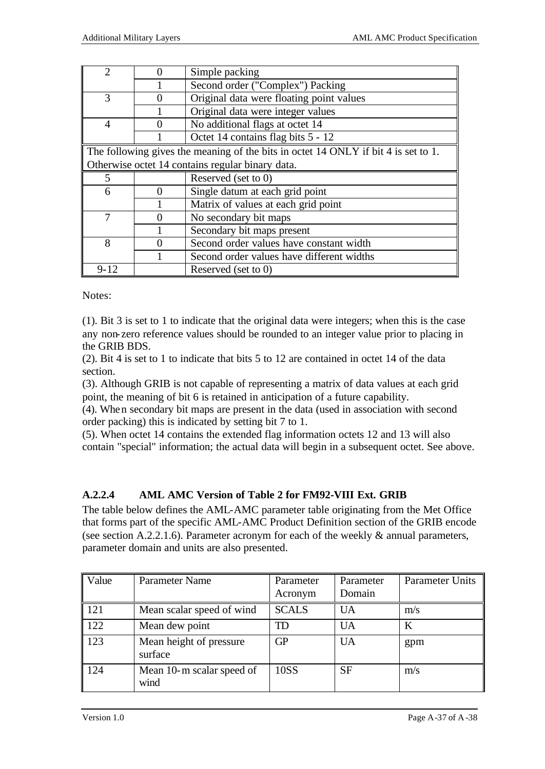| $\mathcal{D}$                                    |                                                                                    | Simple packing                            |  |  |
|--------------------------------------------------|------------------------------------------------------------------------------------|-------------------------------------------|--|--|
|                                                  |                                                                                    | Second order ("Complex") Packing          |  |  |
| 3                                                |                                                                                    | Original data were floating point values  |  |  |
|                                                  |                                                                                    | Original data were integer values         |  |  |
| $\overline{4}$                                   |                                                                                    | No additional flags at octet 14           |  |  |
|                                                  |                                                                                    | Octet 14 contains flag bits 5 - 12        |  |  |
|                                                  | The following gives the meaning of the bits in octet 14 ONLY if bit 4 is set to 1. |                                           |  |  |
| Otherwise octet 14 contains regular binary data. |                                                                                    |                                           |  |  |
|                                                  |                                                                                    |                                           |  |  |
| 5                                                |                                                                                    | Reserved (set to 0)                       |  |  |
| 6                                                |                                                                                    | Single datum at each grid point           |  |  |
|                                                  |                                                                                    | Matrix of values at each grid point       |  |  |
| 7                                                |                                                                                    | No secondary bit maps                     |  |  |
|                                                  |                                                                                    | Secondary bit maps present                |  |  |
| 8                                                |                                                                                    | Second order values have constant width   |  |  |
|                                                  |                                                                                    | Second order values have different widths |  |  |

Notes:

(1). Bit 3 is set to 1 to indicate that the original data were integers; when this is the case any non-zero reference values should be rounded to an integer value prior to placing in the GRIB BDS.

(2). Bit 4 is set to 1 to indicate that bits 5 to 12 are contained in octet 14 of the data section.

(3). Although GRIB is not capable of representing a matrix of data values at each grid point, the meaning of bit 6 is retained in anticipation of a future capability.

(4). When secondary bit maps are present in the data (used in association with second order packing) this is indicated by setting bit 7 to 1.

(5). When octet 14 contains the extended flag information octets 12 and 13 will also contain "special" information; the actual data will begin in a subsequent octet. See above.

## **A.2.2.4 AML AMC Version of Table 2 for FM92-VIII Ext. GRIB**

The table below defines the AML-AMC parameter table originating from the Met Office that forms part of the specific AML-AMC Product Definition section of the GRIB encode (see section A.2.2.1.6). Parameter acronym for each of the weekly & annual parameters, parameter domain and units are also presented.

| Value | Parameter Name                     | Parameter    | Parameter | <b>Parameter Units</b> |
|-------|------------------------------------|--------------|-----------|------------------------|
|       |                                    | Acronym      | Domain    |                        |
| 121   | Mean scalar speed of wind          | <b>SCALS</b> | <b>UA</b> | m/s                    |
| 122   | Mean dew point                     | TD           | <b>UA</b> | K                      |
| 123   | Mean height of pressure<br>surface | <b>GP</b>    | <b>UA</b> | gpm                    |
| 124   | Mean 10-m scalar speed of<br>wind  | 10SS         | <b>SF</b> | m/s                    |